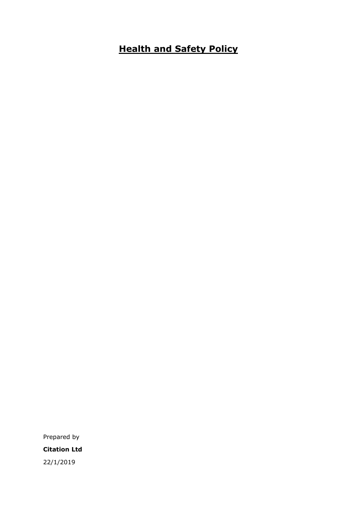# **Health and Safety Policy**

Prepared by **Citation Ltd** 22/1/2019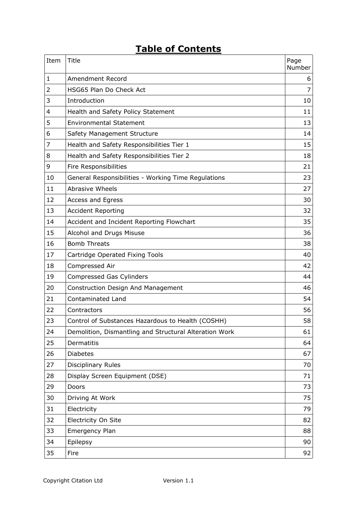# **Table of Contents**

| Item           | Title                                                  | Page<br>Number |
|----------------|--------------------------------------------------------|----------------|
| 1              | Amendment Record                                       | 6              |
| $\overline{2}$ | HSG65 Plan Do Check Act                                | 7              |
| 3              | Introduction                                           | 10             |
| 4              | Health and Safety Policy Statement                     | 11             |
| 5              | <b>Environmental Statement</b>                         | 13             |
| 6              | Safety Management Structure                            | 14             |
| 7              | Health and Safety Responsibilities Tier 1              | 15             |
| 8              | Health and Safety Responsibilities Tier 2              | 18             |
| 9              | Fire Responsibilities                                  | 21             |
| 10             | General Responsibilities - Working Time Regulations    | 23             |
| 11             | <b>Abrasive Wheels</b>                                 | 27             |
| 12             | <b>Access and Egress</b>                               | 30             |
| 13             | <b>Accident Reporting</b>                              | 32             |
| 14             | Accident and Incident Reporting Flowchart              | 35             |
| 15             | Alcohol and Drugs Misuse                               | 36             |
| 16             | <b>Bomb Threats</b>                                    | 38             |
| 17             | Cartridge Operated Fixing Tools                        | 40             |
| 18             | Compressed Air                                         | 42             |
| 19             | Compressed Gas Cylinders                               | 44             |
| 20             | Construction Design And Management                     | 46             |
| 21             | <b>Contaminated Land</b>                               | 54             |
| 22             | Contractors                                            | 56             |
| 23             | Control of Substances Hazardous to Health (COSHH)      | 58             |
| 24             | Demolition, Dismantling and Structural Alteration Work | 61             |
| 25             | Dermatitis                                             | 64             |
| 26             | <b>Diabetes</b>                                        | 67             |
| 27             | Disciplinary Rules                                     | 70             |
| 28             | Display Screen Equipment (DSE)                         | 71             |
| 29             | Doors                                                  | 73             |
| 30             | Driving At Work                                        | 75             |
| 31             | Electricity                                            | 79             |
| 32             | Electricity On Site                                    | 82             |
| 33             | <b>Emergency Plan</b>                                  | 88             |
| 34             | Epilepsy                                               | 90             |
| 35             | Fire                                                   | 92             |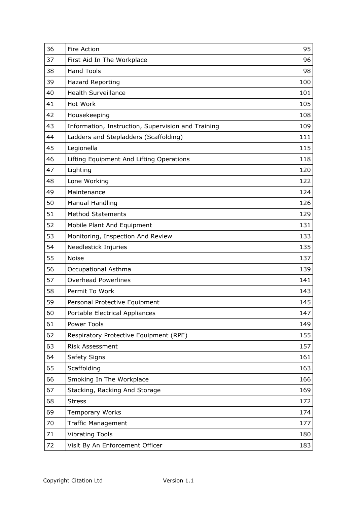| 36 | Fire Action                                        | 95  |
|----|----------------------------------------------------|-----|
| 37 | First Aid In The Workplace                         | 96  |
| 38 | <b>Hand Tools</b>                                  | 98  |
| 39 | <b>Hazard Reporting</b>                            | 100 |
| 40 | <b>Health Surveillance</b>                         | 101 |
| 41 | Hot Work                                           | 105 |
| 42 | Housekeeping                                       | 108 |
| 43 | Information, Instruction, Supervision and Training | 109 |
| 44 | Ladders and Stepladders (Scaffolding)              | 111 |
| 45 | Legionella                                         | 115 |
| 46 | Lifting Equipment And Lifting Operations           | 118 |
| 47 | Lighting                                           | 120 |
| 48 | Lone Working                                       | 122 |
| 49 | Maintenance                                        | 124 |
| 50 | <b>Manual Handling</b>                             | 126 |
| 51 | <b>Method Statements</b>                           | 129 |
| 52 | Mobile Plant And Equipment                         | 131 |
| 53 | Monitoring, Inspection And Review                  | 133 |
| 54 | Needlestick Injuries                               | 135 |
| 55 | <b>Noise</b>                                       | 137 |
| 56 | Occupational Asthma                                | 139 |
| 57 | <b>Overhead Powerlines</b>                         | 141 |
| 58 | Permit To Work                                     | 143 |
| 59 | Personal Protective Equipment                      | 145 |
| 60 | Portable Electrical Appliances                     | 147 |
| 61 | Power Tools                                        | 149 |
| 62 | Respiratory Protective Equipment (RPE)             | 155 |
| 63 | <b>Risk Assessment</b>                             | 157 |
| 64 | Safety Signs                                       | 161 |
| 65 | Scaffolding                                        | 163 |
| 66 | Smoking In The Workplace                           | 166 |
| 67 | Stacking, Racking And Storage                      | 169 |
| 68 | <b>Stress</b>                                      | 172 |
| 69 | <b>Temporary Works</b>                             | 174 |
| 70 | <b>Traffic Management</b>                          | 177 |
| 71 | <b>Vibrating Tools</b>                             | 180 |
| 72 | Visit By An Enforcement Officer                    | 183 |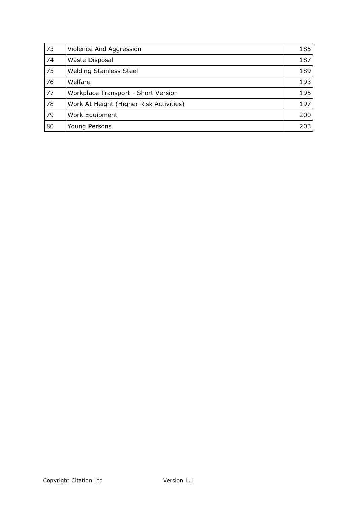| 73 | Violence And Aggression                 | 185 |
|----|-----------------------------------------|-----|
| 74 | Waste Disposal                          | 187 |
| 75 | <b>Welding Stainless Steel</b>          | 189 |
| 76 | Welfare                                 | 193 |
| 77 | Workplace Transport - Short Version     | 195 |
| 78 | Work At Height (Higher Risk Activities) | 197 |
| 79 | Work Equipment                          | 200 |
| 80 | Young Persons                           | 203 |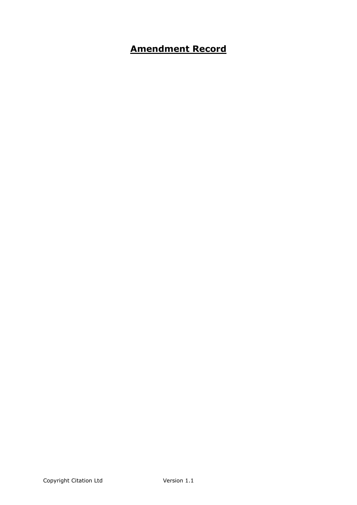# <span id="page-5-0"></span>**Amendment Record**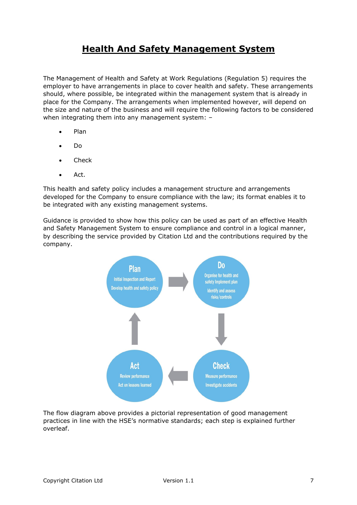# <span id="page-6-0"></span>**Health And Safety Management System**

The Management of Health and Safety at Work Regulations (Regulation 5) requires the employer to have arrangements in place to cover health and safety. These arrangements should, where possible, be integrated within the management system that is already in place for the Company. The arrangements when implemented however, will depend on the size and nature of the business and will require the following factors to be considered when integrating them into any management system: -

- Plan
- Do
- Check
- Act.

This health and safety policy includes a management structure and arrangements developed for the Company to ensure compliance with the law; its format enables it to be integrated with any existing management systems.

Guidance is provided to show how this policy can be used as part of an effective Health and Safety Management System to ensure compliance and control in a logical manner, by describing the service provided by Citation Ltd and the contributions required by the company.



The flow diagram above provides a pictorial representation of good management practices in line with the HSE's normative standards; each step is explained further overleaf.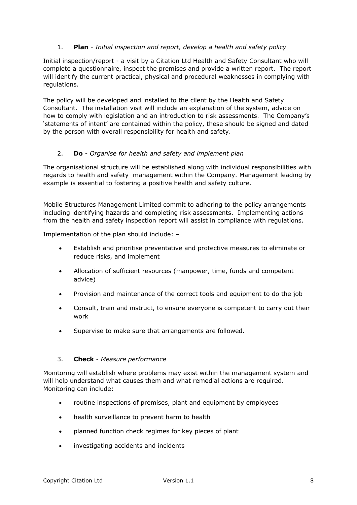# 1. **Plan** - *Initial inspection and report, develop a health and safety policy*

Initial inspection/report - a visit by a Citation Ltd Health and Safety Consultant who will complete a questionnaire, inspect the premises and provide a written report. The report will identify the current practical, physical and procedural weaknesses in complying with regulations.

The policy will be developed and installed to the client by the Health and Safety Consultant. The installation visit will include an explanation of the system, advice on how to comply with legislation and an introduction to risk assessments. The Company's 'statements of intent' are contained within the policy, these should be signed and dated by the person with overall responsibility for health and safety.

# 2. **Do** *- Organise for health and safety and implement plan*

The organisational structure will be established along with individual responsibilities with regards to health and safety management within the Company. Management leading by example is essential to fostering a positive health and safety culture.

Mobile Structures Management Limited commit to adhering to the policy arrangements including identifying hazards and completing risk assessments. Implementing actions from the health and safety inspection report will assist in compliance with regulations.

Implementation of the plan should include: –

- Establish and prioritise preventative and protective measures to eliminate or reduce risks, and implement
- Allocation of sufficient resources (manpower, time, funds and competent advice)
- Provision and maintenance of the correct tools and equipment to do the job
- Consult, train and instruct, to ensure everyone is competent to carry out their work
- Supervise to make sure that arrangements are followed.

### 3. **Check** - *Measure performance*

Monitoring will establish where problems may exist within the management system and will help understand what causes them and what remedial actions are required. Monitoring can include:

- routine inspections of premises, plant and equipment by employees
- health surveillance to prevent harm to health
- planned function check regimes for key pieces of plant
- investigating accidents and incidents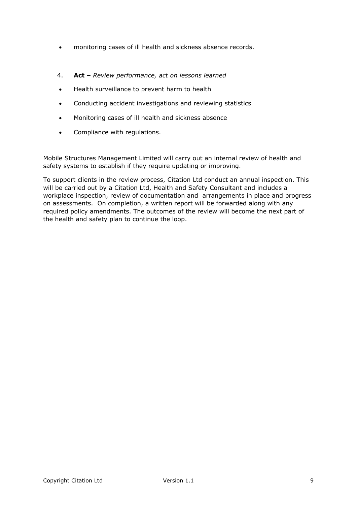- monitoring cases of ill health and sickness absence records.
- 4. **Act –** *Review performance, act on lessons learned*
- Health surveillance to prevent harm to health
- Conducting accident investigations and reviewing statistics
- Monitoring cases of ill health and sickness absence
- Compliance with regulations.

Mobile Structures Management Limited will carry out an internal review of health and safety systems to establish if they require updating or improving.

To support clients in the review process, Citation Ltd conduct an annual inspection. This will be carried out by a Citation Ltd, Health and Safety Consultant and includes a workplace inspection, review of documentation and arrangements in place and progress on assessments. On completion, a written report will be forwarded along with any required policy amendments. The outcomes of the review will become the next part of the health and safety plan to continue the loop.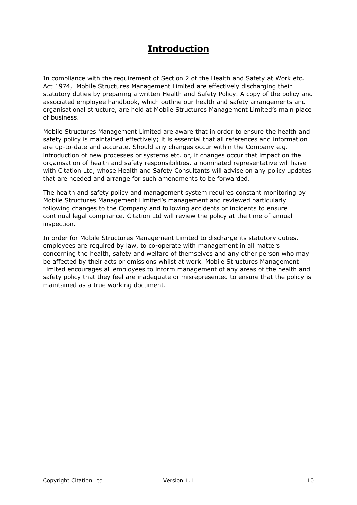# <span id="page-9-0"></span>**Introduction**

In compliance with the requirement of Section 2 of the Health and Safety at Work etc. Act 1974, Mobile Structures Management Limited are effectively discharging their statutory duties by preparing a written Health and Safety Policy. A copy of the policy and associated employee handbook, which outline our health and safety arrangements and organisational structure, are held at Mobile Structures Management Limited's main place of business.

Mobile Structures Management Limited are aware that in order to ensure the health and safety policy is maintained effectively; it is essential that all references and information are up-to-date and accurate. Should any changes occur within the Company e.g. introduction of new processes or systems etc. or, if changes occur that impact on the organisation of health and safety responsibilities, a nominated representative will liaise with Citation Ltd, whose Health and Safety Consultants will advise on any policy updates that are needed and arrange for such amendments to be forwarded.

The health and safety policy and management system requires constant monitoring by Mobile Structures Management Limited's management and reviewed particularly following changes to the Company and following accidents or incidents to ensure continual legal compliance. Citation Ltd will review the policy at the time of annual inspection.

In order for Mobile Structures Management Limited to discharge its statutory duties, employees are required by law, to co-operate with management in all matters concerning the health, safety and welfare of themselves and any other person who may be affected by their acts or omissions whilst at work. Mobile Structures Management Limited encourages all employees to inform management of any areas of the health and safety policy that they feel are inadequate or misrepresented to ensure that the policy is maintained as a true working document.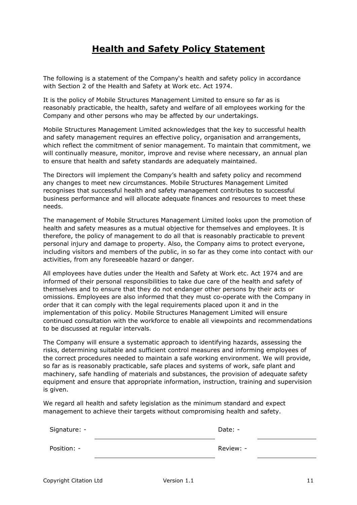# <span id="page-10-0"></span>**Health and Safety Policy Statement**

The following is a statement of the Company's health and safety policy in accordance with Section 2 of the Health and Safety at Work etc. Act 1974.

It is the policy of Mobile Structures Management Limited to ensure so far as is reasonably practicable, the health, safety and welfare of all employees working for the Company and other persons who may be affected by our undertakings.

Mobile Structures Management Limited acknowledges that the key to successful health and safety management requires an effective policy, organisation and arrangements, which reflect the commitment of senior management. To maintain that commitment, we will continually measure, monitor, improve and revise where necessary, an annual plan to ensure that health and safety standards are adequately maintained.

The Directors will implement the Company's health and safety policy and recommend any changes to meet new circumstances. Mobile Structures Management Limited recognises that successful health and safety management contributes to successful business performance and will allocate adequate finances and resources to meet these needs.

The management of Mobile Structures Management Limited looks upon the promotion of health and safety measures as a mutual objective for themselves and employees. It is therefore, the policy of management to do all that is reasonably practicable to prevent personal injury and damage to property. Also, the Company aims to protect everyone, including visitors and members of the public, in so far as they come into contact with our activities, from any foreseeable hazard or danger.

All employees have duties under the Health and Safety at Work etc. Act 1974 and are informed of their personal responsibilities to take due care of the health and safety of themselves and to ensure that they do not endanger other persons by their acts or omissions. Employees are also informed that they must co-operate with the Company in order that it can comply with the legal requirements placed upon it and in the implementation of this policy. Mobile Structures Management Limited will ensure continued consultation with the workforce to enable all viewpoints and recommendations to be discussed at regular intervals.

The Company will ensure a systematic approach to identifying hazards, assessing the risks, determining suitable and sufficient control measures and informing employees of the correct procedures needed to maintain a safe working environment. We will provide, so far as is reasonably practicable, safe places and systems of work, safe plant and machinery, safe handling of materials and substances, the provision of adequate safety equipment and ensure that appropriate information, instruction, training and supervision is given.

We regard all health and safety legislation as the minimum standard and expect management to achieve their targets without compromising health and safety.

| Signature: - |  | Date: -   |  |
|--------------|--|-----------|--|
| Position: -  |  | Review: - |  |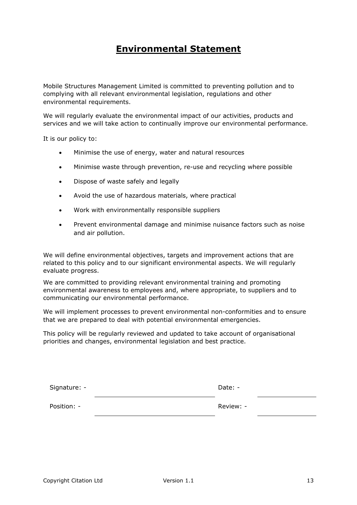# <span id="page-12-0"></span>**Environmental Statement**

Mobile Structures Management Limited is committed to preventing pollution and to complying with all relevant environmental legislation, regulations and other environmental requirements.

We will regularly evaluate the environmental impact of our activities, products and services and we will take action to continually improve our environmental performance.

It is our policy to:

- Minimise the use of energy, water and natural resources
- Minimise waste through prevention, re-use and recycling where possible
- Dispose of waste safely and legally
- Avoid the use of hazardous materials, where practical
- Work with environmentally responsible suppliers
- Prevent environmental damage and minimise nuisance factors such as noise and air pollution.

We will define environmental objectives, targets and improvement actions that are related to this policy and to our significant environmental aspects. We will regularly evaluate progress.

We are committed to providing relevant environmental training and promoting environmental awareness to employees and, where appropriate, to suppliers and to communicating our environmental performance.

We will implement processes to prevent environmental non-conformities and to ensure that we are prepared to deal with potential environmental emergencies.

This policy will be regularly reviewed and updated to take account of organisational priorities and changes, environmental legislation and best practice.

| Signature: - |  | Date: -   |  |
|--------------|--|-----------|--|
| Position: -  |  | Review: - |  |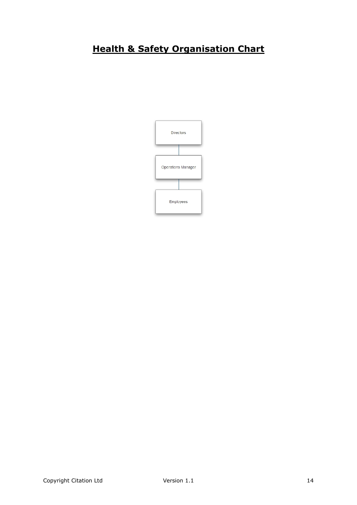# <span id="page-13-0"></span>**Health & Safety Organisation Chart**

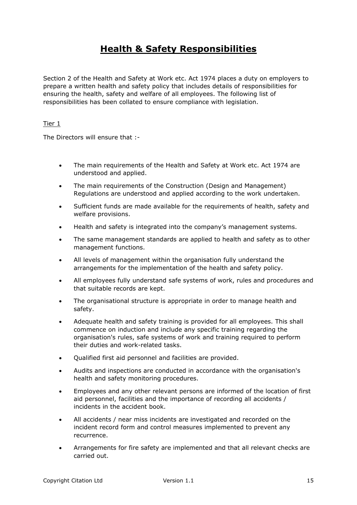# <span id="page-14-0"></span>**Health & Safety Responsibilities**

Section 2 of the Health and Safety at Work etc. Act 1974 places a duty on employers to prepare a written health and safety policy that includes details of responsibilities for ensuring the health, safety and welfare of all employees. The following list of responsibilities has been collated to ensure compliance with legislation.

### Tier 1

The Directors will ensure that :-

- The main requirements of the Health and Safety at Work etc. Act 1974 are understood and applied.
- The main requirements of the Construction (Design and Management) Regulations are understood and applied according to the work undertaken.
- Sufficient funds are made available for the requirements of health, safety and welfare provisions.
- Health and safety is integrated into the company's management systems.
- The same management standards are applied to health and safety as to other management functions.
- All levels of management within the organisation fully understand the arrangements for the implementation of the health and safety policy.
- All employees fully understand safe systems of work, rules and procedures and that suitable records are kept.
- The organisational structure is appropriate in order to manage health and safety.
- Adequate health and safety training is provided for all employees. This shall commence on induction and include any specific training regarding the organisation's rules, safe systems of work and training required to perform their duties and work-related tasks.
- Qualified first aid personnel and facilities are provided.
- Audits and inspections are conducted in accordance with the organisation's health and safety monitoring procedures.
- Employees and any other relevant persons are informed of the location of first aid personnel, facilities and the importance of recording all accidents / incidents in the accident book.
- All accidents / near miss incidents are investigated and recorded on the incident record form and control measures implemented to prevent any recurrence.
- Arrangements for fire safety are implemented and that all relevant checks are carried out.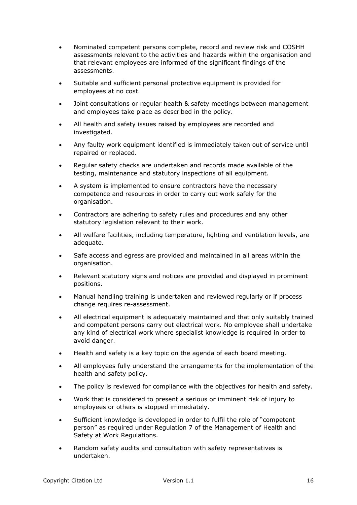- Nominated competent persons complete, record and review risk and COSHH assessments relevant to the activities and hazards within the organisation and that relevant employees are informed of the significant findings of the assessments.
- Suitable and sufficient personal protective equipment is provided for employees at no cost.
- Joint consultations or regular health & safety meetings between management and employees take place as described in the policy.
- All health and safety issues raised by employees are recorded and investigated.
- Any faulty work equipment identified is immediately taken out of service until repaired or replaced.
- Regular safety checks are undertaken and records made available of the testing, maintenance and statutory inspections of all equipment.
- A system is implemented to ensure contractors have the necessary competence and resources in order to carry out work safely for the organisation.
- Contractors are adhering to safety rules and procedures and any other statutory legislation relevant to their work.
- All welfare facilities, including temperature, lighting and ventilation levels, are adequate.
- Safe access and egress are provided and maintained in all areas within the organisation.
- Relevant statutory signs and notices are provided and displayed in prominent positions.
- Manual handling training is undertaken and reviewed regularly or if process change requires re-assessment.
- All electrical equipment is adequately maintained and that only suitably trained and competent persons carry out electrical work. No employee shall undertake any kind of electrical work where specialist knowledge is required in order to avoid danger.
- Health and safety is a key topic on the agenda of each board meeting.
- All employees fully understand the arrangements for the implementation of the health and safety policy.
- The policy is reviewed for compliance with the objectives for health and safety.
- Work that is considered to present a serious or imminent risk of injury to employees or others is stopped immediately.
- Sufficient knowledge is developed in order to fulfil the role of "competent person" as required under Regulation 7 of the Management of Health and Safety at Work Regulations.
- Random safety audits and consultation with safety representatives is undertaken.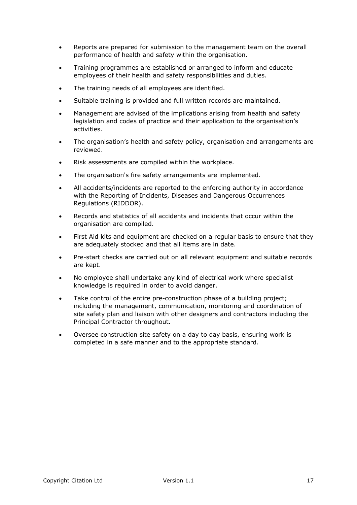- Reports are prepared for submission to the management team on the overall performance of health and safety within the organisation.
- Training programmes are established or arranged to inform and educate employees of their health and safety responsibilities and duties.
- The training needs of all employees are identified.
- Suitable training is provided and full written records are maintained.
- Management are advised of the implications arising from health and safety legislation and codes of practice and their application to the organisation's activities.
- The organisation's health and safety policy, organisation and arrangements are reviewed.
- Risk assessments are compiled within the workplace.
- The organisation's fire safety arrangements are implemented.
- All accidents/incidents are reported to the enforcing authority in accordance with the Reporting of Incidents, Diseases and Dangerous Occurrences Regulations (RIDDOR).
- Records and statistics of all accidents and incidents that occur within the organisation are compiled.
- First Aid kits and equipment are checked on a regular basis to ensure that they are adequately stocked and that all items are in date.
- Pre-start checks are carried out on all relevant equipment and suitable records are kept.
- No employee shall undertake any kind of electrical work where specialist knowledge is required in order to avoid danger.
- Take control of the entire pre-construction phase of a building project; including the management, communication, monitoring and coordination of site safety plan and liaison with other designers and contractors including the Principal Contractor throughout.
- Oversee construction site safety on a day to day basis, ensuring work is completed in a safe manner and to the appropriate standard.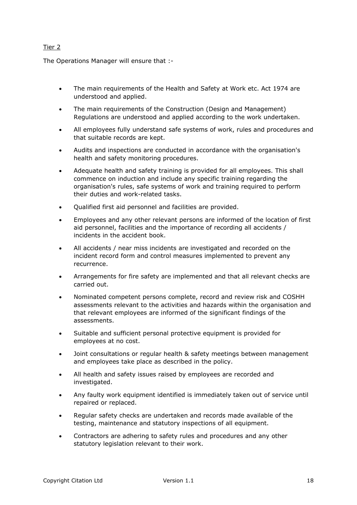# <span id="page-17-0"></span>Tier 2

The Operations Manager will ensure that :-

- The main requirements of the Health and Safety at Work etc. Act 1974 are understood and applied.
- The main requirements of the Construction (Design and Management) Regulations are understood and applied according to the work undertaken.
- All employees fully understand safe systems of work, rules and procedures and that suitable records are kept.
- Audits and inspections are conducted in accordance with the organisation's health and safety monitoring procedures.
- Adequate health and safety training is provided for all employees. This shall commence on induction and include any specific training regarding the organisation's rules, safe systems of work and training required to perform their duties and work-related tasks.
- Qualified first aid personnel and facilities are provided.
- Employees and any other relevant persons are informed of the location of first aid personnel, facilities and the importance of recording all accidents / incidents in the accident book.
- All accidents / near miss incidents are investigated and recorded on the incident record form and control measures implemented to prevent any recurrence.
- Arrangements for fire safety are implemented and that all relevant checks are carried out.
- Nominated competent persons complete, record and review risk and COSHH assessments relevant to the activities and hazards within the organisation and that relevant employees are informed of the significant findings of the assessments.
- Suitable and sufficient personal protective equipment is provided for employees at no cost.
- Joint consultations or regular health & safety meetings between management and employees take place as described in the policy.
- All health and safety issues raised by employees are recorded and investigated.
- Any faulty work equipment identified is immediately taken out of service until repaired or replaced.
- Regular safety checks are undertaken and records made available of the testing, maintenance and statutory inspections of all equipment.
- Contractors are adhering to safety rules and procedures and any other statutory legislation relevant to their work.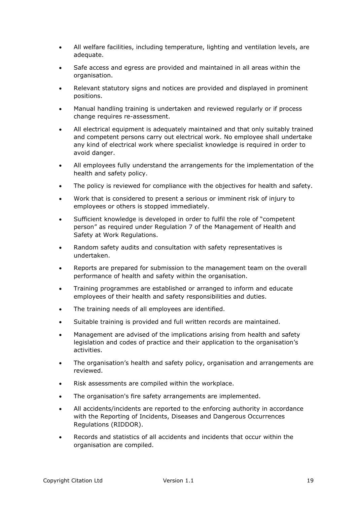- All welfare facilities, including temperature, lighting and ventilation levels, are adequate.
- Safe access and egress are provided and maintained in all areas within the organisation.
- Relevant statutory signs and notices are provided and displayed in prominent positions.
- Manual handling training is undertaken and reviewed regularly or if process change requires re-assessment.
- All electrical equipment is adequately maintained and that only suitably trained and competent persons carry out electrical work. No employee shall undertake any kind of electrical work where specialist knowledge is required in order to avoid danger.
- All employees fully understand the arrangements for the implementation of the health and safety policy.
- The policy is reviewed for compliance with the objectives for health and safety.
- Work that is considered to present a serious or imminent risk of injury to employees or others is stopped immediately.
- Sufficient knowledge is developed in order to fulfil the role of "competent person" as required under Regulation 7 of the Management of Health and Safety at Work Regulations.
- Random safety audits and consultation with safety representatives is undertaken.
- Reports are prepared for submission to the management team on the overall performance of health and safety within the organisation.
- Training programmes are established or arranged to inform and educate employees of their health and safety responsibilities and duties.
- The training needs of all employees are identified.
- Suitable training is provided and full written records are maintained.
- Management are advised of the implications arising from health and safety legislation and codes of practice and their application to the organisation's activities.
- The organisation's health and safety policy, organisation and arrangements are reviewed.
- Risk assessments are compiled within the workplace.
- The organisation's fire safety arrangements are implemented.
- All accidents/incidents are reported to the enforcing authority in accordance with the Reporting of Incidents, Diseases and Dangerous Occurrences Regulations (RIDDOR).
- Records and statistics of all accidents and incidents that occur within the organisation are compiled.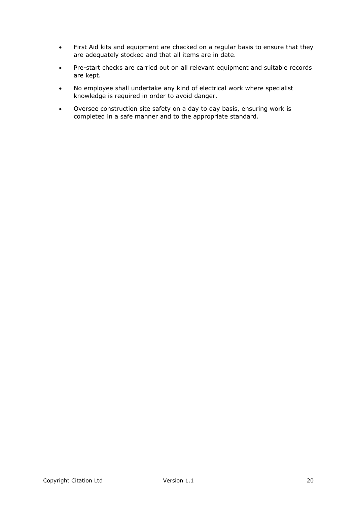- First Aid kits and equipment are checked on a regular basis to ensure that they are adequately stocked and that all items are in date.
- Pre-start checks are carried out on all relevant equipment and suitable records are kept.
- No employee shall undertake any kind of electrical work where specialist knowledge is required in order to avoid danger.
- Oversee construction site safety on a day to day basis, ensuring work is completed in a safe manner and to the appropriate standard.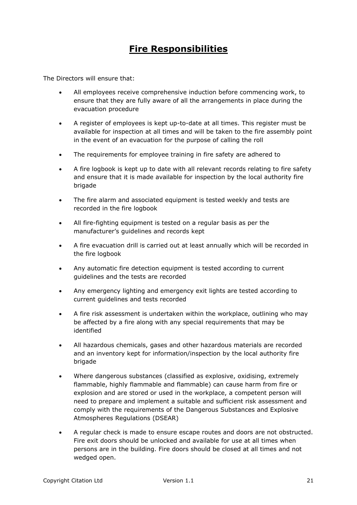# <span id="page-20-0"></span>**Fire Responsibilities**

The Directors will ensure that:

- All employees receive comprehensive induction before commencing work, to ensure that they are fully aware of all the arrangements in place during the evacuation procedure
- A register of employees is kept up-to-date at all times. This register must be available for inspection at all times and will be taken to the fire assembly point in the event of an evacuation for the purpose of calling the roll
- The requirements for employee training in fire safety are adhered to
- A fire logbook is kept up to date with all relevant records relating to fire safety and ensure that it is made available for inspection by the local authority fire brigade
- The fire alarm and associated equipment is tested weekly and tests are recorded in the fire logbook
- All fire-fighting equipment is tested on a regular basis as per the manufacturer's guidelines and records kept
- A fire evacuation drill is carried out at least annually which will be recorded in the fire logbook
- Any automatic fire detection equipment is tested according to current guidelines and the tests are recorded
- Any emergency lighting and emergency exit lights are tested according to current guidelines and tests recorded
- A fire risk assessment is undertaken within the workplace, outlining who may be affected by a fire along with any special requirements that may be identified
- All hazardous chemicals, gases and other hazardous materials are recorded and an inventory kept for information/inspection by the local authority fire brigade
- Where dangerous substances (classified as explosive, oxidising, extremely flammable, highly flammable and flammable) can cause harm from fire or explosion and are stored or used in the workplace, a competent person will need to prepare and implement a suitable and sufficient risk assessment and comply with the requirements of the Dangerous Substances and Explosive Atmospheres Regulations (DSEAR)
- A regular check is made to ensure escape routes and doors are not obstructed. Fire exit doors should be unlocked and available for use at all times when persons are in the building. Fire doors should be closed at all times and not wedged open.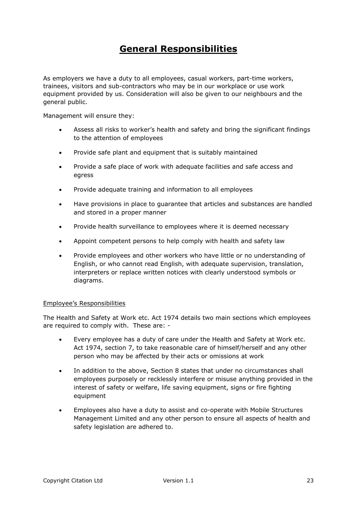# <span id="page-22-0"></span>**General Responsibilities**

As employers we have a duty to all employees, casual workers, part-time workers, trainees, visitors and sub-contractors who may be in our workplace or use work equipment provided by us. Consideration will also be given to our neighbours and the general public.

Management will ensure they:

- Assess all risks to worker's health and safety and bring the significant findings to the attention of employees
- Provide safe plant and equipment that is suitably maintained
- Provide a safe place of work with adequate facilities and safe access and egress
- Provide adequate training and information to all employees
- Have provisions in place to guarantee that articles and substances are handled and stored in a proper manner
- Provide health surveillance to employees where it is deemed necessary
- Appoint competent persons to help comply with health and safety law
- Provide employees and other workers who have little or no understanding of English, or who cannot read English, with adequate supervision, translation, interpreters or replace written notices with clearly understood symbols or diagrams.

### Employee's Responsibilities

The Health and Safety at Work etc. Act 1974 details two main sections which employees are required to comply with. These are: -

- Every employee has a duty of care under the Health and Safety at Work etc. Act 1974, section 7, to take reasonable care of himself/herself and any other person who may be affected by their acts or omissions at work
- In addition to the above, Section 8 states that under no circumstances shall employees purposely or recklessly interfere or misuse anything provided in the interest of safety or welfare, life saving equipment, signs or fire fighting equipment
- Employees also have a duty to assist and co-operate with Mobile Structures Management Limited and any other person to ensure all aspects of health and safety legislation are adhered to.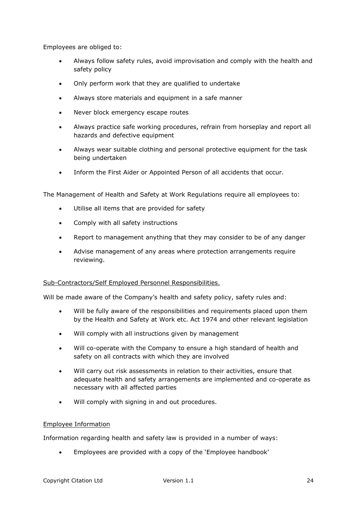Employees are obliged to:

- Always follow safety rules, avoid improvisation and comply with the health and safety policy
- Only perform work that they are qualified to undertake
- Always store materials and equipment in a safe manner
- Never block emergency escape routes
- Always practice safe working procedures, refrain from horseplay and report all hazards and defective equipment
- Always wear suitable clothing and personal protective equipment for the task being undertaken
- Inform the First Aider or Appointed Person of all accidents that occur.

The Management of Health and Safety at Work Regulations require all employees to:

- Utilise all items that are provided for safety
- Comply with all safety instructions
- Report to management anything that they may consider to be of any danger
- Advise management of any areas where protection arrangements require reviewing.

### Sub-Contractors/Self Employed Personnel Responsibilities.

Will be made aware of the Company's health and safety policy, safety rules and:

- Will be fully aware of the responsibilities and requirements placed upon them by the Health and Safety at Work etc. Act 1974 and other relevant legislation
- Will comply with all instructions given by management
- Will co-operate with the Company to ensure a high standard of health and safety on all contracts with which they are involved
- Will carry out risk assessments in relation to their activities, ensure that adequate health and safety arrangements are implemented and co-operate as necessary with all affected parties
- Will comply with signing in and out procedures.

### Employee Information

Information regarding health and safety law is provided in a number of ways:

Employees are provided with a copy of the 'Employee handbook'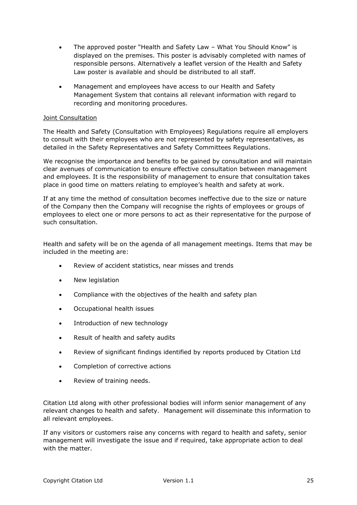- The approved poster "Health and Safety Law What You Should Know" is displayed on the premises. This poster is advisably completed with names of responsible persons. Alternatively a leaflet version of the Health and Safety Law poster is available and should be distributed to all staff.
- Management and employees have access to our Health and Safety Management System that contains all relevant information with regard to recording and monitoring procedures.

### Joint Consultation

The Health and Safety (Consultation with Employees) Regulations require all employers to consult with their employees who are not represented by safety representatives, as detailed in the Safety Representatives and Safety Committees Regulations.

We recognise the importance and benefits to be gained by consultation and will maintain clear avenues of communication to ensure effective consultation between management and employees. It is the responsibility of management to ensure that consultation takes place in good time on matters relating to employee's health and safety at work.

If at any time the method of consultation becomes ineffective due to the size or nature of the Company then the Company will recognise the rights of employees or groups of employees to elect one or more persons to act as their representative for the purpose of such consultation.

Health and safety will be on the agenda of all management meetings. Items that may be included in the meeting are:

- Review of accident statistics, near misses and trends
- New legislation
- Compliance with the objectives of the health and safety plan
- Occupational health issues
- Introduction of new technology
- Result of health and safety audits
- Review of significant findings identified by reports produced by Citation Ltd
- Completion of corrective actions
- Review of training needs.

Citation Ltd along with other professional bodies will inform senior management of any relevant changes to health and safety. Management will disseminate this information to all relevant employees.

If any visitors or customers raise any concerns with regard to health and safety, senior management will investigate the issue and if required, take appropriate action to deal with the matter.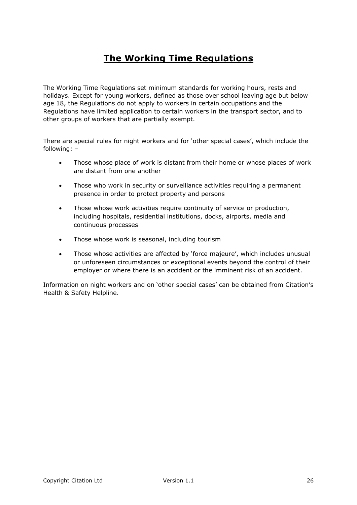# **The Working Time Regulations**

The Working Time Regulations set minimum standards for working hours, rests and holidays. Except for young workers, defined as those over school leaving age but below age 18, the Regulations do not apply to workers in certain occupations and the Regulations have limited application to certain workers in the transport sector, and to other groups of workers that are partially exempt.

There are special rules for night workers and for 'other special cases', which include the following: –

- Those whose place of work is distant from their home or whose places of work are distant from one another
- Those who work in security or surveillance activities requiring a permanent presence in order to protect property and persons
- Those whose work activities require continuity of service or production, including hospitals, residential institutions, docks, airports, media and continuous processes
- Those whose work is seasonal, including tourism
- Those whose activities are affected by 'force majeure', which includes unusual or unforeseen circumstances or exceptional events beyond the control of their employer or where there is an accident or the imminent risk of an accident.

Information on night workers and on 'other special cases' can be obtained from Citation's Health & Safety Helpline.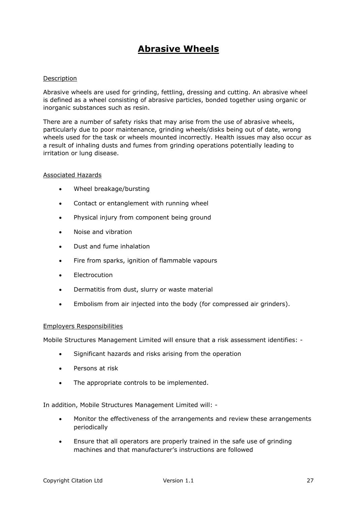# <span id="page-26-0"></span>**Abrasive Wheels**

### Description

Abrasive wheels are used for grinding, fettling, dressing and cutting. An abrasive wheel is defined as a wheel consisting of abrasive particles, bonded together using organic or inorganic substances such as resin.

There are a number of safety risks that may arise from the use of abrasive wheels, particularly due to poor maintenance, grinding wheels/disks being out of date, wrong wheels used for the task or wheels mounted incorrectly. Health issues may also occur as a result of inhaling dusts and fumes from grinding operations potentially leading to irritation or lung disease.

#### Associated Hazards

- Wheel breakage/bursting
- Contact or entanglement with running wheel
- Physical injury from component being ground
- Noise and vibration
- Dust and fume inhalation
- Fire from sparks, ignition of flammable vapours
- Electrocution
- Dermatitis from dust, slurry or waste material
- Embolism from air injected into the body (for compressed air grinders).

### Employers Responsibilities

Mobile Structures Management Limited will ensure that a risk assessment identifies: -

- Significant hazards and risks arising from the operation
- Persons at risk
- The appropriate controls to be implemented.

In addition, Mobile Structures Management Limited will: -

- Monitor the effectiveness of the arrangements and review these arrangements periodically
- Ensure that all operators are properly trained in the safe use of grinding machines and that manufacturer's instructions are followed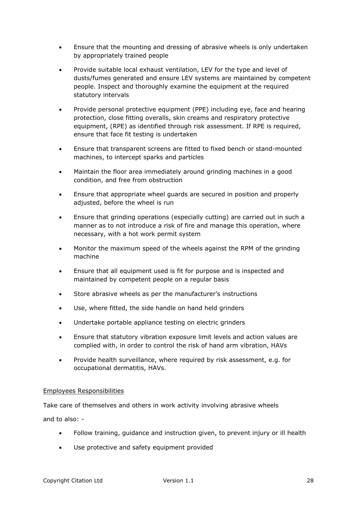- Ensure that the mounting and dressing of abrasive wheels is only undertaken by appropriately trained people
- Provide suitable local exhaust ventilation, LEV for the type and level of dusts/fumes generated and ensure LEV systems are maintained by competent people. Inspect and thoroughly examine the equipment at the required statutory intervals
- Provide personal protective equipment (PPE) including eye, face and hearing protection, close fitting overalls, skin creams and respiratory protective equipment, (RPE) as identified through risk assessment. If RPE is required, ensure that face fit testing is undertaken
- Ensure that transparent screens are fitted to fixed bench or stand-mounted machines, to intercept sparks and particles
- Maintain the floor area immediately around grinding machines in a good condition, and free from obstruction
- Ensure that appropriate wheel guards are secured in position and properly adjusted, before the wheel is run
- Ensure that grinding operations (especially cutting) are carried out in such a manner as to not introduce a risk of fire and manage this operation, where necessary, with a hot work permit system
- Monitor the maximum speed of the wheels against the RPM of the grinding machine
- Ensure that all equipment used is fit for purpose and is inspected and maintained by competent people on a regular basis
- Store abrasive wheels as per the manufacturer's instructions
- Use, where fitted, the side handle on hand held grinders
- Undertake portable appliance testing on electric grinders
- Ensure that statutory vibration exposure limit levels and action values are complied with, in order to control the risk of hand arm vibration, HAVs
- Provide health surveillance, where required by risk assessment, e.g. for occupational dermatitis, HAVs.

# Employees Responsibilities

Take care of themselves and others in work activity involving abrasive wheels

and to also: -

- Follow training, guidance and instruction given, to prevent injury or ill health
- Use protective and safety equipment provided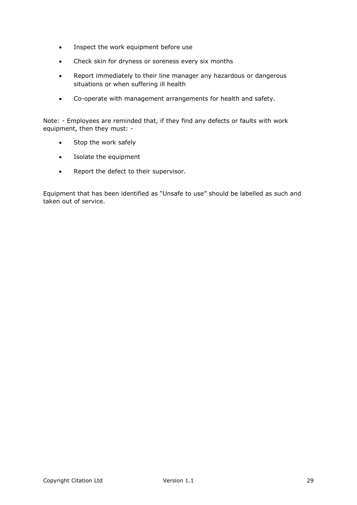- Inspect the work equipment before use
- Check skin for dryness or soreness every six months
- Report immediately to their line manager any hazardous or dangerous situations or when suffering ill health
- Co-operate with management arrangements for health and safety.

Note: - Employees are reminded that, if they find any defects or faults with work equipment, then they must: -

- Stop the work safely
- Isolate the equipment
- Report the defect to their supervisor.

Equipment that has been identified as "Unsafe to use" should be labelled as such and taken out of service.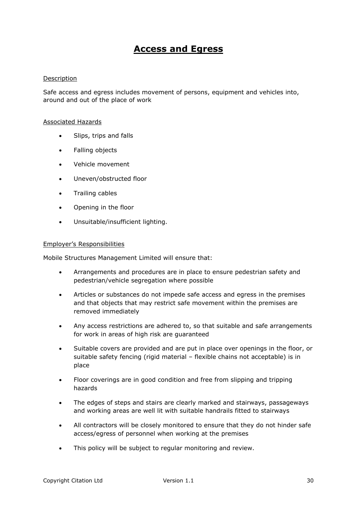# <span id="page-29-0"></span>**Access and Egress**

### Description

Safe access and egress includes movement of persons, equipment and vehicles into, around and out of the place of work

#### Associated Hazards

- Slips, trips and falls
- Falling objects
- Vehicle movement
- Uneven/obstructed floor
- **•** Trailing cables
- Opening in the floor
- Unsuitable/insufficient lighting.

#### Employer's Responsibilities

Mobile Structures Management Limited will ensure that:

- Arrangements and procedures are in place to ensure pedestrian safety and pedestrian/vehicle segregation where possible
- Articles or substances do not impede safe access and egress in the premises and that objects that may restrict safe movement within the premises are removed immediately
- Any access restrictions are adhered to, so that suitable and safe arrangements for work in areas of high risk are guaranteed
- Suitable covers are provided and are put in place over openings in the floor, or suitable safety fencing (rigid material – flexible chains not acceptable) is in place
- Floor coverings are in good condition and free from slipping and tripping hazards
- The edges of steps and stairs are clearly marked and stairways, passageways and working areas are well lit with suitable handrails fitted to stairways
- All contractors will be closely monitored to ensure that they do not hinder safe access/egress of personnel when working at the premises
- This policy will be subject to regular monitoring and review.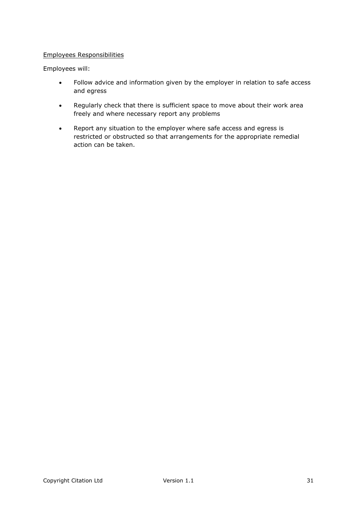### Employees Responsibilities

Employees will:

- Follow advice and information given by the employer in relation to safe access and egress
- Regularly check that there is sufficient space to move about their work area freely and where necessary report any problems
- Report any situation to the employer where safe access and egress is restricted or obstructed so that arrangements for the appropriate remedial action can be taken.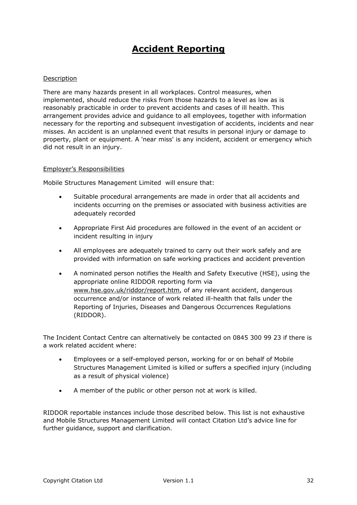# <span id="page-31-0"></span>**Accident Reporting**

### Description

There are many hazards present in all workplaces. Control measures, when implemented, should reduce the risks from those hazards to a level as low as is reasonably practicable in order to prevent accidents and cases of ill health. This arrangement provides advice and guidance to all employees, together with information necessary for the reporting and subsequent investigation of accidents, incidents and near misses. An accident is an unplanned event that results in personal injury or damage to property, plant or equipment. A 'near miss' is any incident, accident or emergency which did not result in an injury.

### Employer's Responsibilities

Mobile Structures Management Limited will ensure that:

- Suitable procedural arrangements are made in order that all accidents and incidents occurring on the premises or associated with business activities are adequately recorded
- Appropriate First Aid procedures are followed in the event of an accident or incident resulting in injury
- All employees are adequately trained to carry out their work safely and are provided with information on safe working practices and accident prevention
- A nominated person notifies the Health and Safety Executive (HSE), using the appropriate online RIDDOR reporting form via [www.hse.gov.uk/riddor/report.htm,](http://www.hse.gov.uk/riddor/report.htm) of any relevant accident, dangerous occurrence and/or instance of work related ill-health that falls under the Reporting of Injuries, Diseases and Dangerous Occurrences Regulations (RIDDOR).

The Incident Contact Centre can alternatively be contacted on 0845 300 99 23 if there is a work related accident where:

- Employees or a self-employed person, working for or on behalf of Mobile Structures Management Limited is killed or suffers a specified injury (including as a result of physical violence)
- A member of the public or other person not at work is killed.

RIDDOR reportable instances include those described below. This list is not exhaustive and Mobile Structures Management Limited will contact Citation Ltd's advice line for further guidance, support and clarification.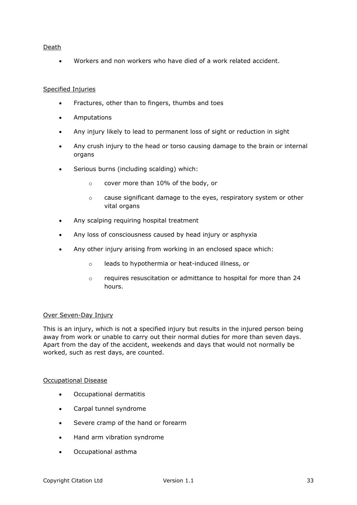# Death

Workers and non workers who have died of a work related accident.

# Specified Injuries

- Fractures, other than to fingers, thumbs and toes
- Amputations
- Any injury likely to lead to permanent loss of sight or reduction in sight
- Any crush injury to the head or torso causing damage to the brain or internal organs
- Serious burns (including scalding) which:
	- o cover more than 10% of the body, or
	- o cause significant damage to the eyes, respiratory system or other vital organs
- Any scalping requiring hospital treatment
- Any loss of consciousness caused by head injury or asphyxia
- Any other injury arising from working in an enclosed space which:
	- o leads to hypothermia or heat-induced illness, or
	- o requires resuscitation or admittance to hospital for more than 24 hours.

# Over Seven-Day Injury

This is an injury, which is not a specified injury but results in the injured person being away from work or unable to carry out their normal duties for more than seven days. Apart from the day of the accident, weekends and days that would not normally be worked, such as rest days, are counted.

# Occupational Disease

- Occupational dermatitis
- Carpal tunnel syndrome
- Severe cramp of the hand or forearm
- Hand arm vibration syndrome
- Occupational asthma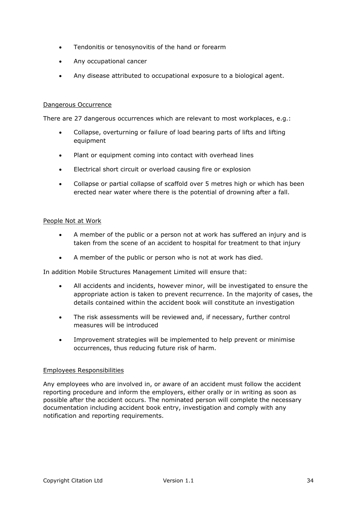- Tendonitis or tenosynovitis of the hand or forearm
- Any occupational cancer
- Any disease attributed to occupational exposure to a biological agent.

### Dangerous Occurrence

There are 27 dangerous occurrences which are relevant to most workplaces, e.g.:

- Collapse, overturning or failure of load bearing parts of lifts and lifting equipment
- Plant or equipment coming into contact with overhead lines
- Electrical short circuit or overload causing fire or explosion
- Collapse or partial collapse of scaffold over 5 metres high or which has been erected near water where there is the potential of drowning after a fall.

### People Not at Work

- A member of the public or a person not at work has suffered an injury and is taken from the scene of an accident to hospital for treatment to that injury
- A member of the public or person who is not at work has died.

In addition Mobile Structures Management Limited will ensure that:

- All accidents and incidents, however minor, will be investigated to ensure the appropriate action is taken to prevent recurrence. In the majority of cases, the details contained within the accident book will constitute an investigation
- The risk assessments will be reviewed and, if necessary, further control measures will be introduced
- Improvement strategies will be implemented to help prevent or minimise occurrences, thus reducing future risk of harm.

### Employees Responsibilities

Any employees who are involved in, or aware of an accident must follow the accident reporting procedure and inform the employers, either orally or in writing as soon as possible after the accident occurs. The nominated person will complete the necessary documentation including accident book entry, investigation and comply with any notification and reporting requirements.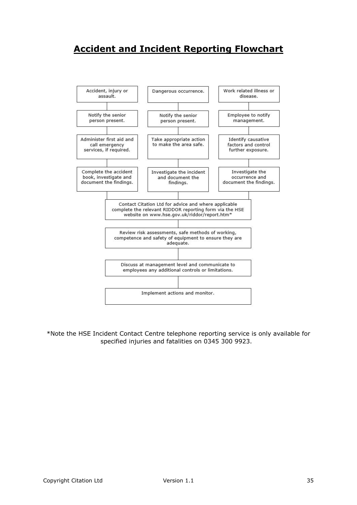# <span id="page-34-0"></span>**Accident and Incident Reporting Flowchart**



\*Note the HSE Incident Contact Centre telephone reporting service is only available for specified injuries and fatalities on 0345 300 9923.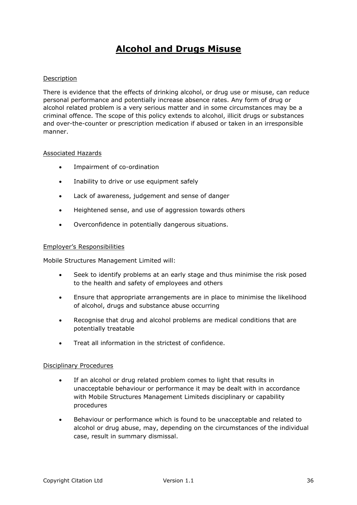# <span id="page-35-0"></span>**Alcohol and Drugs Misuse**

### Description

There is evidence that the effects of drinking alcohol, or drug use or misuse, can reduce personal performance and potentially increase absence rates. Any form of drug or alcohol related problem is a very serious matter and in some circumstances may be a criminal offence. The scope of this policy extends to alcohol, illicit drugs or substances and over-the-counter or prescription medication if abused or taken in an irresponsible manner.

### Associated Hazards

- Impairment of co-ordination
- Inability to drive or use equipment safely
- Lack of awareness, judgement and sense of danger
- Heightened sense, and use of aggression towards others
- Overconfidence in potentially dangerous situations.

#### Employer's Responsibilities

Mobile Structures Management Limited will:

- Seek to identify problems at an early stage and thus minimise the risk posed to the health and safety of employees and others
- Ensure that appropriate arrangements are in place to minimise the likelihood of alcohol, drugs and substance abuse occurring
- Recognise that drug and alcohol problems are medical conditions that are potentially treatable
- Treat all information in the strictest of confidence.

### Disciplinary Procedures

- If an alcohol or drug related problem comes to light that results in unacceptable behaviour or performance it may be dealt with in accordance with Mobile Structures Management Limiteds disciplinary or capability procedures
- Behaviour or performance which is found to be unacceptable and related to alcohol or drug abuse, may, depending on the circumstances of the individual case, result in summary dismissal.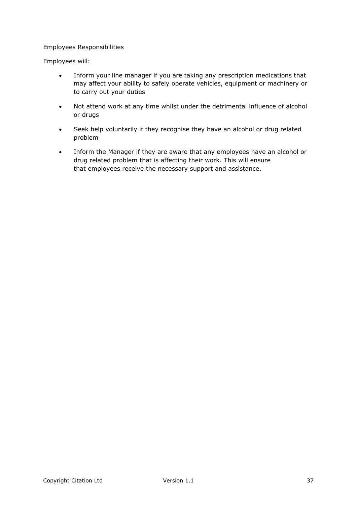# Employees Responsibilities

Employees will:

- Inform your line manager if you are taking any prescription medications that may affect your ability to safely operate vehicles, equipment or machinery or to carry out your duties
- Not attend work at any time whilst under the detrimental influence of alcohol or drugs
- Seek help voluntarily if they recognise they have an alcohol or drug related problem
- Inform the Manager if they are aware that any employees have an alcohol or drug related problem that is affecting their work. This will ensure that employees receive the necessary support and assistance.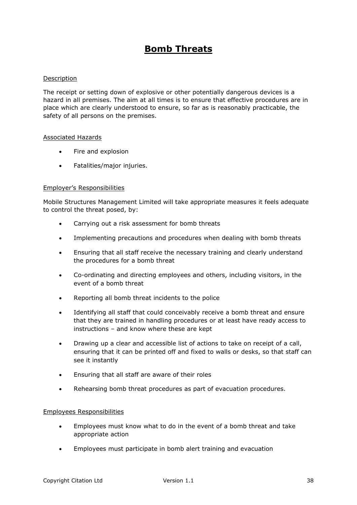# **Bomb Threats**

## Description

The receipt or setting down of explosive or other potentially dangerous devices is a hazard in all premises. The aim at all times is to ensure that effective procedures are in place which are clearly understood to ensure, so far as is reasonably practicable, the safety of all persons on the premises.

### Associated Hazards

- Fire and explosion
- Fatalities/major injuries.

### Employer's Responsibilities

Mobile Structures Management Limited will take appropriate measures it feels adequate to control the threat posed, by:

- Carrying out a risk assessment for bomb threats
- Implementing precautions and procedures when dealing with bomb threats
- Ensuring that all staff receive the necessary training and clearly understand the procedures for a bomb threat
- Co-ordinating and directing employees and others, including visitors, in the event of a bomb threat
- Reporting all bomb threat incidents to the police
- Identifying all staff that could conceivably receive a bomb threat and ensure that they are trained in handling procedures or at least have ready access to instructions – and know where these are kept
- Drawing up a clear and accessible list of actions to take on receipt of a call, ensuring that it can be printed off and fixed to walls or desks, so that staff can see it instantly
- Ensuring that all staff are aware of their roles
- Rehearsing bomb threat procedures as part of evacuation procedures.

### Employees Responsibilities

- Employees must know what to do in the event of a bomb threat and take appropriate action
- Employees must participate in bomb alert training and evacuation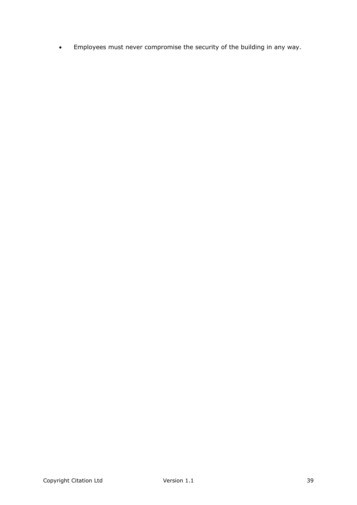Employees must never compromise the security of the building in any way.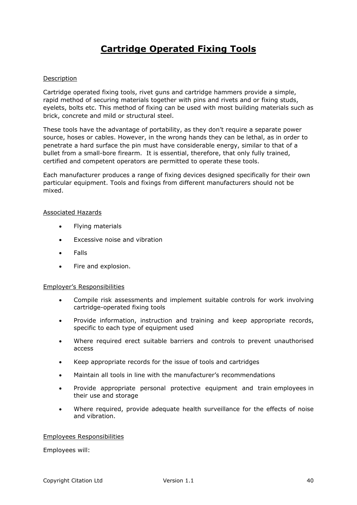# **Cartridge Operated Fixing Tools**

### Description

Cartridge operated fixing tools, rivet guns and cartridge hammers provide a simple, rapid method of securing materials together with pins and rivets and or fixing studs, eyelets, bolts etc. This method of fixing can be used with most building materials such as brick, concrete and mild or structural steel.

These tools have the advantage of portability, as they don't require a separate power source, hoses or cables. However, in the wrong hands they can be lethal, as in order to penetrate a hard surface the pin must have considerable energy, similar to that of a bullet from a small-bore firearm. It is essential, therefore, that only fully trained, certified and competent operators are permitted to operate these tools.

Each manufacturer produces a range of fixing devices designed specifically for their own particular equipment. Tools and fixings from different manufacturers should not be mixed.

### Associated Hazards

- Flying materials
- Excessive noise and vibration
- Falls
- Fire and explosion.

### Employer's Responsibilities

- Compile risk assessments and implement suitable controls for work involving cartridge-operated fixing tools
- Provide information, instruction and training and keep appropriate records, specific to each type of equipment used
- Where required erect suitable barriers and controls to prevent unauthorised access
- Keep appropriate records for the issue of tools and cartridges
- Maintain all tools in line with the manufacturer's recommendations
- Provide appropriate personal protective equipment and train employees in their use and storage
- Where required, provide adequate health surveillance for the effects of noise and vibration.

### Employees Responsibilities

Employees will: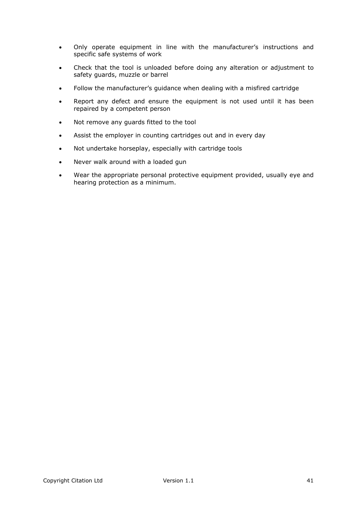- Only operate equipment in line with the manufacturer's instructions and specific safe systems of work
- Check that the tool is unloaded before doing any alteration or adjustment to safety guards, muzzle or barrel
- Follow the manufacturer's guidance when dealing with a misfired cartridge
- Report any defect and ensure the equipment is not used until it has been repaired by a competent person
- Not remove any guards fitted to the tool
- Assist the employer in counting cartridges out and in every day
- Not undertake horseplay, especially with cartridge tools
- Never walk around with a loaded gun
- Wear the appropriate personal protective equipment provided, usually eye and hearing protection as a minimum.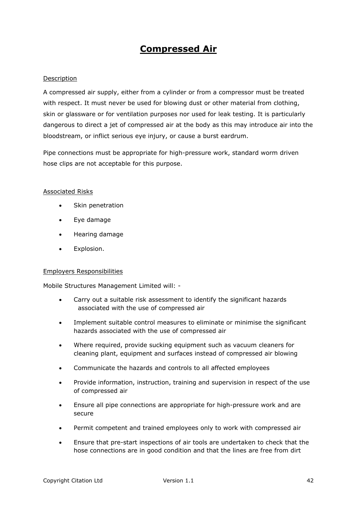# **Compressed Air**

# Description

A compressed air supply, either from a cylinder or from a compressor must be treated with respect. It must never be used for blowing dust or other material from clothing, skin or glassware or for ventilation purposes nor used for leak testing. It is particularly dangerous to direct a jet of compressed air at the body as this may introduce air into the bloodstream, or inflict serious eye injury, or cause a burst eardrum.

Pipe connections must be appropriate for high-pressure work, standard worm driven hose clips are not acceptable for this purpose.

### Associated Risks

- Skin penetration
- Eye damage
- **•** Hearing damage
- **•** Explosion.

### Employers Responsibilities

Mobile Structures Management Limited will: -

- Carry out a suitable risk assessment to identify the significant hazards associated with the use of compressed air
- Implement suitable control measures to eliminate or minimise the significant hazards associated with the use of compressed air
- Where required, provide sucking equipment such as vacuum cleaners for cleaning plant, equipment and surfaces instead of compressed air blowing
- Communicate the hazards and controls to all affected employees
- Provide information, instruction, training and supervision in respect of the use of compressed air
- Ensure all pipe connections are appropriate for high-pressure work and are secure
- Permit competent and trained employees only to work with compressed air
- Ensure that pre-start inspections of air tools are undertaken to check that the hose connections are in good condition and that the lines are free from dirt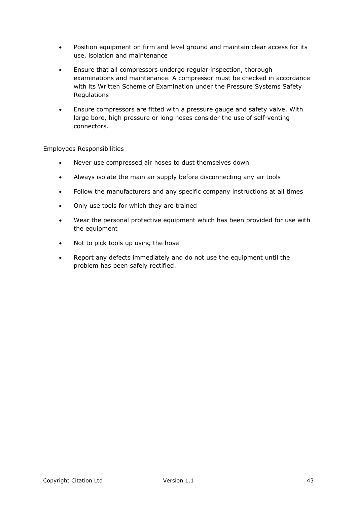- Position equipment on firm and level ground and maintain clear access for its use, isolation and maintenance
- Ensure that all compressors undergo regular inspection, thorough examinations and maintenance. A compressor must be checked in accordance with its Written Scheme of Examination under the Pressure Systems Safety Regulations
- Ensure compressors are fitted with a pressure gauge and safety valve. With large bore, high pressure or long hoses consider the use of self-venting connectors.

## Employees Responsibilities

- Never use compressed air hoses to dust themselves down
- Always isolate the main air supply before disconnecting any air tools
- Follow the manufacturers and any specific company instructions at all times
- Only use tools for which they are trained
- Wear the personal protective equipment which has been provided for use with the equipment
- Not to pick tools up using the hose
- Report any defects immediately and do not use the equipment until the problem has been safely rectified.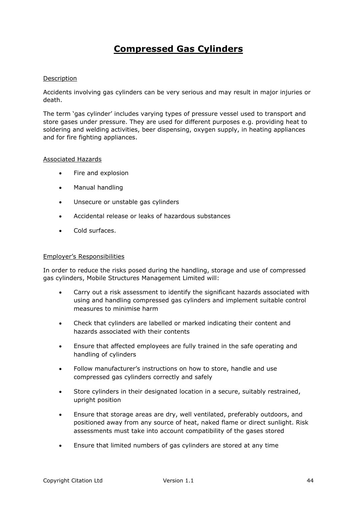# **Compressed Gas Cylinders**

## Description

Accidents involving gas cylinders can be very serious and may result in major injuries or death.

The term 'gas cylinder' includes varying types of pressure vessel used to transport and store gases under pressure. They are used for different purposes e.g. providing heat to soldering and welding activities, beer dispensing, oxygen supply, in heating appliances and for fire fighting appliances.

### Associated Hazards

- Fire and explosion
- Manual handling
- Unsecure or unstable gas cylinders
- Accidental release or leaks of hazardous substances
- Cold surfaces.

### Employer's Responsibilities

In order to reduce the risks posed during the handling, storage and use of compressed gas cylinders, Mobile Structures Management Limited will:

- Carry out a risk assessment to identify the significant hazards associated with using and handling compressed gas cylinders and implement suitable control measures to minimise harm
- Check that cylinders are labelled or marked indicating their content and hazards associated with their contents
- Ensure that affected employees are fully trained in the safe operating and handling of cylinders
- Follow manufacturer's instructions on how to store, handle and use compressed gas cylinders correctly and safely
- Store cylinders in their designated location in a secure, suitably restrained, upright position
- Ensure that storage areas are dry, well ventilated, preferably outdoors, and positioned away from any source of heat, naked flame or direct sunlight. Risk assessments must take into account compatibility of the gases stored
- Ensure that limited numbers of gas cylinders are stored at any time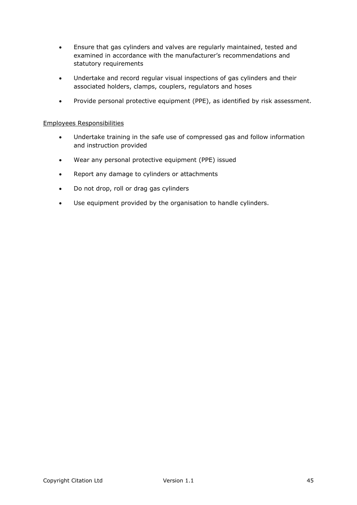- Ensure that gas cylinders and valves are regularly maintained, tested and examined in accordance with the manufacturer's recommendations and statutory requirements
- Undertake and record regular visual inspections of gas cylinders and their associated holders, clamps, couplers, regulators and hoses
- Provide personal protective equipment (PPE), as identified by risk assessment.

### Employees Responsibilities

- Undertake training in the safe use of compressed gas and follow information and instruction provided
- Wear any personal protective equipment (PPE) issued
- Report any damage to cylinders or attachments
- Do not drop, roll or drag gas cylinders
- Use equipment provided by the organisation to handle cylinders.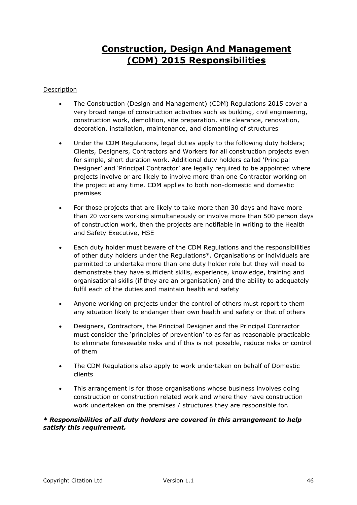# **Construction, Design And Management (CDM) 2015 Responsibilities**

# Description

- The Construction (Design and Management) (CDM) Regulations 2015 cover a very broad range of construction activities such as building, civil engineering, construction work, demolition, site preparation, site clearance, renovation, decoration, installation, maintenance, and dismantling of structures
- Under the CDM Regulations, legal duties apply to the following duty holders; Clients, Designers, Contractors and Workers for all construction projects even for simple, short duration work. Additional duty holders called 'Principal Designer' and 'Principal Contractor' are legally required to be appointed where projects involve or are likely to involve more than one Contractor working on the project at any time. CDM applies to both non-domestic and domestic premises
- For those projects that are likely to take more than 30 days and have more than 20 workers working simultaneously or involve more than 500 person days of construction work, then the projects are notifiable in writing to the Health and Safety Executive, HSE
- Each duty holder must beware of the CDM Regulations and the responsibilities of other duty holders under the Regulations\*. Organisations or individuals are permitted to undertake more than one duty holder role but they will need to demonstrate they have sufficient skills, experience, knowledge, training and organisational skills (if they are an organisation) and the ability to adequately fulfil each of the duties and maintain health and safety
- Anyone working on projects under the control of others must report to them any situation likely to endanger their own health and safety or that of others
- Designers, Contractors, the Principal Designer and the Principal Contractor must consider the 'principles of prevention' to as far as reasonable practicable to eliminate foreseeable risks and if this is not possible, reduce risks or control of them
- The CDM Regulations also apply to work undertaken on behalf of Domestic clients
- This arrangement is for those organisations whose business involves doing construction or construction related work and where they have construction work undertaken on the premises / structures they are responsible for.

# *\* Responsibilities of all duty holders are covered in this arrangement to help satisfy this requirement.*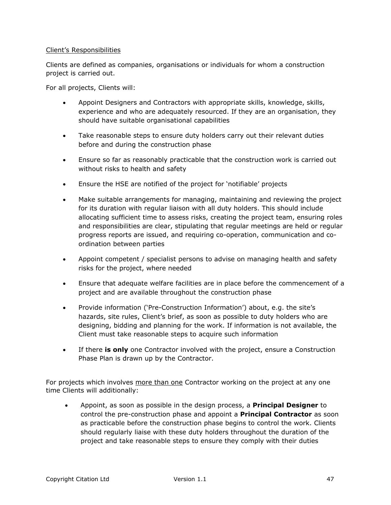### Client's Responsibilities

Clients are defined as companies, organisations or individuals for whom a construction project is carried out.

For all projects, Clients will:

- Appoint Designers and Contractors with appropriate skills, knowledge, skills, experience and who are adequately resourced. If they are an organisation, they should have suitable organisational capabilities
- Take reasonable steps to ensure duty holders carry out their relevant duties before and during the construction phase
- Ensure so far as reasonably practicable that the construction work is carried out without risks to health and safety
- Ensure the HSE are notified of the project for 'notifiable' projects
- Make suitable arrangements for managing, maintaining and reviewing the project for its duration with regular liaison with all duty holders. This should include allocating sufficient time to assess risks, creating the project team, ensuring roles and responsibilities are clear, stipulating that regular meetings are held or regular progress reports are issued, and requiring co-operation, communication and coordination between parties
- Appoint competent / specialist persons to advise on managing health and safety risks for the project, where needed
- Ensure that adequate welfare facilities are in place before the commencement of a project and are available throughout the construction phase
- Provide information ('Pre-Construction Information') about, e.g. the site's hazards, site rules, Client's brief, as soon as possible to duty holders who are designing, bidding and planning for the work. If information is not available, the Client must take reasonable steps to acquire such information
- If there **is only** one Contractor involved with the project, ensure a Construction Phase Plan is drawn up by the Contractor.

For projects which involves more than one Contractor working on the project at any one time Clients will additionally:

 Appoint, as soon as possible in the design process, a **Principal Designer** to control the pre-construction phase and appoint a **Principal Contractor** as soon as practicable before the construction phase begins to control the work. Clients should regularly liaise with these duty holders throughout the duration of the project and take reasonable steps to ensure they comply with their duties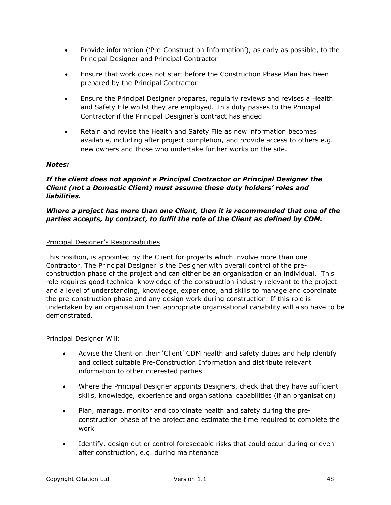- Provide information ('Pre-Construction Information'), as early as possible, to the Principal Designer and Principal Contractor
- Ensure that work does not start before the Construction Phase Plan has been prepared by the Principal Contractor
- Ensure the Principal Designer prepares, regularly reviews and revises a Health and Safety File whilst they are employed. This duty passes to the Principal Contractor if the Principal Designer's contract has ended
- Retain and revise the Health and Safety File as new information becomes available, including after project completion, and provide access to others e.g. new owners and those who undertake further works on the site.

## *Notes:*

# *If the client does not appoint a Principal Contractor or Principal Designer the Client (not a Domestic Client) must assume these duty holders' roles and liabilities.*

# *Where a project has more than one Client, then it is recommended that one of the parties accepts, by contract, to fulfil the role of the Client as defined by CDM.*

## Principal Designer's Responsibilities

This position, is appointed by the Client for projects which involve more than one Contractor. The Principal Designer is the Designer with overall control of the preconstruction phase of the project and can either be an organisation or an individual. This role requires good technical knowledge of the construction industry relevant to the project and a level of understanding, knowledge, experience, and skills to manage and coordinate the pre-construction phase and any design work during construction. If this role is undertaken by an organisation then appropriate organisational capability will also have to be demonstrated.

### Principal Designer Will:

- Advise the Client on their 'Client' CDM health and safety duties and help identify and collect suitable Pre-Construction Information and distribute relevant information to other interested parties
- Where the Principal Designer appoints Designers, check that they have sufficient skills, knowledge, experience and organisational capabilities (if an organisation)
- Plan, manage, monitor and coordinate health and safety during the preconstruction phase of the project and estimate the time required to complete the work
- Identify, design out or control foreseeable risks that could occur during or even after construction, e.g. during maintenance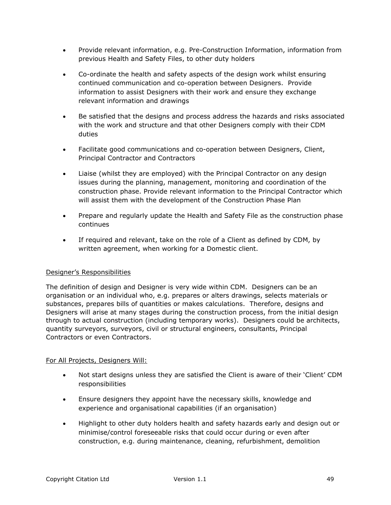- Provide relevant information, e.g. Pre-Construction Information, information from previous Health and Safety Files, to other duty holders
- Co-ordinate the health and safety aspects of the design work whilst ensuring continued communication and co-operation between Designers. Provide information to assist Designers with their work and ensure they exchange relevant information and drawings
- Be satisfied that the designs and process address the hazards and risks associated with the work and structure and that other Designers comply with their CDM duties
- Facilitate good communications and co-operation between Designers, Client, Principal Contractor and Contractors
- Liaise (whilst they are employed) with the Principal Contractor on any design issues during the planning, management, monitoring and coordination of the construction phase. Provide relevant information to the Principal Contractor which will assist them with the development of the Construction Phase Plan
- Prepare and regularly update the Health and Safety File as the construction phase continues
- If required and relevant, take on the role of a Client as defined by CDM, by written agreement, when working for a Domestic client.

# Designer's Responsibilities

The definition of design and Designer is very wide within CDM. Designers can be an organisation or an individual who, e.g. prepares or alters drawings, selects materials or substances, prepares bills of quantities or makes calculations. Therefore, designs and Designers will arise at many stages during the construction process, from the initial design through to actual construction (including temporary works). Designers could be architects, quantity surveyors, surveyors, civil or structural engineers, consultants, Principal Contractors or even Contractors.

### For All Projects, Designers Will:

- Not start designs unless they are satisfied the Client is aware of their 'Client' CDM responsibilities
- Ensure designers they appoint have the necessary skills, knowledge and experience and organisational capabilities (if an organisation)
- Highlight to other duty holders health and safety hazards early and design out or minimise/control foreseeable risks that could occur during or even after construction, e.g. during maintenance, cleaning, refurbishment, demolition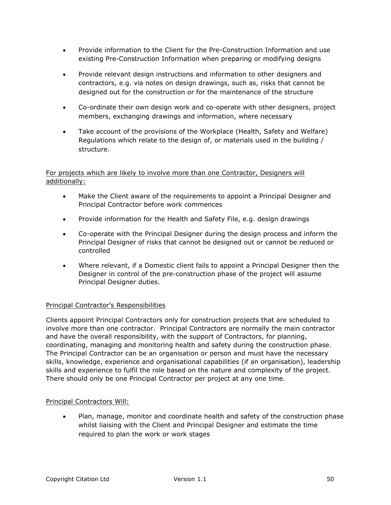- Provide information to the Client for the Pre-Construction Information and use existing Pre-Construction Information when preparing or modifying designs
- Provide relevant design instructions and information to other designers and contractors, e.g. via notes on design drawings, such as, risks that cannot be designed out for the construction or for the maintenance of the structure
- Co-ordinate their own design work and co-operate with other designers, project members, exchanging drawings and information, where necessary
- Take account of the provisions of the Workplace (Health, Safety and Welfare) Regulations which relate to the design of, or materials used in the building / structure.

# For projects which are likely to involve more than one Contractor, Designers will additionally:

- Make the Client aware of the requirements to appoint a Principal Designer and Principal Contractor before work commences
- Provide information for the Health and Safety File, e.g. design drawings
- Co-operate with the Principal Designer during the design process and inform the Principal Designer of risks that cannot be designed out or cannot be reduced or controlled
- Where relevant, if a Domestic client fails to appoint a Principal Designer then the Designer in control of the pre-construction phase of the project will assume Principal Designer duties.

# Principal Contractor's Responsibilities

Clients appoint Principal Contractors only for construction projects that are scheduled to involve more than one contractor. Principal Contractors are normally the main contractor and have the overall responsibility, with the support of Contractors, for planning, coordinating, managing and monitoring health and safety during the construction phase. The Principal Contractor can be an organisation or person and must have the necessary skills, knowledge, experience and organisational capabilities (if an organisation), leadership skills and experience to fulfil the role based on the nature and complexity of the project. There should only be one Principal Contractor per project at any one time.

# Principal Contractors Will:

 Plan, manage, monitor and coordinate health and safety of the construction phase whilst liaising with the Client and Principal Designer and estimate the time required to plan the work or work stages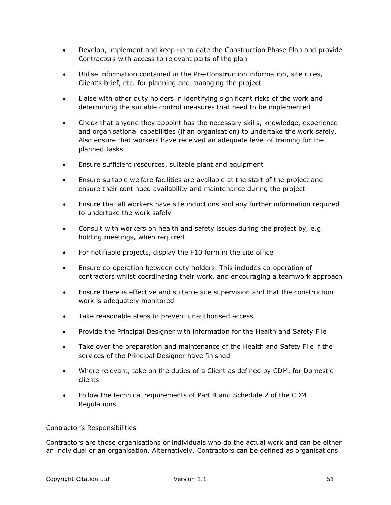- Develop, implement and keep up to date the Construction Phase Plan and provide Contractors with access to relevant parts of the plan
- Utilise information contained in the Pre-Construction information, site rules, Client's brief, etc. for planning and managing the project
- Liaise with other duty holders in identifying significant risks of the work and determining the suitable control measures that need to be implemented
- Check that anyone they appoint has the necessary skills, knowledge, experience and organisational capabilities (if an organisation) to undertake the work safely. Also ensure that workers have received an adequate level of training for the planned tasks
- Ensure sufficient resources, suitable plant and equipment
- Ensure suitable welfare facilities are available at the start of the project and ensure their continued availability and maintenance during the project
- Ensure that all workers have site inductions and any further information required to undertake the work safely
- Consult with workers on health and safety issues during the project by, e.g. holding meetings, when required
- For notifiable projects, display the F10 form in the site office
- Ensure co-operation between duty holders. This includes co-operation of contractors whilst coordinating their work, and encouraging a teamwork approach
- Ensure there is effective and suitable site supervision and that the construction work is adequately monitored
- Take reasonable steps to prevent unauthorised access
- Provide the Principal Designer with information for the Health and Safety File
- Take over the preparation and maintenance of the Health and Safety File if the services of the Principal Designer have finished
- Where relevant, take on the duties of a Client as defined by CDM, for Domestic clients
- Follow the technical requirements of Part 4 and Schedule 2 of the CDM Regulations.

# Contractor's Responsibilities

Contractors are those organisations or individuals who do the actual work and can be either an individual or an organisation. Alternatively, Contractors can be defined as organisations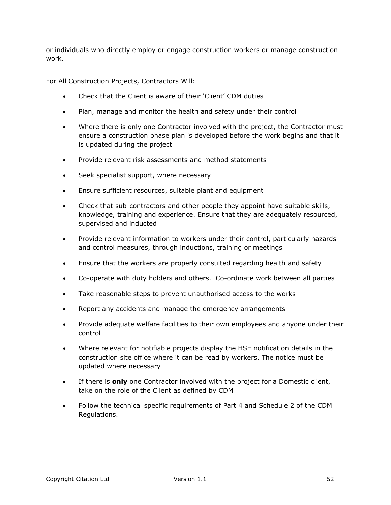or individuals who directly employ or engage construction workers or manage construction work.

For All Construction Projects, Contractors Will:

- Check that the Client is aware of their 'Client' CDM duties
- Plan, manage and monitor the health and safety under their control
- Where there is only one Contractor involved with the project, the Contractor must ensure a construction phase plan is developed before the work begins and that it is updated during the project
- Provide relevant risk assessments and method statements
- Seek specialist support, where necessary
- Ensure sufficient resources, suitable plant and equipment
- Check that sub-contractors and other people they appoint have suitable skills, knowledge, training and experience. Ensure that they are adequately resourced, supervised and inducted
- Provide relevant information to workers under their control, particularly hazards and control measures, through inductions, training or meetings
- Ensure that the workers are properly consulted regarding health and safety
- Co-operate with duty holders and others. Co-ordinate work between all parties
- Take reasonable steps to prevent unauthorised access to the works
- Report any accidents and manage the emergency arrangements
- Provide adequate welfare facilities to their own employees and anyone under their control
- Where relevant for notifiable projects display the HSE notification details in the construction site office where it can be read by workers. The notice must be updated where necessary
- If there is **only** one Contractor involved with the project for a Domestic client, take on the role of the Client as defined by CDM
- Follow the technical specific requirements of Part 4 and Schedule 2 of the CDM Regulations.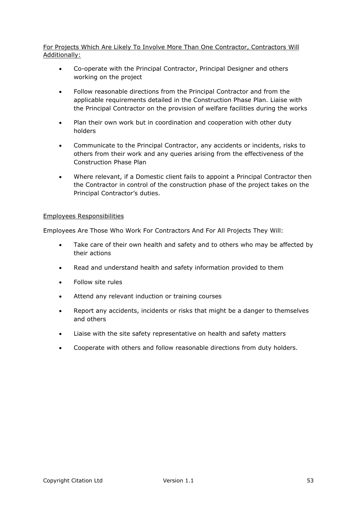# For Projects Which Are Likely To Involve More Than One Contractor, Contractors Will Additionally:

- Co-operate with the Principal Contractor, Principal Designer and others working on the project
- Follow reasonable directions from the Principal Contractor and from the applicable requirements detailed in the Construction Phase Plan. Liaise with the Principal Contractor on the provision of welfare facilities during the works
- Plan their own work but in coordination and cooperation with other duty holders
- Communicate to the Principal Contractor, any accidents or incidents, risks to others from their work and any queries arising from the effectiveness of the Construction Phase Plan
- Where relevant, if a Domestic client fails to appoint a Principal Contractor then the Contractor in control of the construction phase of the project takes on the Principal Contractor's duties.

## Employees Responsibilities

Employees Are Those Who Work For Contractors And For All Projects They Will:

- Take care of their own health and safety and to others who may be affected by their actions
- Read and understand health and safety information provided to them
- Follow site rules
- Attend any relevant induction or training courses
- Report any accidents, incidents or risks that might be a danger to themselves and others
- Liaise with the site safety representative on health and safety matters
- Cooperate with others and follow reasonable directions from duty holders.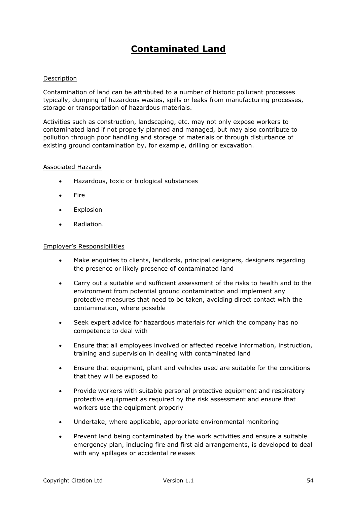# **Contaminated Land**

### Description

Contamination of land can be attributed to a number of historic pollutant processes typically, dumping of hazardous wastes, spills or leaks from manufacturing processes, storage or transportation of hazardous materials.

Activities such as construction, landscaping, etc. may not only expose workers to contaminated land if not properly planned and managed, but may also contribute to pollution through poor handling and storage of materials or through disturbance of existing ground contamination by, for example, drilling or excavation.

### Associated Hazards

- Hazardous, toxic or biological substances
- Fire
- **•** Explosion
- Radiation.

### Employer's Responsibilities

- Make enquiries to clients, landlords, principal designers, designers regarding the presence or likely presence of contaminated land
- Carry out a suitable and sufficient assessment of the risks to health and to the environment from potential ground contamination and implement any protective measures that need to be taken, avoiding direct contact with the contamination, where possible
- Seek expert advice for hazardous materials for which the company has no competence to deal with
- Ensure that all employees involved or affected receive information, instruction, training and supervision in dealing with contaminated land
- Ensure that equipment, plant and vehicles used are suitable for the conditions that they will be exposed to
- Provide workers with suitable personal protective equipment and respiratory protective equipment as required by the risk assessment and ensure that workers use the equipment properly
- Undertake, where applicable, appropriate environmental monitoring
- Prevent land being contaminated by the work activities and ensure a suitable emergency plan, including fire and first aid arrangements, is developed to deal with any spillages or accidental releases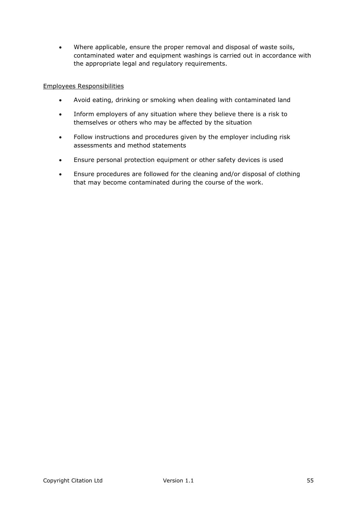Where applicable, ensure the proper removal and disposal of waste soils, contaminated water and equipment washings is carried out in accordance with the appropriate legal and regulatory requirements.

## Employees Responsibilities

- Avoid eating, drinking or smoking when dealing with contaminated land
- Inform employers of any situation where they believe there is a risk to themselves or others who may be affected by the situation
- Follow instructions and procedures given by the employer including risk assessments and method statements
- Ensure personal protection equipment or other safety devices is used
- Ensure procedures are followed for the cleaning and/or disposal of clothing that may become contaminated during the course of the work.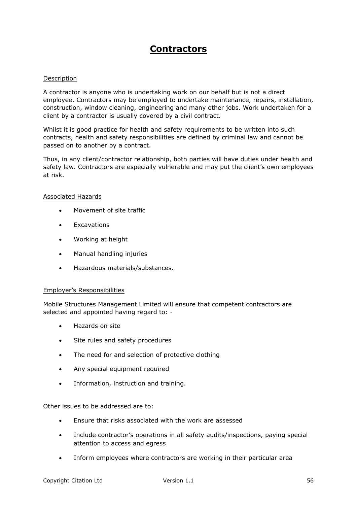# **Contractors**

### Description

A contractor is anyone who is undertaking work on our behalf but is not a direct employee. Contractors may be employed to undertake maintenance, repairs, installation, construction, window cleaning, engineering and many other jobs. Work undertaken for a client by a contractor is usually covered by a civil contract.

Whilst it is good practice for health and safety requirements to be written into such contracts, health and safety responsibilities are defined by criminal law and cannot be passed on to another by a contract.

Thus, in any client/contractor relationship, both parties will have duties under health and safety law. Contractors are especially vulnerable and may put the client's own employees at risk.

### Associated Hazards

- Movement of site traffic
- Excavations
- Working at height
- Manual handling injuries
- Hazardous materials/substances.

### Employer's Responsibilities

Mobile Structures Management Limited will ensure that competent contractors are selected and appointed having regard to: -

- Hazards on site
- Site rules and safety procedures
- The need for and selection of protective clothing
- Any special equipment required
- Information, instruction and training.

Other issues to be addressed are to:

- Ensure that risks associated with the work are assessed
- Include contractor's operations in all safety audits/inspections, paying special attention to access and egress
- Inform employees where contractors are working in their particular area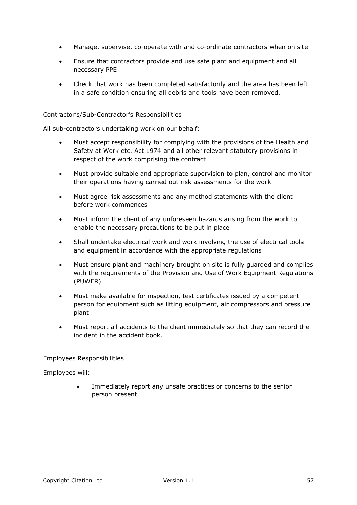- Manage, supervise, co-operate with and co-ordinate contractors when on site
- Ensure that contractors provide and use safe plant and equipment and all necessary PPE
- Check that work has been completed satisfactorily and the area has been left in a safe condition ensuring all debris and tools have been removed.

## Contractor's/Sub-Contractor's Responsibilities

All sub-contractors undertaking work on our behalf:

- Must accept responsibility for complying with the provisions of the Health and Safety at Work etc. Act 1974 and all other relevant statutory provisions in respect of the work comprising the contract
- Must provide suitable and appropriate supervision to plan, control and monitor their operations having carried out risk assessments for the work
- Must agree risk assessments and any method statements with the client before work commences
- Must inform the client of any unforeseen hazards arising from the work to enable the necessary precautions to be put in place
- Shall undertake electrical work and work involving the use of electrical tools and equipment in accordance with the appropriate regulations
- Must ensure plant and machinery brought on site is fully guarded and complies with the requirements of the Provision and Use of Work Equipment Regulations (PUWER)
- Must make available for inspection, test certificates issued by a competent person for equipment such as lifting equipment, air compressors and pressure plant
- Must report all accidents to the client immediately so that they can record the incident in the accident book.

### Employees Responsibilities

Employees will:

 Immediately report any unsafe practices or concerns to the senior person present.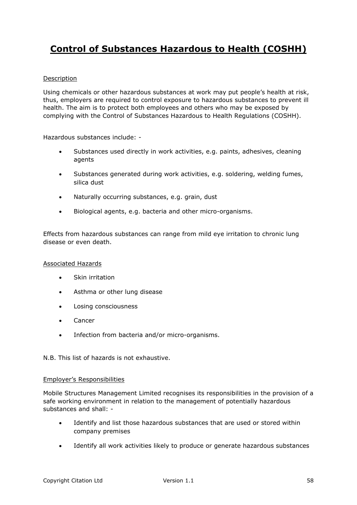# **Control of Substances Hazardous to Health (COSHH)**

# Description

Using chemicals or other hazardous substances at work may put people's health at risk, thus, employers are required to control exposure to hazardous substances to prevent ill health. The aim is to protect both employees and others who may be exposed by complying with the Control of Substances Hazardous to Health Regulations (COSHH).

Hazardous substances include: -

- Substances used directly in work activities, e.g. paints, adhesives, cleaning agents
- Substances generated during work activities, e.g. soldering, welding fumes, silica dust
- Naturally occurring substances, e.g. grain, dust
- Biological agents, e.g. bacteria and other micro-organisms.

Effects from hazardous substances can range from mild eye irritation to chronic lung disease or even death.

### Associated Hazards

- Skin irritation
- Asthma or other lung disease
- Losing consciousness
- Cancer
- Infection from bacteria and/or micro-organisms.

N.B. This list of hazards is not exhaustive.

#### Employer's Responsibilities

Mobile Structures Management Limited recognises its responsibilities in the provision of a safe working environment in relation to the management of potentially hazardous substances and shall: -

- Identify and list those hazardous substances that are used or stored within company premises
- Identify all work activities likely to produce or generate hazardous substances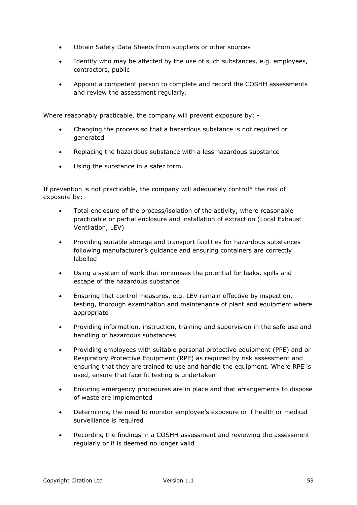- Obtain Safety Data Sheets from suppliers or other sources
- Identify who may be affected by the use of such substances, e.g. employees, contractors, public
- Appoint a competent person to complete and record the COSHH assessments and review the assessment regularly.

Where reasonably practicable, the company will prevent exposure by: -

- Changing the process so that a hazardous substance is not required or generated
- Replacing the hazardous substance with a less hazardous substance
- Using the substance in a safer form.

If prevention is not practicable, the company will adequately control\* the risk of exposure by: -

- Total enclosure of the process/isolation of the activity, where reasonable practicable or partial enclosure and installation of extraction (Local Exhaust Ventilation, LEV)
- Providing suitable storage and transport facilities for hazardous substances following manufacturer's guidance and ensuring containers are correctly labelled
- Using a system of work that minimises the potential for leaks, spills and escape of the hazardous substance
- Ensuring that control measures, e.g. LEV remain effective by inspection, testing, thorough examination and maintenance of plant and equipment where appropriate
- Providing information, instruction, training and supervision in the safe use and handling of hazardous substances
- Providing employees with suitable personal protective equipment (PPE) and or Respiratory Protective Equipment (RPE) as required by risk assessment and ensuring that they are trained to use and handle the equipment. Where RPE is used, ensure that face fit testing is undertaken
- Ensuring emergency procedures are in place and that arrangements to dispose of waste are implemented
- Determining the need to monitor employee's exposure or if health or medical surveillance is required
- Recording the findings in a COSHH assessment and reviewing the assessment regularly or if is deemed no longer valid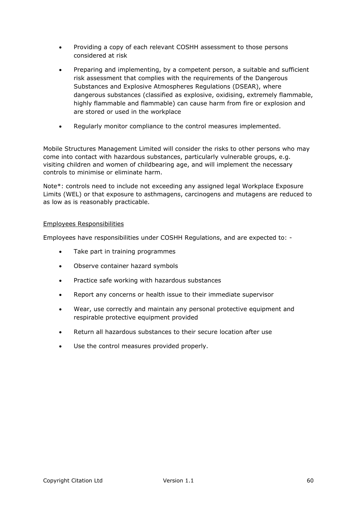- Providing a copy of each relevant COSHH assessment to those persons considered at risk
- Preparing and implementing, by a competent person, a suitable and sufficient risk assessment that complies with the requirements of the Dangerous Substances and Explosive Atmospheres Regulations (DSEAR), where dangerous substances (classified as explosive, oxidising, extremely flammable, highly flammable and flammable) can cause harm from fire or explosion and are stored or used in the workplace
- Regularly monitor compliance to the control measures implemented.

Mobile Structures Management Limited will consider the risks to other persons who may come into contact with hazardous substances, particularly vulnerable groups, e.g. visiting children and women of childbearing age, and will implement the necessary controls to minimise or eliminate harm.

Note\*: controls need to include not exceeding any assigned legal Workplace Exposure Limits (WEL) or that exposure to asthmagens, carcinogens and mutagens are reduced to as low as is reasonably practicable.

### Employees Responsibilities

Employees have responsibilities under COSHH Regulations, and are expected to: -

- Take part in training programmes
- Observe container hazard symbols
- Practice safe working with hazardous substances
- Report any concerns or health issue to their immediate supervisor
- Wear, use correctly and maintain any personal protective equipment and respirable protective equipment provided
- Return all hazardous substances to their secure location after use
- Use the control measures provided properly.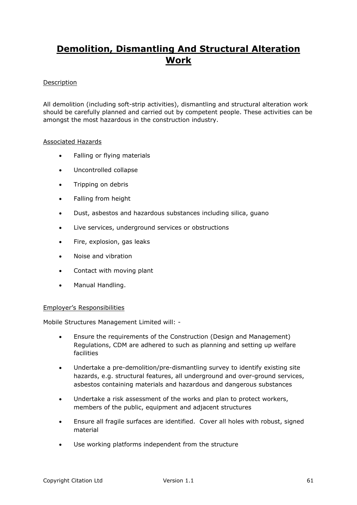# **Demolition, Dismantling And Structural Alteration Work**

# **Description**

All demolition (including soft-strip activities), dismantling and structural alteration work should be carefully planned and carried out by competent people. These activities can be amongst the most hazardous in the construction industry.

## Associated Hazards

- Falling or flying materials
- Uncontrolled collapse
- Tripping on debris
- Falling from height
- Dust, asbestos and hazardous substances including silica, guano
- Live services, underground services or obstructions
- Fire, explosion, gas leaks
- Noise and vibration
- Contact with moving plant
- Manual Handling.

### Employer's Responsibilities

Mobile Structures Management Limited will: -

- Ensure the requirements of the Construction (Design and Management) Regulations, CDM are adhered to such as planning and setting up welfare facilities
- Undertake a pre-demolition/pre-dismantling survey to identify existing site hazards, e.g. structural features, all underground and over-ground services, asbestos containing materials and hazardous and dangerous substances
- Undertake a risk assessment of the works and plan to protect workers, members of the public, equipment and adjacent structures
- Ensure all fragile surfaces are identified. Cover all holes with robust, signed material
- Use working platforms independent from the structure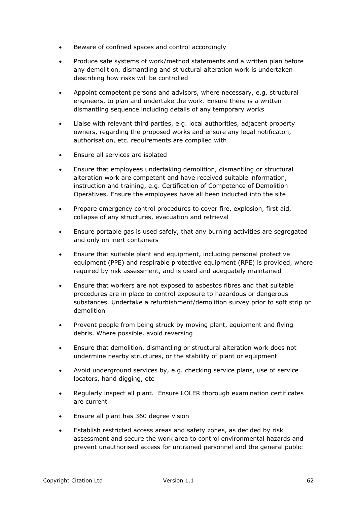- Beware of confined spaces and control accordingly
- Produce safe systems of work/method statements and a written plan before any demolition, dismantling and structural alteration work is undertaken describing how risks will be controlled
- Appoint competent persons and advisors, where necessary, e.g. structural engineers, to plan and undertake the work. Ensure there is a written dismantling sequence including details of any temporary works
- Liaise with relevant third parties, e.g. local authorities, adjacent property owners, regarding the proposed works and ensure any legal notificaton, authorisation, etc. requirements are complied with
- Ensure all services are isolated
- Ensure that employees undertaking demolition, dismantling or structural alteration work are competent and have received suitable information, instruction and training, e.g. Certification of Competence of Demolition Operatives. Ensure the employees have all been inducted into the site
- Prepare emergency control procedures to cover fire, explosion, first aid, collapse of any structures, evacuation and retrieval
- Ensure portable gas is used safely, that any burning activities are segregated and only on inert containers
- Ensure that suitable plant and equipment, including personal protective equipment (PPE) and respirable protective equipment (RPE) is provided, where required by risk assessment, and is used and adequately maintained
- Ensure that workers are not exposed to asbestos fibres and that suitable procedures are in place to control exposure to hazardous or dangerous substances. Undertake a refurbishment/demolition survey prior to soft strip or demolition
- Prevent people from being struck by moving plant, equipment and flying debris. Where possible, avoid reversing
- Ensure that demolition, dismantling or structural alteration work does not undermine nearby structures, or the stability of plant or equipment
- Avoid underground services by, e.g. checking service plans, use of service locators, hand digging, etc
- Regularly inspect all plant. Ensure LOLER thorough examination certificates are current
- Ensure all plant has 360 degree vision
- Establish restricted access areas and safety zones, as decided by risk assessment and secure the work area to control environmental hazards and prevent unauthorised access for untrained personnel and the general public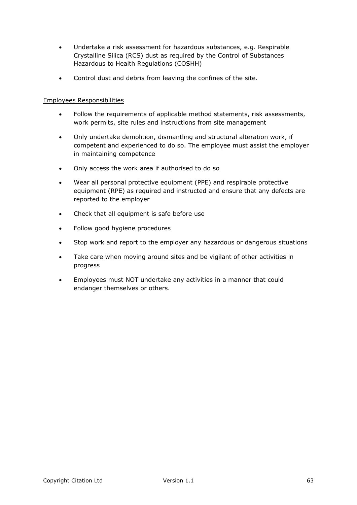- Undertake a risk assessment for hazardous substances, e.g. Respirable Crystalline Silica (RCS) dust as required by the Control of Substances Hazardous to Health Regulations (COSHH)
- Control dust and debris from leaving the confines of the site.

# Employees Responsibilities

- Follow the requirements of applicable method statements, risk assessments, work permits, site rules and instructions from site management
- Only undertake demolition, dismantling and structural alteration work, if competent and experienced to do so. The employee must assist the employer in maintaining competence
- Only access the work area if authorised to do so
- Wear all personal protective equipment (PPE) and respirable protective equipment (RPE) as required and instructed and ensure that any defects are reported to the employer
- Check that all equipment is safe before use
- Follow good hygiene procedures
- Stop work and report to the employer any hazardous or dangerous situations
- Take care when moving around sites and be vigilant of other activities in progress
- Employees must NOT undertake any activities in a manner that could endanger themselves or others.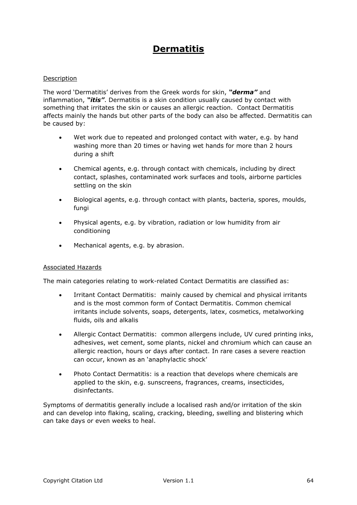# **Dermatitis**

## Description

The word 'Dermatitis' derives from the Greek words for skin, *"derma"* and inflammation, *"itis"*. Dermatitis is a skin condition usually caused by contact with something that irritates the skin or causes an allergic reaction. Contact Dermatitis affects mainly the hands but other parts of the body can also be affected. Dermatitis can be caused by:

- Wet work due to repeated and prolonged contact with water, e.g. by hand washing more than 20 times or having wet hands for more than 2 hours during a shift
- Chemical agents, e.g. through contact with chemicals, including by direct contact, splashes, contaminated work surfaces and tools, airborne particles settling on the skin
- Biological agents, e.g. through contact with plants, bacteria, spores, moulds, fungi
- Physical agents, e.g. by vibration, radiation or low humidity from air conditioning
- Mechanical agents, e.g. by abrasion.

### Associated Hazards

The main categories relating to work-related Contact Dermatitis are classified as:

- Irritant Contact Dermatitis: mainly caused by chemical and physical irritants and is the most common form of Contact Dermatitis. Common chemical irritants include solvents, soaps, detergents, latex, cosmetics, metalworking fluids, oils and alkalis
- Allergic Contact Dermatitis: common allergens include, UV cured printing inks, adhesives, wet cement, some plants, nickel and chromium which can cause an allergic reaction, hours or days after contact. In rare cases a severe reaction can occur, known as an 'anaphylactic shock'
- Photo Contact Dermatitis: is a reaction that develops where chemicals are applied to the skin, e.g. sunscreens, fragrances, creams, insecticides, disinfectants.

Symptoms of dermatitis generally include a localised rash and/or irritation of the skin and can develop into flaking, scaling, cracking, bleeding, swelling and blistering which can take days or even weeks to heal.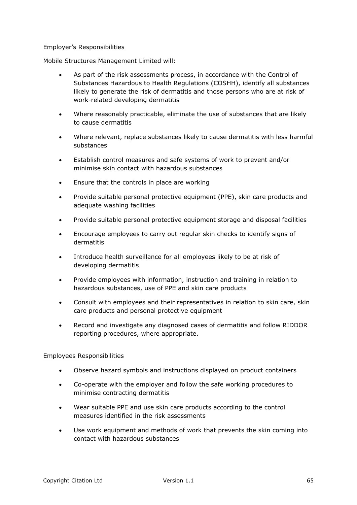### Employer's Responsibilities

Mobile Structures Management Limited will:

- As part of the risk assessments process, in accordance with the Control of Substances Hazardous to Health Regulations (COSHH), identify all substances likely to generate the risk of dermatitis and those persons who are at risk of work-related developing dermatitis
- Where reasonably practicable, eliminate the use of substances that are likely to cause dermatitis
- Where relevant, replace substances likely to cause dermatitis with less harmful substances
- Establish control measures and safe systems of work to prevent and/or minimise skin contact with hazardous substances
- Ensure that the controls in place are working
- Provide suitable personal protective equipment (PPE), skin care products and adequate washing facilities
- Provide suitable personal protective equipment storage and disposal facilities
- Encourage employees to carry out regular skin checks to identify signs of dermatitis
- Introduce health surveillance for all employees likely to be at risk of developing dermatitis
- Provide employees with information, instruction and training in relation to hazardous substances, use of PPE and skin care products
- Consult with employees and their representatives in relation to skin care, skin care products and personal protective equipment
- Record and investigate any diagnosed cases of dermatitis and follow RIDDOR reporting procedures, where appropriate.

### Employees Responsibilities

- Observe hazard symbols and instructions displayed on product containers
- Co-operate with the employer and follow the safe working procedures to minimise contracting dermatitis
- Wear suitable PPE and use skin care products according to the control measures identified in the risk assessments
- Use work equipment and methods of work that prevents the skin coming into contact with hazardous substances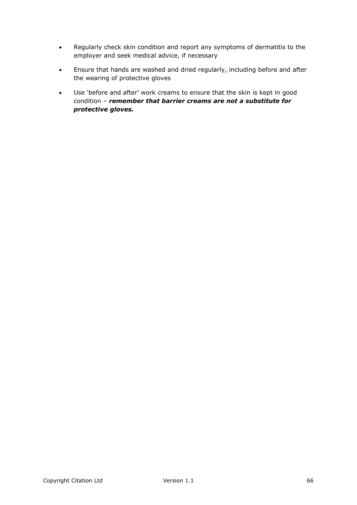- Regularly check skin condition and report any symptoms of dermatitis to the employer and seek medical advice, if necessary
- Ensure that hands are washed and dried regularly, including before and after the wearing of protective gloves
- Use 'before and after' work creams to ensure that the skin is kept in good condition – *remember that barrier creams are not a substitute for protective gloves.*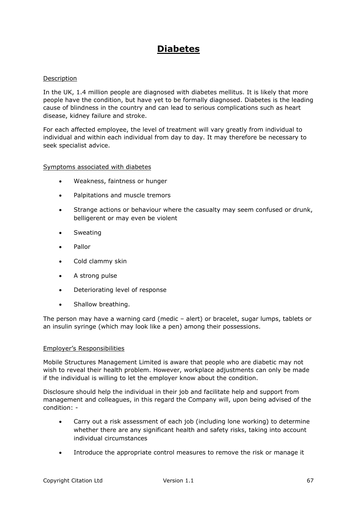# **Diabetes**

### Description

In the UK, 1.4 million people are diagnosed with diabetes mellitus. It is likely that more people have the condition, but have yet to be formally diagnosed. Diabetes is the leading cause of blindness in the country and can lead to serious complications such as heart disease, kidney failure and stroke.

For each affected employee, the level of treatment will vary greatly from individual to individual and within each individual from day to day. It may therefore be necessary to seek specialist advice.

### Symptoms associated with diabetes

- Weakness, faintness or hunger
- Palpitations and muscle tremors
- Strange actions or behaviour where the casualty may seem confused or drunk, belligerent or may even be violent
- Sweating
- Pallor
- Cold clammy skin
- A strong pulse
- Deteriorating level of response
- Shallow breathing.

The person may have a warning card (medic – alert) or bracelet, sugar lumps, tablets or an insulin syringe (which may look like a pen) among their possessions.

### Employer's Responsibilities

Mobile Structures Management Limited is aware that people who are diabetic may not wish to reveal their health problem. However, workplace adjustments can only be made if the individual is willing to let the employer know about the condition.

Disclosure should help the individual in their job and facilitate help and support from management and colleagues, in this regard the Company will, upon being advised of the condition: -

- Carry out a risk assessment of each job (including lone working) to determine whether there are any significant health and safety risks, taking into account individual circumstances
- Introduce the appropriate control measures to remove the risk or manage it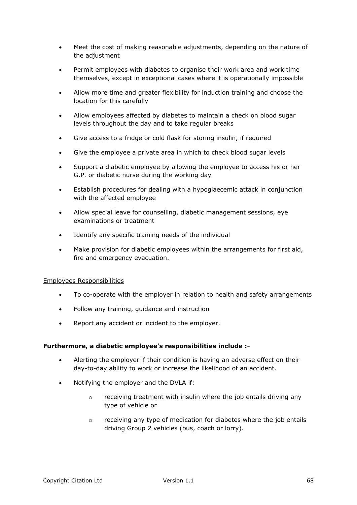- Meet the cost of making reasonable adjustments, depending on the nature of the adjustment
- Permit employees with diabetes to organise their work area and work time themselves, except in exceptional cases where it is operationally impossible
- Allow more time and greater flexibility for induction training and choose the location for this carefully
- Allow employees affected by diabetes to maintain a check on blood sugar levels throughout the day and to take regular breaks
- Give access to a fridge or cold flask for storing insulin, if required
- Give the employee a private area in which to check blood sugar levels
- Support a diabetic employee by allowing the employee to access his or her G.P. or diabetic nurse during the working day
- Establish procedures for dealing with a hypoglaecemic attack in conjunction with the affected employee
- Allow special leave for counselling, diabetic management sessions, eye examinations or treatment
- Identify any specific training needs of the individual
- Make provision for diabetic employees within the arrangements for first aid, fire and emergency evacuation.

### Employees Responsibilities

- To co-operate with the employer in relation to health and safety arrangements
- Follow any training, guidance and instruction
- Report any accident or incident to the employer.

### **Furthermore, a diabetic employee's responsibilities include :-**

- Alerting the employer if their condition is having an adverse effect on their day-to-day ability to work or increase the likelihood of an accident.
- Notifying the employer and the DVLA if:
	- $\circ$  receiving treatment with insulin where the job entails driving any type of vehicle or
	- $\circ$  receiving any type of medication for diabetes where the job entails driving Group 2 vehicles (bus, coach or lorry).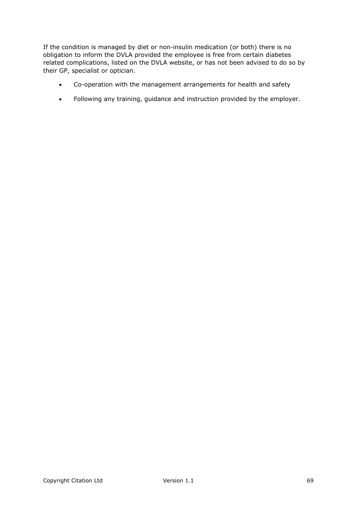If the condition is managed by diet or non-insulin medication (or both) there is no obligation to inform the DVLA provided the employee is free from certain diabetes related complications, listed on the DVLA website, or has not been advised to do so by their GP, specialist or optician.

- Co-operation with the management arrangements for health and safety
- Following any training, guidance and instruction provided by the employer.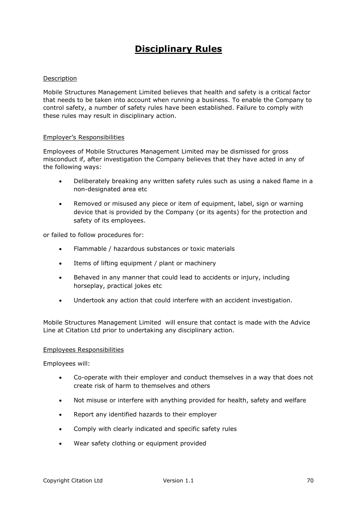# **Disciplinary Rules**

## Description

Mobile Structures Management Limited believes that health and safety is a critical factor that needs to be taken into account when running a business. To enable the Company to control safety, a number of safety rules have been established. Failure to comply with these rules may result in disciplinary action.

### Employer's Responsibilities

Employees of Mobile Structures Management Limited may be dismissed for gross misconduct if, after investigation the Company believes that they have acted in any of the following ways:

- Deliberately breaking any written safety rules such as using a naked flame in a non-designated area etc
- Removed or misused any piece or item of equipment, label, sign or warning device that is provided by the Company (or its agents) for the protection and safety of its employees.

or failed to follow procedures for:

- Flammable / hazardous substances or toxic materials
- Items of lifting equipment / plant or machinery
- Behaved in any manner that could lead to accidents or injury, including horseplay, practical jokes etc
- Undertook any action that could interfere with an accident investigation.

Mobile Structures Management Limited will ensure that contact is made with the Advice Line at Citation Ltd prior to undertaking any disciplinary action.

#### Employees Responsibilities

Employees will:

- Co-operate with their employer and conduct themselves in a way that does not create risk of harm to themselves and others
- Not misuse or interfere with anything provided for health, safety and welfare
- Report any identified hazards to their employer
- Comply with clearly indicated and specific safety rules
- Wear safety clothing or equipment provided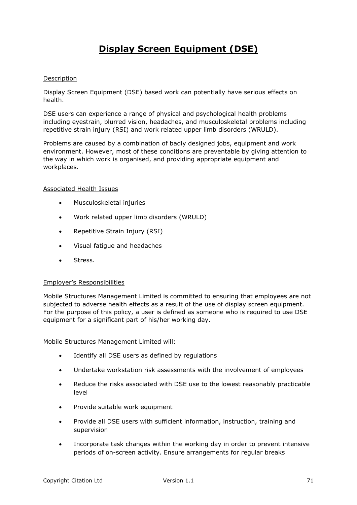# **Display Screen Equipment (DSE)**

## Description

Display Screen Equipment (DSE) based work can potentially have serious effects on health.

DSE users can experience a range of physical and psychological health problems including eyestrain, blurred vision, headaches, and musculoskeletal problems including repetitive strain injury (RSI) and work related upper limb disorders (WRULD).

Problems are caused by a combination of badly designed jobs, equipment and work environment. However, most of these conditions are preventable by giving attention to the way in which work is organised, and providing appropriate equipment and workplaces.

### Associated Health Issues

- Musculoskeletal injuries
- Work related upper limb disorders (WRULD)
- Repetitive Strain Injury (RSI)
- Visual fatigue and headaches
- Stress.

### Employer's Responsibilities

Mobile Structures Management Limited is committed to ensuring that employees are not subjected to adverse health effects as a result of the use of display screen equipment. For the purpose of this policy, a user is defined as someone who is required to use DSE equipment for a significant part of his/her working day.

Mobile Structures Management Limited will:

- Identify all DSE users as defined by regulations
- Undertake workstation risk assessments with the involvement of employees
- Reduce the risks associated with DSE use to the lowest reasonably practicable level
- Provide suitable work equipment
- Provide all DSE users with sufficient information, instruction, training and supervision
- Incorporate task changes within the working day in order to prevent intensive periods of on-screen activity. Ensure arrangements for regular breaks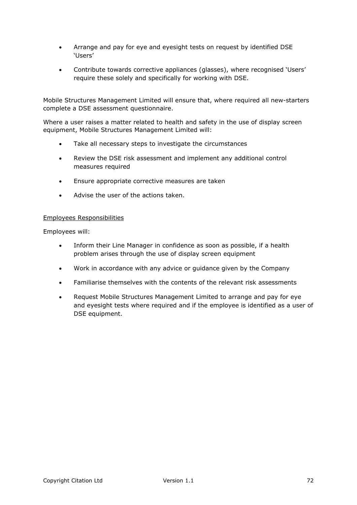- Arrange and pay for eye and eyesight tests on request by identified DSE 'Users'
- Contribute towards corrective appliances (glasses), where recognised 'Users' require these solely and specifically for working with DSE.

Mobile Structures Management Limited will ensure that, where required all new-starters complete a DSE assessment questionnaire.

Where a user raises a matter related to health and safety in the use of display screen equipment, Mobile Structures Management Limited will:

- Take all necessary steps to investigate the circumstances
- Review the DSE risk assessment and implement any additional control measures required
- Ensure appropriate corrective measures are taken
- Advise the user of the actions taken.

### Employees Responsibilities

Employees will:

- Inform their Line Manager in confidence as soon as possible, if a health problem arises through the use of display screen equipment
- Work in accordance with any advice or guidance given by the Company
- Familiarise themselves with the contents of the relevant risk assessments
- Request Mobile Structures Management Limited to arrange and pay for eye and eyesight tests where required and if the employee is identified as a user of DSE equipment.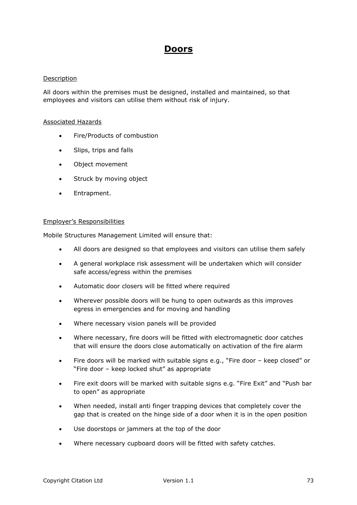# **Doors**

## Description

All doors within the premises must be designed, installed and maintained, so that employees and visitors can utilise them without risk of injury.

#### Associated Hazards

- Fire/Products of combustion
- Slips, trips and falls
- Object movement
- Struck by moving object
- Entrapment.

#### Employer's Responsibilities

Mobile Structures Management Limited will ensure that:

- All doors are designed so that employees and visitors can utilise them safely
- A general workplace risk assessment will be undertaken which will consider safe access/egress within the premises
- Automatic door closers will be fitted where required
- Wherever possible doors will be hung to open outwards as this improves egress in emergencies and for moving and handling
- Where necessary vision panels will be provided
- Where necessary, fire doors will be fitted with electromagnetic door catches that will ensure the doors close automatically on activation of the fire alarm
- Fire doors will be marked with suitable signs e.g., "Fire door keep closed" or "Fire door – keep locked shut" as appropriate
- Fire exit doors will be marked with suitable signs e.g. "Fire Exit" and "Push bar to open" as appropriate
- When needed, install anti finger trapping devices that completely cover the gap that is created on the hinge side of a door when it is in the open position
- Use doorstops or jammers at the top of the door
- Where necessary cupboard doors will be fitted with safety catches.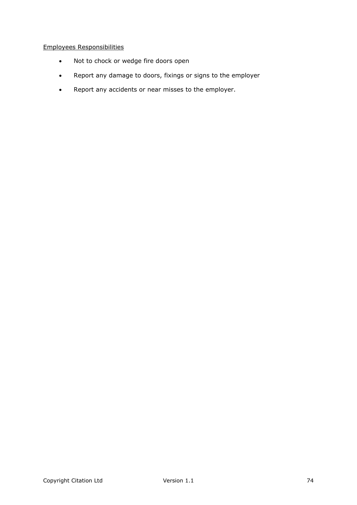# Employees Responsibilities

- Not to chock or wedge fire doors open
- Report any damage to doors, fixings or signs to the employer
- Report any accidents or near misses to the employer.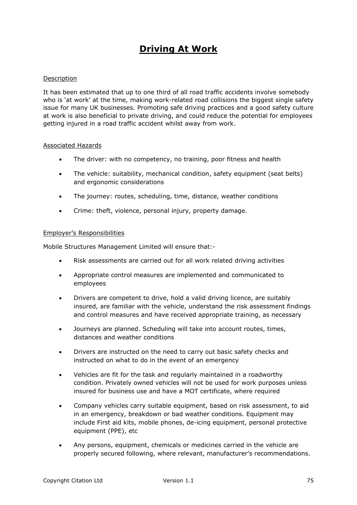# **Driving At Work**

## Description

It has been estimated that up to one third of all road traffic accidents involve somebody who is 'at work' at the time, making work-related road collisions the biggest single safety issue for many UK businesses. Promoting safe driving practices and a good safety culture at work is also beneficial to private driving, and could reduce the potential for employees getting injured in a road traffic accident whilst away from work.

#### Associated Hazards

- The driver: with no competency, no training, poor fitness and health
- The vehicle: suitability, mechanical condition, safety equipment (seat belts) and ergonomic considerations
- The journey: routes, scheduling, time, distance, weather conditions
- Crime: theft, violence, personal injury, property damage.

#### Employer's Responsibilities

Mobile Structures Management Limited will ensure that:-

- Risk assessments are carried out for all work related driving activities
- Appropriate control measures are implemented and communicated to employees
- Drivers are competent to drive, hold a valid driving licence, are suitably insured, are familiar with the vehicle, understand the risk assessment findings and control measures and have received appropriate training, as necessary
- Journeys are planned. Scheduling will take into account routes, times, distances and weather conditions
- Drivers are instructed on the need to carry out basic safety checks and instructed on what to do in the event of an emergency
- Vehicles are fit for the task and regularly maintained in a roadworthy condition. Privately owned vehicles will not be used for work purposes unless insured for business use and have a MOT certificate, where required
- Company vehicles carry suitable equipment, based on risk assessment, to aid in an emergency, breakdown or bad weather conditions. Equipment may include First aid kits, mobile phones, de-icing equipment, personal protective equipment (PPE), etc
- Any persons, equipment, chemicals or medicines carried in the vehicle are properly secured following, where relevant, manufacturer's recommendations.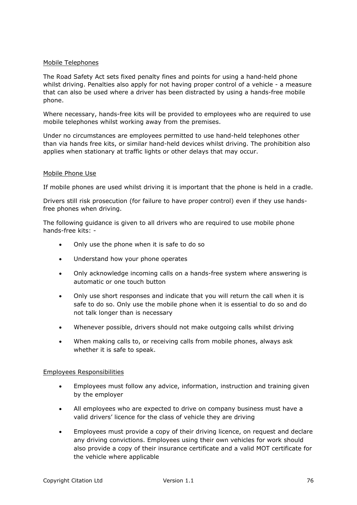#### Mobile Telephones

The Road Safety Act sets fixed penalty fines and points for using a hand-held phone whilst driving. Penalties also apply for not having proper control of a vehicle - a measure that can also be used where a driver has been distracted by using a hands-free mobile phone.

Where necessary, hands-free kits will be provided to employees who are required to use mobile telephones whilst working away from the premises.

Under no circumstances are employees permitted to use hand-held telephones other than via hands free kits, or similar hand-held devices whilst driving. The prohibition also applies when stationary at traffic lights or other delays that may occur.

#### Mobile Phone Use

If mobile phones are used whilst driving it is important that the phone is held in a cradle.

Drivers still risk prosecution (for failure to have proper control) even if they use handsfree phones when driving.

The following guidance is given to all drivers who are required to use mobile phone hands-free kits: -

- Only use the phone when it is safe to do so
- Understand how your phone operates
- Only acknowledge incoming calls on a hands-free system where answering is automatic or one touch button
- Only use short responses and indicate that you will return the call when it is safe to do so. Only use the mobile phone when it is essential to do so and do not talk longer than is necessary
- Whenever possible, drivers should not make outgoing calls whilst driving
- When making calls to, or receiving calls from mobile phones, always ask whether it is safe to speak.

#### Employees Responsibilities

- Employees must follow any advice, information, instruction and training given by the employer
- All employees who are expected to drive on company business must have a valid drivers' licence for the class of vehicle they are driving
- Employees must provide a copy of their driving licence, on request and declare any driving convictions. Employees using their own vehicles for work should also provide a copy of their insurance certificate and a valid MOT certificate for the vehicle where applicable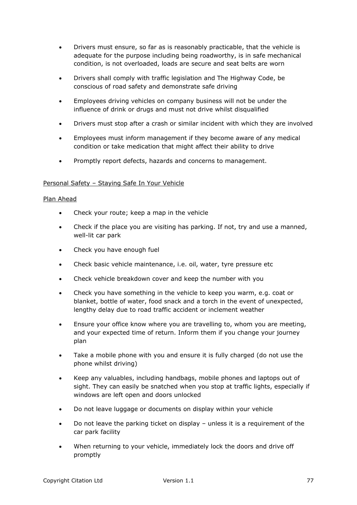- Drivers must ensure, so far as is reasonably practicable, that the vehicle is adequate for the purpose including being roadworthy, is in safe mechanical condition, is not overloaded, loads are secure and seat belts are worn
- Drivers shall comply with traffic legislation and The Highway Code, be conscious of road safety and demonstrate safe driving
- Employees driving vehicles on company business will not be under the influence of drink or drugs and must not drive whilst disqualified
- Drivers must stop after a crash or similar incident with which they are involved
- Employees must inform management if they become aware of any medical condition or take medication that might affect their ability to drive
- Promptly report defects, hazards and concerns to management.

# Personal Safety – Staying Safe In Your Vehicle

## Plan Ahead

- Check your route; keep a map in the vehicle
- Check if the place you are visiting has parking. If not, try and use a manned, well-lit car park
- Check you have enough fuel
- Check basic vehicle maintenance, i.e. oil, water, tyre pressure etc
- Check vehicle breakdown cover and keep the number with you
- Check you have something in the vehicle to keep you warm, e.g. coat or blanket, bottle of water, food snack and a torch in the event of unexpected, lengthy delay due to road traffic accident or inclement weather
- Ensure your office know where you are travelling to, whom you are meeting, and your expected time of return. Inform them if you change your journey plan
- Take a mobile phone with you and ensure it is fully charged (do not use the phone whilst driving)
- Keep any valuables, including handbags, mobile phones and laptops out of sight. They can easily be snatched when you stop at traffic lights, especially if windows are left open and doors unlocked
- Do not leave luggage or documents on display within your vehicle
- Do not leave the parking ticket on display unless it is a requirement of the car park facility
- When returning to your vehicle, immediately lock the doors and drive off promptly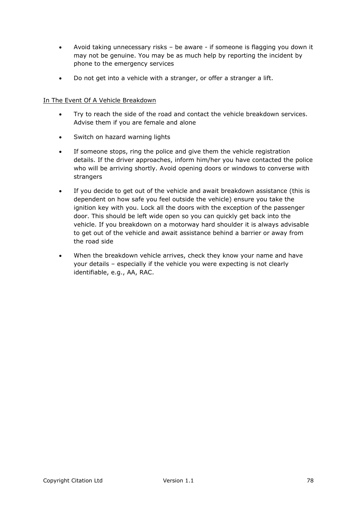- Avoid taking unnecessary risks be aware if someone is flagging you down it may not be genuine. You may be as much help by reporting the incident by phone to the emergency services
- Do not get into a vehicle with a stranger, or offer a stranger a lift.

# In The Event Of A Vehicle Breakdown

- Try to reach the side of the road and contact the vehicle breakdown services. Advise them if you are female and alone
- Switch on hazard warning lights
- If someone stops, ring the police and give them the vehicle registration details. If the driver approaches, inform him/her you have contacted the police who will be arriving shortly. Avoid opening doors or windows to converse with strangers
- If you decide to get out of the vehicle and await breakdown assistance (this is dependent on how safe you feel outside the vehicle) ensure you take the ignition key with you. Lock all the doors with the exception of the passenger door. This should be left wide open so you can quickly get back into the vehicle. If you breakdown on a motorway hard shoulder it is always advisable to get out of the vehicle and await assistance behind a barrier or away from the road side
- When the breakdown vehicle arrives, check they know your name and have your details – especially if the vehicle you were expecting is not clearly identifiable, e.g., AA, RAC.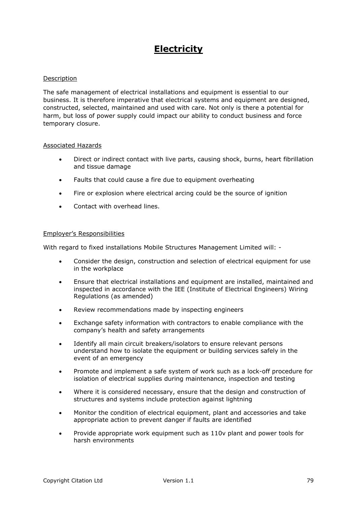# **Electricity**

#### Description

The safe management of electrical installations and equipment is essential to our business. It is therefore imperative that electrical systems and equipment are designed, constructed, selected, maintained and used with care. Not only is there a potential for harm, but loss of power supply could impact our ability to conduct business and force temporary closure.

#### Associated Hazards

- Direct or indirect contact with live parts, causing shock, burns, heart fibrillation and tissue damage
- Faults that could cause a fire due to equipment overheating
- Fire or explosion where electrical arcing could be the source of ignition
- Contact with overhead lines.

#### Employer's Responsibilities

With regard to fixed installations Mobile Structures Management Limited will: -

- Consider the design, construction and selection of electrical equipment for use in the workplace
- Ensure that electrical installations and equipment are installed, maintained and inspected in accordance with the IEE (Institute of Electrical Engineers) Wiring Regulations (as amended)
- Review recommendations made by inspecting engineers
- Exchange safety information with contractors to enable compliance with the company's health and safety arrangements
- Identify all main circuit breakers/isolators to ensure relevant persons understand how to isolate the equipment or building services safely in the event of an emergency
- Promote and implement a safe system of work such as a lock-off procedure for isolation of electrical supplies during maintenance, inspection and testing
- Where it is considered necessary, ensure that the design and construction of structures and systems include protection against lightning
- Monitor the condition of electrical equipment, plant and accessories and take appropriate action to prevent danger if faults are identified
- Provide appropriate work equipment such as 110v plant and power tools for harsh environments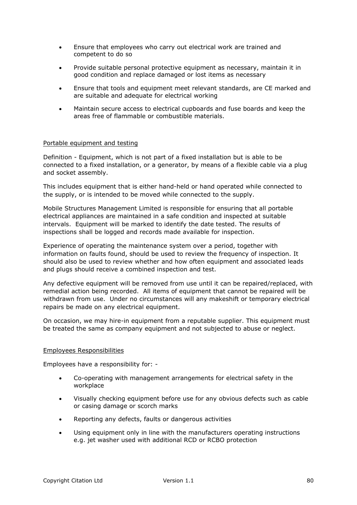- Ensure that employees who carry out electrical work are trained and competent to do so
- Provide suitable personal protective equipment as necessary, maintain it in good condition and replace damaged or lost items as necessary
- Ensure that tools and equipment meet relevant standards, are CE marked and are suitable and adequate for electrical working
- Maintain secure access to electrical cupboards and fuse boards and keep the areas free of flammable or combustible materials.

#### Portable equipment and testing

Definition - Equipment, which is not part of a fixed installation but is able to be connected to a fixed installation, or a generator, by means of a flexible cable via a plug and socket assembly.

This includes equipment that is either hand-held or hand operated while connected to the supply, or is intended to be moved while connected to the supply.

Mobile Structures Management Limited is responsible for ensuring that all portable electrical appliances are maintained in a safe condition and inspected at suitable intervals. Equipment will be marked to identify the date tested. The results of inspections shall be logged and records made available for inspection.

Experience of operating the maintenance system over a period, together with information on faults found, should be used to review the frequency of inspection. It should also be used to review whether and how often equipment and associated leads and plugs should receive a combined inspection and test.

Any defective equipment will be removed from use until it can be repaired/replaced, with remedial action being recorded. All items of equipment that cannot be repaired will be withdrawn from use. Under no circumstances will any makeshift or temporary electrical repairs be made on any electrical equipment.

On occasion, we may hire-in equipment from a reputable supplier. This equipment must be treated the same as company equipment and not subjected to abuse or neglect.

#### Employees Responsibilities

Employees have a responsibility for: -

- Co-operating with management arrangements for electrical safety in the workplace
- Visually checking equipment before use for any obvious defects such as cable or casing damage or scorch marks
- Reporting any defects, faults or dangerous activities
- Using equipment only in line with the manufacturers operating instructions e.g. jet washer used with additional RCD or RCBO protection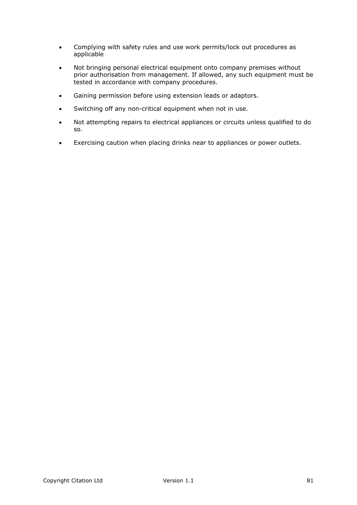- Complying with safety rules and use work permits/lock out procedures as applicable
- Not bringing personal electrical equipment onto company premises without prior authorisation from management. If allowed, any such equipment must be tested in accordance with company procedures.
- Gaining permission before using extension leads or adaptors.
- Switching off any non-critical equipment when not in use.
- Not attempting repairs to electrical appliances or circuits unless qualified to do so.
- Exercising caution when placing drinks near to appliances or power outlets.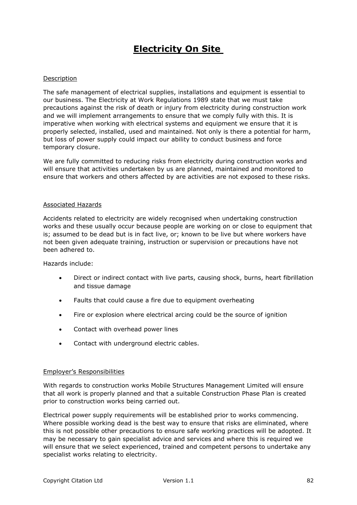# **Electricity On Site**

#### Description

The safe management of electrical supplies, installations and equipment is essential to our business. The Electricity at Work Regulations 1989 state that we must take precautions against the risk of death or injury from electricity during construction work and we will implement arrangements to ensure that we comply fully with this. It is imperative when working with electrical systems and equipment we ensure that it is properly selected, installed, used and maintained. Not only is there a potential for harm, but loss of power supply could impact our ability to conduct business and force temporary closure.

We are fully committed to reducing risks from electricity during construction works and will ensure that activities undertaken by us are planned, maintained and monitored to ensure that workers and others affected by are activities are not exposed to these risks.

#### Associated Hazards

Accidents related to electricity are widely recognised when undertaking construction works and these usually occur because people are working on or close to equipment that is; assumed to be dead but is in fact live, or; known to be live but where workers have not been given adequate training, instruction or supervision or precautions have not been adhered to.

Hazards include:

- Direct or indirect contact with live parts, causing shock, burns, heart fibrillation and tissue damage
- Faults that could cause a fire due to equipment overheating
- Fire or explosion where electrical arcing could be the source of ignition
- Contact with overhead power lines
- Contact with underground electric cables.

#### Employer's Responsibilities

With regards to construction works Mobile Structures Management Limited will ensure that all work is properly planned and that a suitable Construction Phase Plan is created prior to construction works being carried out.

Electrical power supply requirements will be established prior to works commencing. Where possible working dead is the best way to ensure that risks are eliminated, where this is not possible other precautions to ensure safe working practices will be adopted. It may be necessary to gain specialist advice and services and where this is required we will ensure that we select experienced, trained and competent persons to undertake any specialist works relating to electricity.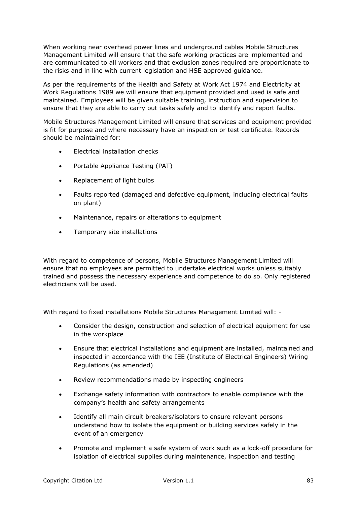When working near overhead power lines and underground cables Mobile Structures Management Limited will ensure that the safe working practices are implemented and are communicated to all workers and that exclusion zones required are proportionate to the risks and in line with current legislation and HSE approved guidance.

As per the requirements of the Health and Safety at Work Act 1974 and Electricity at Work Regulations 1989 we will ensure that equipment provided and used is safe and maintained. Employees will be given suitable training, instruction and supervision to ensure that they are able to carry out tasks safely and to identify and report faults.

Mobile Structures Management Limited will ensure that services and equipment provided is fit for purpose and where necessary have an inspection or test certificate. Records should be maintained for:

- Electrical installation checks
- Portable Appliance Testing (PAT)
- Replacement of light bulbs
- Faults reported (damaged and defective equipment, including electrical faults on plant)
- Maintenance, repairs or alterations to equipment
- Temporary site installations

With regard to competence of persons, Mobile Structures Management Limited will ensure that no employees are permitted to undertake electrical works unless suitably trained and possess the necessary experience and competence to do so. Only registered electricians will be used.

With regard to fixed installations Mobile Structures Management Limited will: -

- Consider the design, construction and selection of electrical equipment for use in the workplace
- Ensure that electrical installations and equipment are installed, maintained and inspected in accordance with the IEE (Institute of Electrical Engineers) Wiring Regulations (as amended)
- Review recommendations made by inspecting engineers
- Exchange safety information with contractors to enable compliance with the company's health and safety arrangements
- Identify all main circuit breakers/isolators to ensure relevant persons understand how to isolate the equipment or building services safely in the event of an emergency
- Promote and implement a safe system of work such as a lock-off procedure for isolation of electrical supplies during maintenance, inspection and testing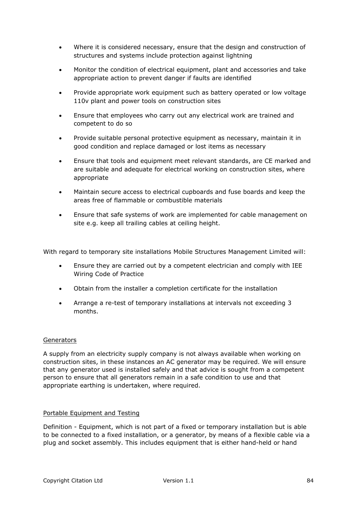- Where it is considered necessary, ensure that the design and construction of structures and systems include protection against lightning
- Monitor the condition of electrical equipment, plant and accessories and take appropriate action to prevent danger if faults are identified
- Provide appropriate work equipment such as battery operated or low voltage 110v plant and power tools on construction sites
- Ensure that employees who carry out any electrical work are trained and competent to do so
- Provide suitable personal protective equipment as necessary, maintain it in good condition and replace damaged or lost items as necessary
- Ensure that tools and equipment meet relevant standards, are CE marked and are suitable and adequate for electrical working on construction sites, where appropriate
- Maintain secure access to electrical cupboards and fuse boards and keep the areas free of flammable or combustible materials
- Ensure that safe systems of work are implemented for cable management on site e.g. keep all trailing cables at ceiling height.

With regard to temporary site installations Mobile Structures Management Limited will:

- Ensure they are carried out by a competent electrician and comply with IEE Wiring Code of Practice
- Obtain from the installer a completion certificate for the installation
- Arrange a re-test of temporary installations at intervals not exceeding 3 months.

#### **Generators**

A supply from an electricity supply company is not always available when working on construction sites, in these instances an AC generator may be required. We will ensure that any generator used is installed safely and that advice is sought from a competent person to ensure that all generators remain in a safe condition to use and that appropriate earthing is undertaken, where required.

#### Portable Equipment and Testing

Definition - Equipment, which is not part of a fixed or temporary installation but is able to be connected to a fixed installation, or a generator, by means of a flexible cable via a plug and socket assembly. This includes equipment that is either hand-held or hand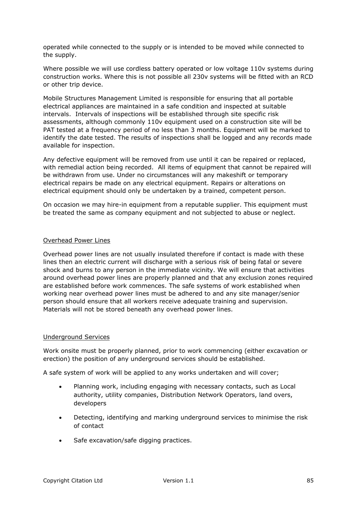operated while connected to the supply or is intended to be moved while connected to the supply.

Where possible we will use cordless battery operated or low voltage 110v systems during construction works. Where this is not possible all 230v systems will be fitted with an RCD or other trip device.

Mobile Structures Management Limited is responsible for ensuring that all portable electrical appliances are maintained in a safe condition and inspected at suitable intervals. Intervals of inspections will be established through site specific risk assessments, although commonly 110v equipment used on a construction site will be PAT tested at a frequency period of no less than 3 months. Equipment will be marked to identify the date tested. The results of inspections shall be logged and any records made available for inspection.

Any defective equipment will be removed from use until it can be repaired or replaced, with remedial action being recorded. All items of equipment that cannot be repaired will be withdrawn from use. Under no circumstances will any makeshift or temporary electrical repairs be made on any electrical equipment. Repairs or alterations on electrical equipment should only be undertaken by a trained, competent person.

On occasion we may hire-in equipment from a reputable supplier. This equipment must be treated the same as company equipment and not subjected to abuse or neglect.

#### Overhead Power Lines

Overhead power lines are not usually insulated therefore if contact is made with these lines then an electric current will discharge with a serious risk of being fatal or severe shock and burns to any person in the immediate vicinity. We will ensure that activities around overhead power lines are properly planned and that any exclusion zones required are established before work commences. The safe systems of work established when working near overhead power lines must be adhered to and any site manager/senior person should ensure that all workers receive adequate training and supervision. Materials will not be stored beneath any overhead power lines.

#### Underground Services

Work onsite must be properly planned, prior to work commencing (either excavation or erection) the position of any underground services should be established.

A safe system of work will be applied to any works undertaken and will cover;

- Planning work, including engaging with necessary contacts, such as Local authority, utility companies, Distribution Network Operators, land overs, developers
- Detecting, identifying and marking underground services to minimise the risk of contact
- Safe excavation/safe digging practices.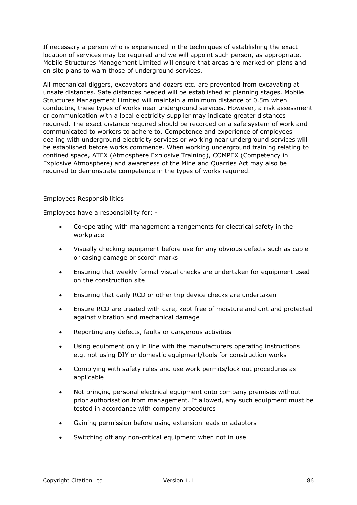If necessary a person who is experienced in the techniques of establishing the exact location of services may be required and we will appoint such person, as appropriate. Mobile Structures Management Limited will ensure that areas are marked on plans and on site plans to warn those of underground services.

All mechanical diggers, excavators and dozers etc. are prevented from excavating at unsafe distances. Safe distances needed will be established at planning stages. Mobile Structures Management Limited will maintain a minimum distance of 0.5m when conducting these types of works near underground services. However, a risk assessment or communication with a local electricity supplier may indicate greater distances required. The exact distance required should be recorded on a safe system of work and communicated to workers to adhere to. Competence and experience of employees dealing with underground electricity services or working near underground services will be established before works commence. When working underground training relating to confined space, ATEX (Atmosphere Explosive Training), COMPEX (Competency in Explosive Atmosphere) and awareness of the Mine and Quarries Act may also be required to demonstrate competence in the types of works required.

## Employees Responsibilities

Employees have a responsibility for: -

- Co-operating with management arrangements for electrical safety in the workplace
- Visually checking equipment before use for any obvious defects such as cable or casing damage or scorch marks
- Ensuring that weekly formal visual checks are undertaken for equipment used on the construction site
- Ensuring that daily RCD or other trip device checks are undertaken
- Ensure RCD are treated with care, kept free of moisture and dirt and protected against vibration and mechanical damage
- Reporting any defects, faults or dangerous activities
- Using equipment only in line with the manufacturers operating instructions e.g. not using DIY or domestic equipment/tools for construction works
- Complying with safety rules and use work permits/lock out procedures as applicable
- Not bringing personal electrical equipment onto company premises without prior authorisation from management. If allowed, any such equipment must be tested in accordance with company procedures
- Gaining permission before using extension leads or adaptors
- Switching off any non-critical equipment when not in use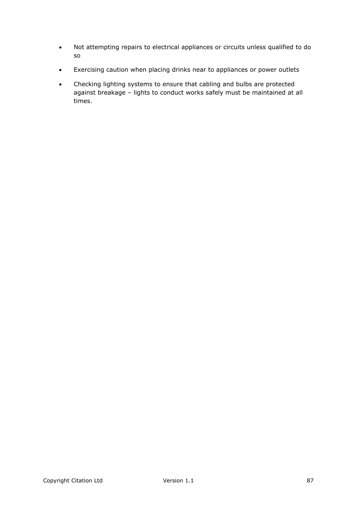- Not attempting repairs to electrical appliances or circuits unless qualified to do so
- Exercising caution when placing drinks near to appliances or power outlets
- Checking lighting systems to ensure that cabling and bulbs are protected against breakage – lights to conduct works safely must be maintained at all times.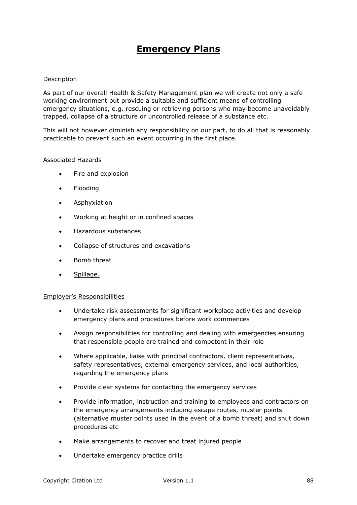# **Emergency Plans**

# Description

As part of our overall Health & Safety Management plan we will create not only a safe working environment but provide a suitable and sufficient means of controlling emergency situations, e.g. rescuing or retrieving persons who may become unavoidably trapped, collapse of a structure or uncontrolled release of a substance etc.

This will not however diminish any responsibility on our part, to do all that is reasonably practicable to prevent such an event occurring in the first place.

#### Associated Hazards

- Fire and explosion
- Flooding
- **•** Asphyxiation
- Working at height or in confined spaces
- Hazardous substances
- Collapse of structures and excavations
- Bomb threat
- Spillage.

#### Employer's Responsibilities

- Undertake risk assessments for significant workplace activities and develop emergency plans and procedures before work commences
- Assign responsibilities for controlling and dealing with emergencies ensuring that responsible people are trained and competent in their role
- Where applicable, liaise with principal contractors, client representatives, safety representatives, external emergency services, and local authorities, regarding the emergency plans
- Provide clear systems for contacting the emergency services
- Provide information, instruction and training to employees and contractors on the emergency arrangements including escape routes, muster points (alternative muster points used in the event of a bomb threat) and shut down procedures etc
- Make arrangements to recover and treat injured people
- Undertake emergency practice drills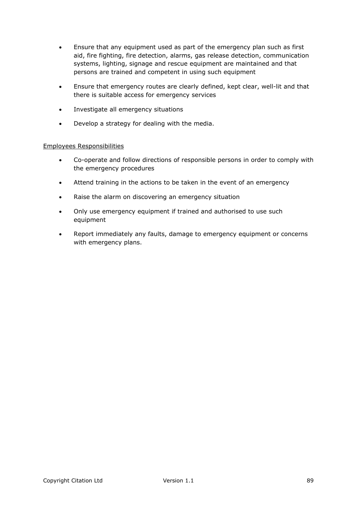- Ensure that any equipment used as part of the emergency plan such as first aid, fire fighting, fire detection, alarms, gas release detection, communication systems, lighting, signage and rescue equipment are maintained and that persons are trained and competent in using such equipment
- Ensure that emergency routes are clearly defined, kept clear, well-lit and that there is suitable access for emergency services
- Investigate all emergency situations
- Develop a strategy for dealing with the media.

# Employees Responsibilities

- Co-operate and follow directions of responsible persons in order to comply with the emergency procedures
- Attend training in the actions to be taken in the event of an emergency
- Raise the alarm on discovering an emergency situation
- Only use emergency equipment if trained and authorised to use such equipment
- Report immediately any faults, damage to emergency equipment or concerns with emergency plans.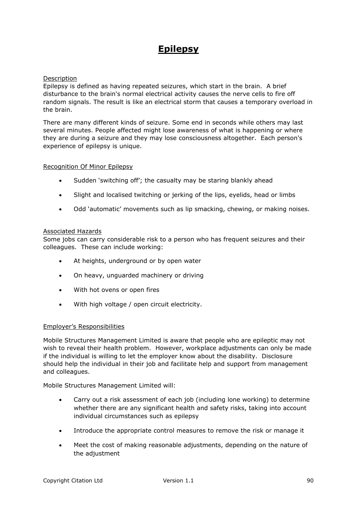# **Epilepsy**

# **Description**

Epilepsy is defined as having repeated seizures, which start in the brain. A brief disturbance to the brain's normal electrical activity causes the nerve cells to fire off random signals. The result is like an electrical storm that causes a temporary overload in the brain.

There are many different kinds of seizure. Some end in seconds while others may last several minutes. People affected might lose awareness of what is happening or where they are during a seizure and they may lose consciousness altogether. Each person's experience of epilepsy is unique.

#### Recognition Of Minor Epilepsy

- Sudden 'switching off'; the casualty may be staring blankly ahead
- Slight and localised twitching or jerking of the lips, eyelids, head or limbs
- Odd 'automatic' movements such as lip smacking, chewing, or making noises.

#### Associated Hazards

Some jobs can carry considerable risk to a person who has frequent seizures and their colleagues. These can include working:

- At heights, underground or by open water
- On heavy, unguarded machinery or driving
- With hot ovens or open fires
- With high voltage / open circuit electricity.

#### Employer's Responsibilities

Mobile Structures Management Limited is aware that people who are epileptic may not wish to reveal their health problem. However, workplace adjustments can only be made if the individual is willing to let the employer know about the disability. Disclosure should help the individual in their job and facilitate help and support from management and colleagues.

Mobile Structures Management Limited will:

- Carry out a risk assessment of each job (including lone working) to determine whether there are any significant health and safety risks, taking into account individual circumstances such as epilepsy
- Introduce the appropriate control measures to remove the risk or manage it
- Meet the cost of making reasonable adjustments, depending on the nature of the adjustment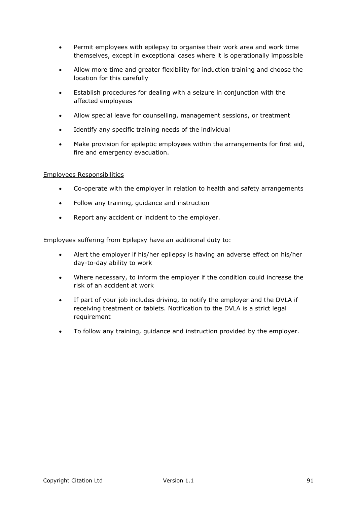- Permit employees with epilepsy to organise their work area and work time themselves, except in exceptional cases where it is operationally impossible
- Allow more time and greater flexibility for induction training and choose the location for this carefully
- Establish procedures for dealing with a seizure in conjunction with the affected employees
- Allow special leave for counselling, management sessions, or treatment
- Identify any specific training needs of the individual
- Make provision for epileptic employees within the arrangements for first aid, fire and emergency evacuation.

## Employees Responsibilities

- Co-operate with the employer in relation to health and safety arrangements
- Follow any training, guidance and instruction
- Report any accident or incident to the employer.

Employees suffering from Epilepsy have an additional duty to:

- Alert the employer if his/her epilepsy is having an adverse effect on his/her day-to-day ability to work
- Where necessary, to inform the employer if the condition could increase the risk of an accident at work
- If part of your job includes driving, to notify the employer and the DVLA if receiving treatment or tablets. Notification to the DVLA is a strict legal requirement
- To follow any training, guidance and instruction provided by the employer.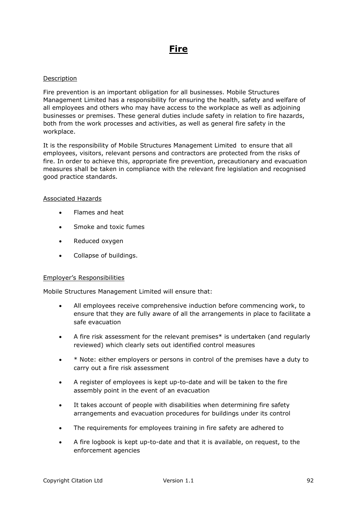# **Fire**

#### Description

Fire prevention is an important obligation for all businesses. Mobile Structures Management Limited has a responsibility for ensuring the health, safety and welfare of all employees and others who may have access to the workplace as well as adjoining businesses or premises. These general duties include safety in relation to fire hazards, both from the work processes and activities, as well as general fire safety in the workplace.

It is the responsibility of Mobile Structures Management Limited to ensure that all employees, visitors, relevant persons and contractors are protected from the risks of fire. In order to achieve this, appropriate fire prevention, precautionary and evacuation measures shall be taken in compliance with the relevant fire legislation and recognised good practice standards.

#### Associated Hazards

- Flames and heat
- Smoke and toxic fumes
- Reduced oxygen
- Collapse of buildings.

#### Employer's Responsibilities

Mobile Structures Management Limited will ensure that:

- All employees receive comprehensive induction before commencing work, to ensure that they are fully aware of all the arrangements in place to facilitate a safe evacuation
- A fire risk assessment for the relevant premises\* is undertaken (and regularly reviewed) which clearly sets out identified control measures
- \* Note: either employers or persons in control of the premises have a duty to carry out a fire risk assessment
- A register of employees is kept up-to-date and will be taken to the fire assembly point in the event of an evacuation
- It takes account of people with disabilities when determining fire safety arrangements and evacuation procedures for buildings under its control
- The requirements for employees training in fire safety are adhered to
- A fire logbook is kept up-to-date and that it is available, on request, to the enforcement agencies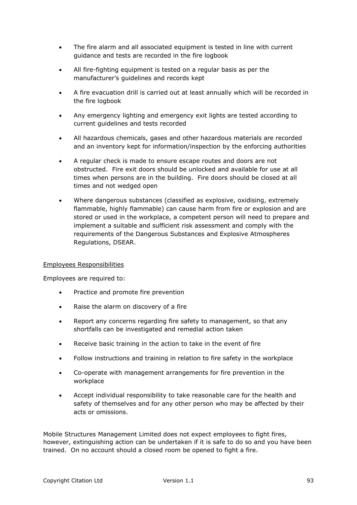- The fire alarm and all associated equipment is tested in line with current guidance and tests are recorded in the fire logbook
- All fire-fighting equipment is tested on a regular basis as per the manufacturer's guidelines and records kept
- A fire evacuation drill is carried out at least annually which will be recorded in the fire logbook
- Any emergency lighting and emergency exit lights are tested according to current guidelines and tests recorded
- All hazardous chemicals, gases and other hazardous materials are recorded and an inventory kept for information/inspection by the enforcing authorities
- A regular check is made to ensure escape routes and doors are not obstructed. Fire exit doors should be unlocked and available for use at all times when persons are in the building. Fire doors should be closed at all times and not wedged open
- Where dangerous substances (classified as explosive, oxidising, extremely flammable, highly flammable) can cause harm from fire or explosion and are stored or used in the workplace, a competent person will need to prepare and implement a suitable and sufficient risk assessment and comply with the requirements of the Dangerous Substances and Explosive Atmospheres Regulations, DSEAR.

#### Employees Responsibilities

Employees are required to:

- Practice and promote fire prevention
- Raise the alarm on discovery of a fire
- Report any concerns regarding fire safety to management, so that any shortfalls can be investigated and remedial action taken
- Receive basic training in the action to take in the event of fire
- Follow instructions and training in relation to fire safety in the workplace
- Co-operate with management arrangements for fire prevention in the workplace
- Accept individual responsibility to take reasonable care for the health and safety of themselves and for any other person who may be affected by their acts or omissions.

Mobile Structures Management Limited does not expect employees to fight fires, however, extinguishing action can be undertaken if it is safe to do so and you have been trained. On no account should a closed room be opened to fight a fire.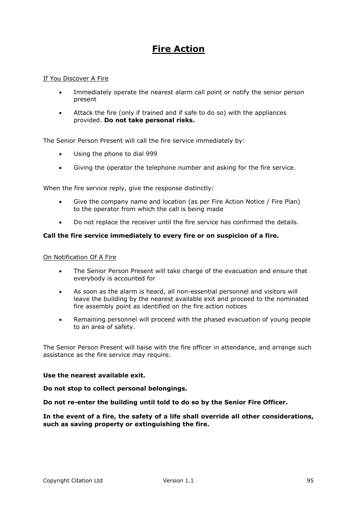# **Fire Action**

#### If You Discover A Fire

- Immediately operate the nearest alarm call point or notify the senior person present
- Attack the fire (only if trained and if safe to do so) with the appliances provided. **Do not take personal risks.**

The Senior Person Present will call the fire service immediately by:

- Using the phone to dial 999
- Giving the operator the telephone number and asking for the fire service.

When the fire service reply, give the response distinctly:

- Give the company name and location (as per Fire Action Notice / Fire Plan) to the operator from which the call is being made
- Do not replace the receiver until the fire service has confirmed the details.

## **Call the fire service immediately to every fire or on suspicion of a fire.**

#### On Notification Of A Fire

- The Senior Person Present will take charge of the evacuation and ensure that everybody is accounted for
- As soon as the alarm is heard, all non-essential personnel and visitors will leave the building by the nearest available exit and proceed to the nominated fire assembly point as identified on the fire action notices
- Remaining personnel will proceed with the phased evacuation of young people to an area of safety.

The Senior Person Present will liaise with the fire officer in attendance, and arrange such assistance as the fire service may require.

#### **Use the nearest available exit.**

**Do not stop to collect personal belongings.**

**Do not re-enter the building until told to do so by the Senior Fire Officer.**

**In the event of a fire, the safety of a life shall override all other considerations, such as saving property or extinguishing the fire.**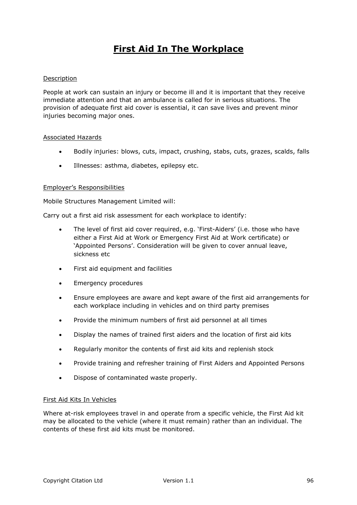# **First Aid In The Workplace**

## Description

People at work can sustain an injury or become ill and it is important that they receive immediate attention and that an ambulance is called for in serious situations. The provision of adequate first aid cover is essential, it can save lives and prevent minor injuries becoming major ones.

#### Associated Hazards

- Bodily injuries: blows, cuts, impact, crushing, stabs, cuts, grazes, scalds, falls
- Illnesses: asthma, diabetes, epilepsy etc.

#### Employer's Responsibilities

Mobile Structures Management Limited will:

Carry out a first aid risk assessment for each workplace to identify:

- The level of first aid cover required, e.g. 'First-Aiders' (i.e. those who have either a First Aid at Work or Emergency First Aid at Work certificate) or 'Appointed Persons'. Consideration will be given to cover annual leave, sickness etc.
- First aid equipment and facilities
- Emergency procedures
- Ensure employees are aware and kept aware of the first aid arrangements for each workplace including in vehicles and on third party premises
- Provide the minimum numbers of first aid personnel at all times
- Display the names of trained first aiders and the location of first aid kits
- Regularly monitor the contents of first aid kits and replenish stock
- Provide training and refresher training of First Aiders and Appointed Persons
- Dispose of contaminated waste properly.

#### First Aid Kits In Vehicles

Where at-risk employees travel in and operate from a specific vehicle, the First Aid kit may be allocated to the vehicle (where it must remain) rather than an individual. The contents of these first aid kits must be monitored.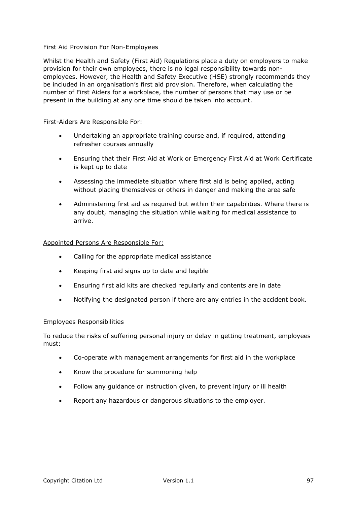# First Aid Provision For Non-Employees

Whilst the Health and Safety (First Aid) Regulations place a duty on employers to make provision for their own employees, there is no legal responsibility towards nonemployees. However, the Health and Safety Executive (HSE) strongly recommends they be included in an organisation's first aid provision. Therefore, when calculating the number of First Aiders for a workplace, the number of persons that may use or be present in the building at any one time should be taken into account.

#### First-Aiders Are Responsible For:

- Undertaking an appropriate training course and, if required, attending refresher courses annually
- Ensuring that their First Aid at Work or Emergency First Aid at Work Certificate is kept up to date
- Assessing the immediate situation where first aid is being applied, acting without placing themselves or others in danger and making the area safe
- Administering first aid as required but within their capabilities. Where there is any doubt, managing the situation while waiting for medical assistance to arrive.

## Appointed Persons Are Responsible For:

- Calling for the appropriate medical assistance
- Keeping first aid signs up to date and legible
- Ensuring first aid kits are checked regularly and contents are in date
- Notifying the designated person if there are any entries in the accident book.

#### Employees Responsibilities

To reduce the risks of suffering personal injury or delay in getting treatment, employees must:

- Co-operate with management arrangements for first aid in the workplace
- Know the procedure for summoning help
- Follow any quidance or instruction given, to prevent injury or ill health
- Report any hazardous or dangerous situations to the employer.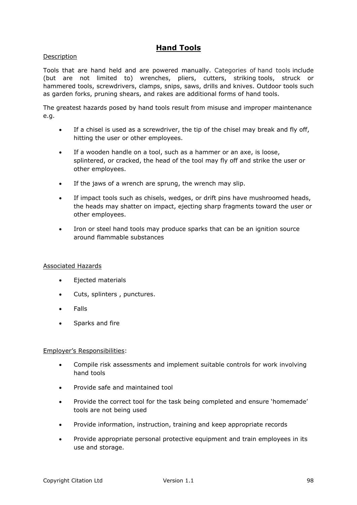# **Hand Tools**

# Description

Tools that are hand held and are powered manually. Categories of hand tools include (but are not limited to) wrenches, pliers, cutters, striking tools, struck or hammered tools, screwdrivers, clamps, snips, saws, drills and knives. Outdoor tools such as garden forks, pruning shears, and rakes are additional forms of hand tools.

The greatest hazards posed by hand tools result from misuse and improper maintenance e.g.

- If a chisel is used as a screwdriver, the tip of the chisel may break and fly off, hitting the user or other employees.
- If a wooden handle on a tool, such as a hammer or an axe, is loose, splintered, or cracked, the head of the tool may fly off and strike the user or other employees.
- If the jaws of a wrench are sprung, the wrench may slip.
- If impact tools such as chisels, wedges, or drift pins have mushroomed heads, the heads may shatter on impact, ejecting sharp fragments toward the user or other employees.
- Iron or steel hand tools may produce sparks that can be an ignition source around flammable substances

#### Associated Hazards

- Ejected materials
- Cuts, splinters , punctures.
- Falls
- Sparks and fire

#### Employer's Responsibilities:

- Compile risk assessments and implement suitable controls for work involving hand tools
- Provide safe and maintained tool
- Provide the correct tool for the task being completed and ensure 'homemade' tools are not being used
- Provide information, instruction, training and keep appropriate records
- Provide appropriate personal protective equipment and train employees in its use and storage.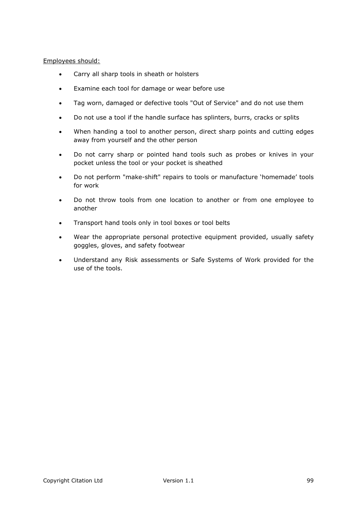# Employees should:

- Carry all sharp tools in sheath or holsters
- Examine each tool for damage or wear before use
- Tag worn, damaged or defective tools "Out of Service" and do not use them
- Do not use a tool if the handle surface has splinters, burrs, cracks or splits
- When handing a tool to another person, direct sharp points and cutting edges away from yourself and the other person
- Do not carry sharp or pointed hand tools such as probes or knives in your pocket unless the tool or your pocket is sheathed
- Do not perform "make-shift" repairs to tools or manufacture 'homemade' tools for work
- Do not throw tools from one location to another or from one employee to another
- Transport hand tools only in tool boxes or tool belts
- Wear the appropriate personal protective equipment provided, usually safety goggles, gloves, and safety footwear
- Understand any Risk assessments or Safe Systems of Work provided for the use of the tools.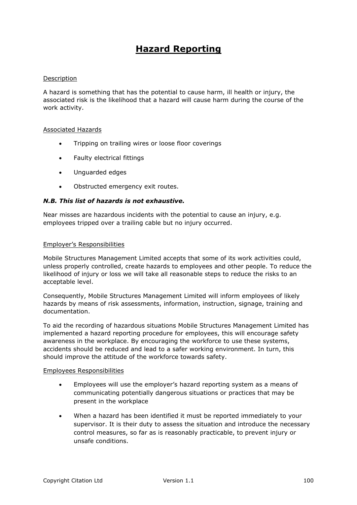# **Hazard Reporting**

#### Description

A hazard is something that has the potential to cause harm, ill health or injury, the associated risk is the likelihood that a hazard will cause harm during the course of the work activity.

#### Associated Hazards

- Tripping on trailing wires or loose floor coverings
- Faulty electrical fittings
- Unguarded edges
- Obstructed emergency exit routes.

#### *N.B. This list of hazards is not exhaustive.*

Near misses are hazardous incidents with the potential to cause an injury, e.g. employees tripped over a trailing cable but no injury occurred.

#### Employer's Responsibilities

Mobile Structures Management Limited accepts that some of its work activities could, unless properly controlled, create hazards to employees and other people. To reduce the likelihood of injury or loss we will take all reasonable steps to reduce the risks to an acceptable level.

Consequently, Mobile Structures Management Limited will inform employees of likely hazards by means of risk assessments, information, instruction, signage, training and documentation.

To aid the recording of hazardous situations Mobile Structures Management Limited has implemented a hazard reporting procedure for employees, this will encourage safety awareness in the workplace. By encouraging the workforce to use these systems, accidents should be reduced and lead to a safer working environment. In turn, this should improve the attitude of the workforce towards safety.

#### Employees Responsibilities

- Employees will use the employer's hazard reporting system as a means of communicating potentially dangerous situations or practices that may be present in the workplace
- When a hazard has been identified it must be reported immediately to your supervisor. It is their duty to assess the situation and introduce the necessary control measures, so far as is reasonably practicable, to prevent injury or unsafe conditions.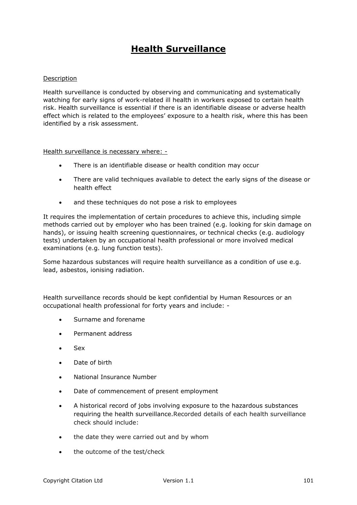# **Health Surveillance**

## Description

Health surveillance is conducted by observing and communicating and systematically watching for early signs of work-related ill health in workers exposed to certain health risk. Health surveillance is essential if there is an identifiable disease or adverse health effect which is related to the employees' exposure to a health risk, where this has been identified by a risk assessment.

Health surveillance is necessary where: -

- There is an identifiable disease or health condition may occur
- There are valid techniques available to detect the early signs of the disease or health effect
- and these techniques do not pose a risk to employees

It requires the implementation of certain procedures to achieve this, including simple methods carried out by employer who has been trained (e.g. looking for skin damage on hands), or issuing health screening questionnaires, or technical checks (e.g. audiology tests) undertaken by an occupational health professional or more involved medical examinations (e.g. lung function tests).

Some hazardous substances will require health surveillance as a condition of use e.g. lead, asbestos, ionising radiation.

Health surveillance records should be kept confidential by Human Resources or an occupational health professional for forty years and include: -

- Surname and forename
- Permanent address
- Sex
- Date of birth
- National Insurance Number
- Date of commencement of present employment
- A historical record of jobs involving exposure to the hazardous substances requiring the health surveillance.Recorded details of each health surveillance check should include:
- the date they were carried out and by whom
- the outcome of the test/check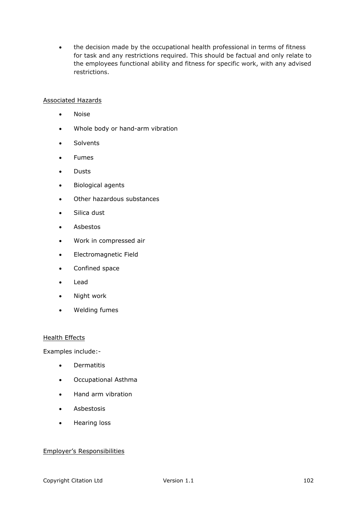• the decision made by the occupational health professional in terms of fitness for task and any restrictions required. This should be factual and only relate to the employees functional ability and fitness for specific work, with any advised restrictions.

## Associated Hazards

- Noise
- Whole body or hand-arm vibration
- **Solvents**
- Fumes
- Dusts
- Biological agents
- Other hazardous substances
- Silica dust
- Asbestos
- Work in compressed air
- Electromagnetic Field
- Confined space
- Lead
- Night work
- Welding fumes

#### Health Effects

Examples include:-

- **•** Dermatitis
- Occupational Asthma
- Hand arm vibration
- Asbestosis
- Hearing loss

#### Employer's Responsibilities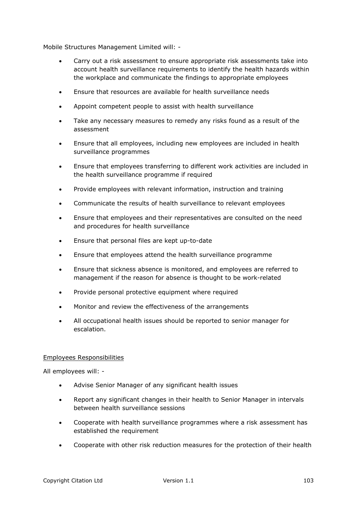Mobile Structures Management Limited will: -

- Carry out a risk assessment to ensure appropriate risk assessments take into account health surveillance requirements to identify the health hazards within the workplace and communicate the findings to appropriate employees
- Ensure that resources are available for health surveillance needs
- Appoint competent people to assist with health surveillance
- Take any necessary measures to remedy any risks found as a result of the assessment
- Ensure that all employees, including new employees are included in health surveillance programmes
- Ensure that employees transferring to different work activities are included in the health surveillance programme if required
- Provide employees with relevant information, instruction and training
- Communicate the results of health surveillance to relevant employees
- Ensure that employees and their representatives are consulted on the need and procedures for health surveillance
- Ensure that personal files are kept up-to-date
- Ensure that employees attend the health surveillance programme
- Ensure that sickness absence is monitored, and employees are referred to management if the reason for absence is thought to be work-related
- Provide personal protective equipment where required
- Monitor and review the effectiveness of the arrangements
- All occupational health issues should be reported to senior manager for escalation.

#### Employees Responsibilities

All employees will: -

- Advise Senior Manager of any significant health issues
- Report any significant changes in their health to Senior Manager in intervals between health surveillance sessions
- Cooperate with health surveillance programmes where a risk assessment has established the requirement
- Cooperate with other risk reduction measures for the protection of their health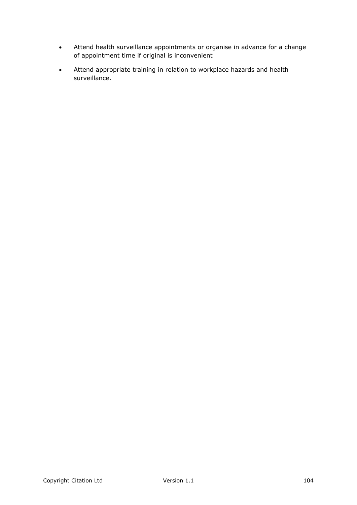- Attend health surveillance appointments or organise in advance for a change of appointment time if original is inconvenient
- Attend appropriate training in relation to workplace hazards and health surveillance.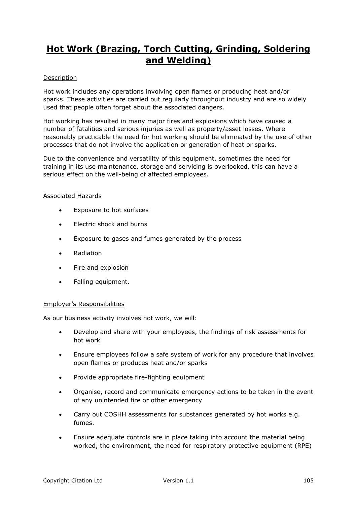# **Hot Work (Brazing, Torch Cutting, Grinding, Soldering and Welding)**

# **Description**

Hot work includes any operations involving open flames or producing heat and/or sparks. These activities are carried out regularly throughout industry and are so widely used that people often forget about the associated dangers.

Hot working has resulted in many major fires and explosions which have caused a number of fatalities and serious injuries as well as property/asset losses. Where reasonably practicable the need for hot working should be eliminated by the use of other processes that do not involve the application or generation of heat or sparks.

Due to the convenience and versatility of this equipment, sometimes the need for training in its use maintenance, storage and servicing is overlooked, this can have a serious effect on the well-being of affected employees.

## Associated Hazards

- Exposure to hot surfaces
- Electric shock and burns
- Exposure to gases and fumes generated by the process
- Radiation
- Fire and explosion
- Falling equipment.

# Employer's Responsibilities

As our business activity involves hot work, we will:

- Develop and share with your employees, the findings of risk assessments for hot work
- Ensure employees follow a safe system of work for any procedure that involves open flames or produces heat and/or sparks
- Provide appropriate fire-fighting equipment
- Organise, record and communicate emergency actions to be taken in the event of any unintended fire or other emergency
- Carry out COSHH assessments for substances generated by hot works e.g. fumes.
- Ensure adequate controls are in place taking into account the material being worked, the environment, the need for respiratory protective equipment (RPE)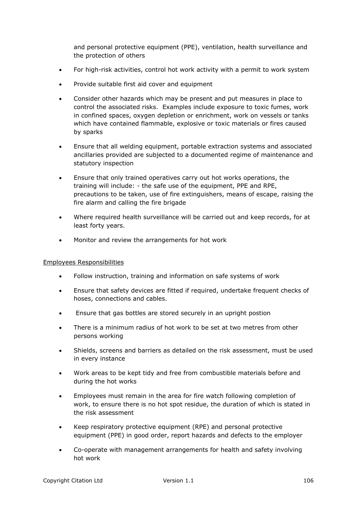and personal protective equipment (PPE), ventilation, health surveillance and the protection of others

- For high-risk activities, control hot work activity with a permit to work system
- Provide suitable first aid cover and equipment
- Consider other hazards which may be present and put measures in place to control the associated risks. Examples include exposure to toxic fumes, work in confined spaces, oxygen depletion or enrichment, work on vessels or tanks which have contained flammable, explosive or toxic materials or fires caused by sparks
- Ensure that all welding equipment, portable extraction systems and associated ancillaries provided are subjected to a documented regime of maintenance and statutory inspection
- Ensure that only trained operatives carry out hot works operations, the training will include: - the safe use of the equipment, PPE and RPE, precautions to be taken, use of fire extinguishers, means of escape, raising the fire alarm and calling the fire brigade
- Where required health surveillance will be carried out and keep records, for at least forty years.
- Monitor and review the arrangements for hot work

#### Employees Responsibilities

- Follow instruction, training and information on safe systems of work
- Ensure that safety devices are fitted if required, undertake frequent checks of hoses, connections and cables.
- Ensure that gas bottles are stored securely in an upright postion
- There is a minimum radius of hot work to be set at two metres from other persons working
- Shields, screens and barriers as detailed on the risk assessment, must be used in every instance
- Work areas to be kept tidy and free from combustible materials before and during the hot works
- Employees must remain in the area for fire watch following completion of work, to ensure there is no hot spot residue, the duration of which is stated in the risk assessment
- Keep respiratory protective equipment (RPE) and personal protective equipment (PPE) in good order, report hazards and defects to the employer
- Co-operate with management arrangements for health and safety involving hot work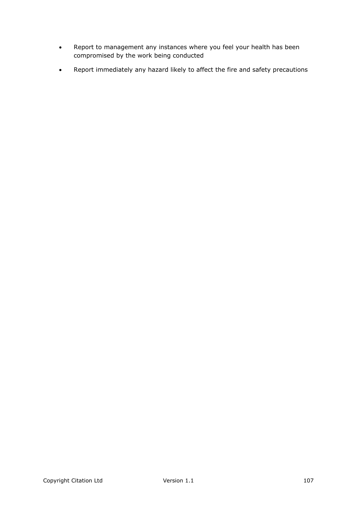- Report to management any instances where you feel your health has been compromised by the work being conducted
- Report immediately any hazard likely to affect the fire and safety precautions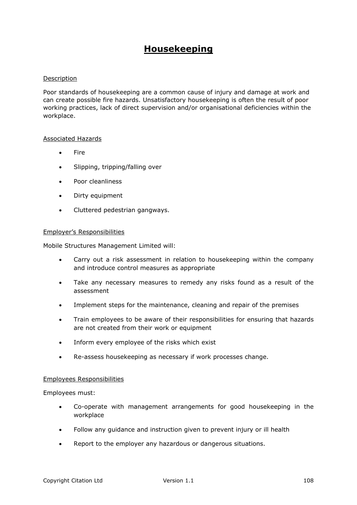# **Housekeeping**

## Description

Poor standards of housekeeping are a common cause of injury and damage at work and can create possible fire hazards. Unsatisfactory housekeeping is often the result of poor working practices, lack of direct supervision and/or organisational deficiencies within the workplace.

#### Associated Hazards

- Fire
- Slipping, tripping/falling over
- Poor cleanliness
- Dirty equipment
- Cluttered pedestrian gangways.

#### Employer's Responsibilities

Mobile Structures Management Limited will:

- Carry out a risk assessment in relation to housekeeping within the company and introduce control measures as appropriate
- Take any necessary measures to remedy any risks found as a result of the assessment
- Implement steps for the maintenance, cleaning and repair of the premises
- Train employees to be aware of their responsibilities for ensuring that hazards are not created from their work or equipment
- Inform every employee of the risks which exist
- Re-assess housekeeping as necessary if work processes change.

#### Employees Responsibilities

Employees must:

- Co-operate with management arrangements for good housekeeping in the workplace
- Follow any guidance and instruction given to prevent injury or ill health
- Report to the employer any hazardous or dangerous situations.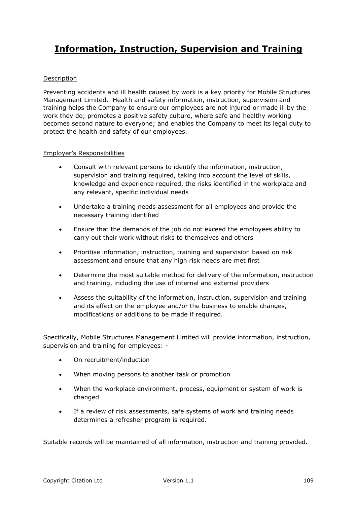# **Information, Instruction, Supervision and Training**

# Description

Preventing accidents and ill health caused by work is a key priority for Mobile Structures Management Limited. Health and safety information, instruction, supervision and training helps the Company to ensure our employees are not injured or made ill by the work they do; promotes a positive safety culture, where safe and healthy working becomes second nature to everyone; and enables the Company to meet its legal duty to protect the health and safety of our employees.

## Employer's Responsibilities

- Consult with relevant persons to identify the information, instruction, supervision and training required, taking into account the level of skills, knowledge and experience required, the risks identified in the workplace and any relevant, specific individual needs
- Undertake a training needs assessment for all employees and provide the necessary training identified
- Ensure that the demands of the job do not exceed the employees ability to carry out their work without risks to themselves and others
- Prioritise information, instruction, training and supervision based on risk assessment and ensure that any high risk needs are met first
- Determine the most suitable method for delivery of the information, instruction and training, including the use of internal and external providers
- Assess the suitability of the information, instruction, supervision and training and its effect on the employee and/or the business to enable changes, modifications or additions to be made if required.

Specifically, Mobile Structures Management Limited will provide information, instruction, supervision and training for employees: -

- On recruitment/induction
- When moving persons to another task or promotion
- When the workplace environment, process, equipment or system of work is changed
- If a review of risk assessments, safe systems of work and training needs determines a refresher program is required.

Suitable records will be maintained of all information, instruction and training provided.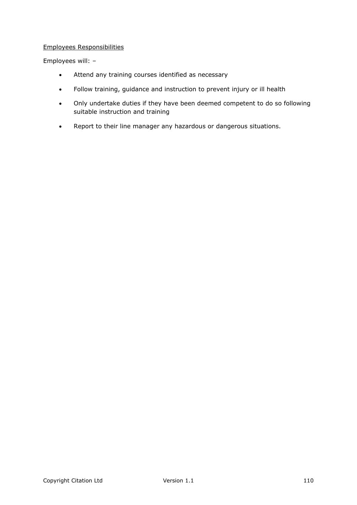Employees will: –

- Attend any training courses identified as necessary
- Follow training, guidance and instruction to prevent injury or ill health
- Only undertake duties if they have been deemed competent to do so following suitable instruction and training
- Report to their line manager any hazardous or dangerous situations.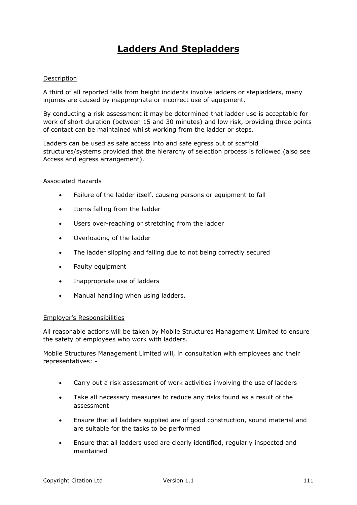# **Ladders And Stepladders**

# Description

A third of all reported falls from height incidents involve ladders or stepladders, many injuries are caused by inappropriate or incorrect use of equipment.

By conducting a risk assessment it may be determined that ladder use is acceptable for work of short duration (between 15 and 30 minutes) and low risk, providing three points of contact can be maintained whilst working from the ladder or steps.

Ladders can be used as safe access into and safe egress out of scaffold structures/systems provided that the hierarchy of selection process is followed (also see Access and egress arrangement).

## Associated Hazards

- Failure of the ladder itself, causing persons or equipment to fall
- Items falling from the ladder
- Users over-reaching or stretching from the ladder
- Overloading of the ladder
- The ladder slipping and falling due to not being correctly secured
- Faulty equipment
- Inappropriate use of ladders
- Manual handling when using ladders.

#### Employer's Responsibilities

All reasonable actions will be taken by Mobile Structures Management Limited to ensure the safety of employees who work with ladders.

Mobile Structures Management Limited will, in consultation with employees and their representatives: -

- Carry out a risk assessment of work activities involving the use of ladders
- Take all necessary measures to reduce any risks found as a result of the assessment
- Ensure that all ladders supplied are of good construction, sound material and are suitable for the tasks to be performed
- Ensure that all ladders used are clearly identified, regularly inspected and maintained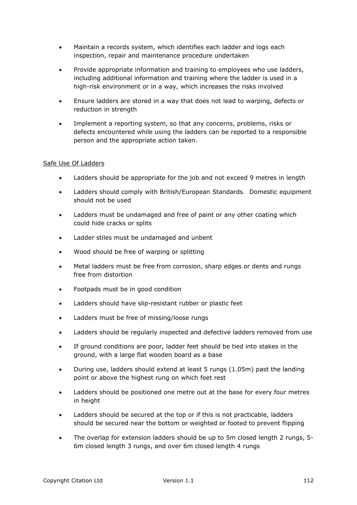- Maintain a records system, which identifies each ladder and logs each inspection, repair and maintenance procedure undertaken
- Provide appropriate information and training to employees who use ladders, including additional information and training where the ladder is used in a high-risk environment or in a way, which increases the risks involved
- Ensure ladders are stored in a way that does not lead to warping, defects or reduction in strength
- Implement a reporting system, so that any concerns, problems, risks or defects encountered while using the ladders can be reported to a responsible person and the appropriate action taken.

## Safe Use Of Ladders

- Ladders should be appropriate for the job and not exceed 9 metres in length
- Ladders should comply with British/European Standards. Domestic equipment should not be used
- Ladders must be undamaged and free of paint or any other coating which could hide cracks or splits
- Ladder stiles must be undamaged and unbent
- Wood should be free of warping or splitting
- Metal ladders must be free from corrosion, sharp edges or dents and rungs free from distortion
- Footpads must be in good condition
- Ladders should have slip-resistant rubber or plastic feet
- Ladders must be free of missing/loose rungs
- Ladders should be regularly inspected and defective ladders removed from use
- If ground conditions are poor, ladder feet should be tied into stakes in the ground, with a large flat wooden board as a base
- During use, ladders should extend at least 5 rungs (1.05m) past the landing point or above the highest rung on which feet rest
- Ladders should be positioned one metre out at the base for every four metres in height
- Ladders should be secured at the top or if this is not practicable, ladders should be secured near the bottom or weighted or footed to prevent flipping
- The overlap for extension ladders should be up to 5m closed length 2 rungs, 5- 6m closed length 3 rungs, and over 6m closed length 4 rungs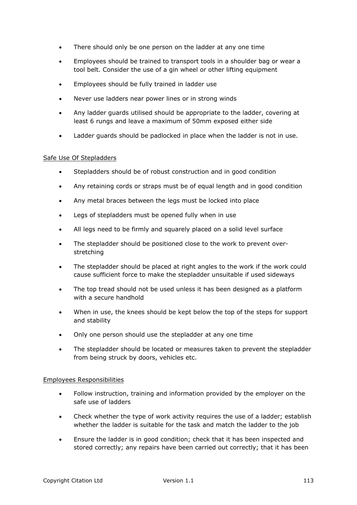- There should only be one person on the ladder at any one time
- Employees should be trained to transport tools in a shoulder bag or wear a tool belt. Consider the use of a gin wheel or other lifting equipment
- Employees should be fully trained in ladder use
- Never use ladders near power lines or in strong winds
- Any ladder guards utilised should be appropriate to the ladder, covering at least 6 rungs and leave a maximum of 50mm exposed either side
- Ladder guards should be padlocked in place when the ladder is not in use.

## Safe Use Of Stepladders

- Stepladders should be of robust construction and in good condition
- Any retaining cords or straps must be of equal length and in good condition
- Any metal braces between the legs must be locked into place
- Legs of stepladders must be opened fully when in use
- All legs need to be firmly and squarely placed on a solid level surface
- The stepladder should be positioned close to the work to prevent overstretching
- The stepladder should be placed at right angles to the work if the work could cause sufficient force to make the stepladder unsuitable if used sideways
- The top tread should not be used unless it has been designed as a platform with a secure handhold
- When in use, the knees should be kept below the top of the steps for support and stability
- Only one person should use the stepladder at any one time
- The stepladder should be located or measures taken to prevent the stepladder from being struck by doors, vehicles etc.

#### Employees Responsibilities

- Follow instruction, training and information provided by the employer on the safe use of ladders
- Check whether the type of work activity requires the use of a ladder; establish whether the ladder is suitable for the task and match the ladder to the job
- Ensure the ladder is in good condition; check that it has been inspected and stored correctly; any repairs have been carried out correctly; that it has been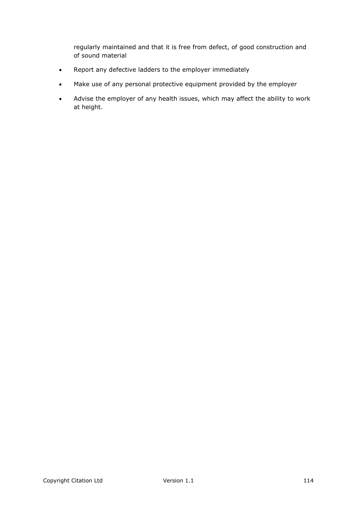regularly maintained and that it is free from defect, of good construction and of sound material

- Report any defective ladders to the employer immediately
- Make use of any personal protective equipment provided by the employer
- Advise the employer of any health issues, which may affect the ability to work at height.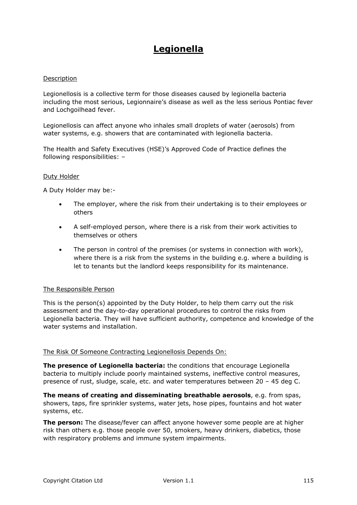# **Legionella**

## Description

Legionellosis is a collective term for those diseases caused by legionella bacteria including the most serious, Legionnaire's disease as well as the less serious Pontiac fever and Lochgoilhead fever.

Legionellosis can affect anyone who inhales small droplets of water (aerosols) from water systems, e.g. showers that are contaminated with legionella bacteria.

The Health and Safety Executives (HSE)'s Approved Code of Practice defines the following responsibilities: –

## Duty Holder

A Duty Holder may be:-

- The employer, where the risk from their undertaking is to their employees or others
- A self-employed person, where there is a risk from their work activities to themselves or others
- The person in control of the premises (or systems in connection with work), where there is a risk from the systems in the building e.g. where a building is let to tenants but the landlord keeps responsibility for its maintenance.

## The Responsible Person

This is the person(s) appointed by the Duty Holder, to help them carry out the risk assessment and the day-to-day operational procedures to control the risks from Legionella bacteria. They will have sufficient authority, competence and knowledge of the water systems and installation.

## The Risk Of Someone Contracting Legionellosis Depends On:

**The presence of Legionella bacteria:** the conditions that encourage Legionella bacteria to multiply include poorly maintained systems, ineffective control measures, presence of rust, sludge, scale, etc. and water temperatures between 20 – 45 deg C.

**The means of creating and disseminating breathable aerosols**, e.g. from spas, showers, taps, fire sprinkler systems, water jets, hose pipes, fountains and hot water systems, etc.

**The person:** The disease/fever can affect anyone however some people are at higher risk than others e.g. those people over 50, smokers, heavy drinkers, diabetics, those with respiratory problems and immune system impairments.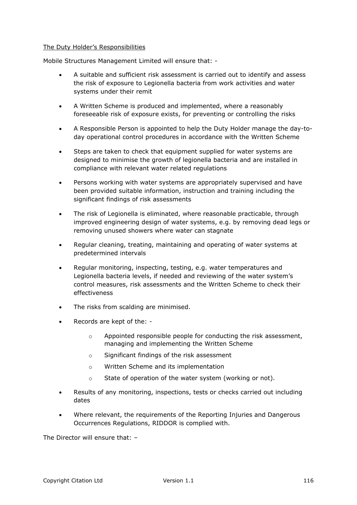## The Duty Holder's Responsibilities

Mobile Structures Management Limited will ensure that: -

- A suitable and sufficient risk assessment is carried out to identify and assess the risk of exposure to Legionella bacteria from work activities and water systems under their remit
- A Written Scheme is produced and implemented, where a reasonably foreseeable risk of exposure exists, for preventing or controlling the risks
- A Responsible Person is appointed to help the Duty Holder manage the day-today operational control procedures in accordance with the Written Scheme
- Steps are taken to check that equipment supplied for water systems are designed to minimise the growth of legionella bacteria and are installed in compliance with relevant water related regulations
- Persons working with water systems are appropriately supervised and have been provided suitable information, instruction and training including the significant findings of risk assessments
- The risk of Legionella is eliminated, where reasonable practicable, through improved engineering design of water systems, e.g. by removing dead legs or removing unused showers where water can stagnate
- Regular cleaning, treating, maintaining and operating of water systems at predetermined intervals
- Regular monitoring, inspecting, testing, e.g. water temperatures and Legionella bacteria levels, if needed and reviewing of the water system's control measures, risk assessments and the Written Scheme to check their effectiveness
- The risks from scalding are minimised.
- Records are kept of the:
	- $\circ$  Appointed responsible people for conducting the risk assessment, managing and implementing the Written Scheme
	- o Significant findings of the risk assessment
	- o Written Scheme and its implementation
	- o State of operation of the water system (working or not).
- Results of any monitoring, inspections, tests or checks carried out including dates
- Where relevant, the requirements of the Reporting Injuries and Dangerous Occurrences Regulations, RIDDOR is complied with.

The Director will ensure that: –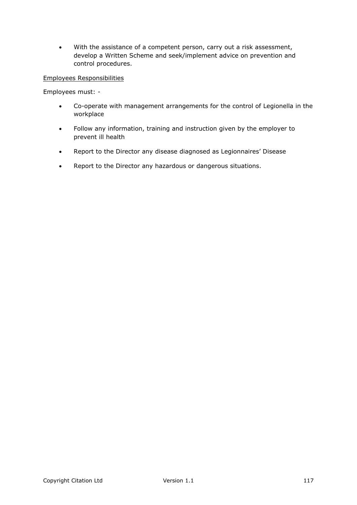With the assistance of a competent person, carry out a risk assessment, develop a Written Scheme and seek/implement advice on prevention and control procedures.

## Employees Responsibilities

Employees must: -

- Co-operate with management arrangements for the control of Legionella in the workplace
- Follow any information, training and instruction given by the employer to prevent ill health
- Report to the Director any disease diagnosed as Legionnaires' Disease
- Report to the Director any hazardous or dangerous situations.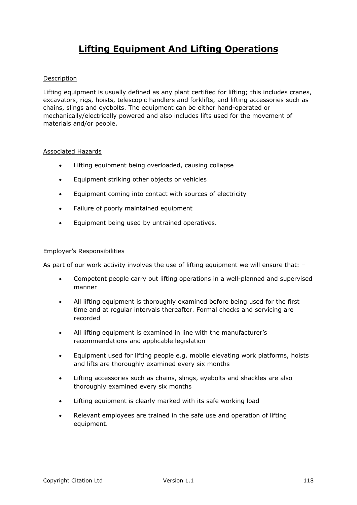# **Lifting Equipment And Lifting Operations**

## Description

Lifting equipment is usually defined as any plant certified for lifting; this includes cranes, excavators, rigs, hoists, telescopic handlers and forklifts, and lifting accessories such as chains, slings and eyebolts. The equipment can be either hand-operated or mechanically/electrically powered and also includes lifts used for the movement of materials and/or people.

## Associated Hazards

- Lifting equipment being overloaded, causing collapse
- **Equipment striking other objects or vehicles**
- Equipment coming into contact with sources of electricity
- Failure of poorly maintained equipment
- **Equipment being used by untrained operatives.**

### Employer's Responsibilities

As part of our work activity involves the use of lifting equipment we will ensure that: –

- Competent people carry out lifting operations in a well-planned and supervised manner
- All lifting equipment is thoroughly examined before being used for the first time and at regular intervals thereafter. Formal checks and servicing are recorded
- All lifting equipment is examined in line with the manufacturer's recommendations and applicable legislation
- Equipment used for lifting people e.g. mobile elevating work platforms, hoists and lifts are thoroughly examined every six months
- Lifting accessories such as chains, slings, eyebolts and shackles are also thoroughly examined every six months
- Lifting equipment is clearly marked with its safe working load
- Relevant employees are trained in the safe use and operation of lifting equipment.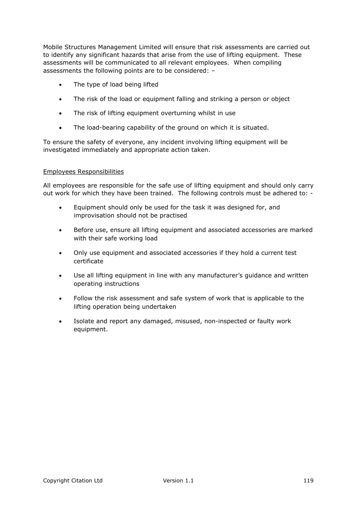Mobile Structures Management Limited will ensure that risk assessments are carried out to identify any significant hazards that arise from the use of lifting equipment. These assessments will be communicated to all relevant employees. When compiling assessments the following points are to be considered: –

- The type of load being lifted
- The risk of the load or equipment falling and striking a person or object
- The risk of lifting equipment overturning whilst in use
- The load-bearing capability of the ground on which it is situated.

To ensure the safety of everyone, any incident involving lifting equipment will be investigated immediately and appropriate action taken.

## Employees Responsibilities

All employees are responsible for the safe use of lifting equipment and should only carry out work for which they have been trained. The following controls must be adhered to: -

- Equipment should only be used for the task it was designed for, and improvisation should not be practised
- Before use, ensure all lifting equipment and associated accessories are marked with their safe working load
- Only use equipment and associated accessories if they hold a current test certificate
- Use all lifting equipment in line with any manufacturer's guidance and written operating instructions
- Follow the risk assessment and safe system of work that is applicable to the lifting operation being undertaken
- Isolate and report any damaged, misused, non-inspected or faulty work equipment.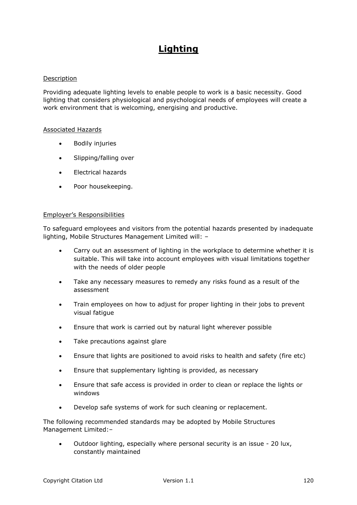# **Lighting**

## Description

Providing adequate lighting levels to enable people to work is a basic necessity. Good lighting that considers physiological and psychological needs of employees will create a work environment that is welcoming, energising and productive.

## Associated Hazards

- Bodily injuries
- Slipping/falling over
- Electrical hazards
- Poor housekeeping.

#### Employer's Responsibilities

To safeguard employees and visitors from the potential hazards presented by inadequate lighting, Mobile Structures Management Limited will: –

- Carry out an assessment of lighting in the workplace to determine whether it is suitable. This will take into account employees with visual limitations together with the needs of older people
- Take any necessary measures to remedy any risks found as a result of the assessment
- Train employees on how to adjust for proper lighting in their jobs to prevent visual fatigue
- Ensure that work is carried out by natural light wherever possible
- Take precautions against glare
- Ensure that lights are positioned to avoid risks to health and safety (fire etc)
- Ensure that supplementary lighting is provided, as necessary
- Ensure that safe access is provided in order to clean or replace the lights or windows
- Develop safe systems of work for such cleaning or replacement.

The following recommended standards may be adopted by Mobile Structures Management Limited:–

 Outdoor lighting, especially where personal security is an issue - 20 lux, constantly maintained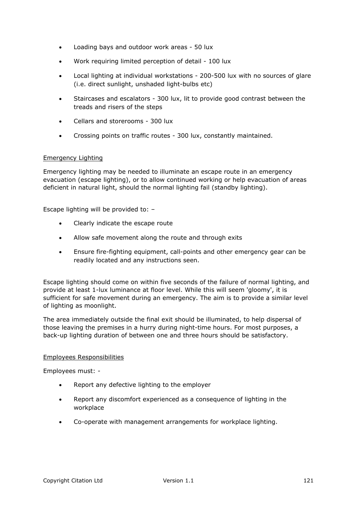- Loading bays and outdoor work areas 50 lux
- Work requiring limited perception of detail 100 lux
- Local lighting at individual workstations 200-500 lux with no sources of glare (i.e. direct sunlight, unshaded light-bulbs etc)
- Staircases and escalators 300 lux, lit to provide good contrast between the treads and risers of the steps
- Cellars and storerooms 300 lux
- Crossing points on traffic routes 300 lux, constantly maintained.

## Emergency Lighting

Emergency lighting may be needed to illuminate an escape route in an emergency evacuation (escape lighting), or to allow continued working or help evacuation of areas deficient in natural light, should the normal lighting fail (standby lighting).

Escape lighting will be provided to: –

- Clearly indicate the escape route
- Allow safe movement along the route and through exits
- Ensure fire-fighting equipment, call-points and other emergency gear can be readily located and any instructions seen.

Escape lighting should come on within five seconds of the failure of normal lighting, and provide at least 1-lux luminance at floor level. While this will seem 'gloomy', it is sufficient for safe movement during an emergency. The aim is to provide a similar level of lighting as moonlight.

The area immediately outside the final exit should be illuminated, to help dispersal of those leaving the premises in a hurry during night-time hours. For most purposes, a back-up lighting duration of between one and three hours should be satisfactory.

#### Employees Responsibilities

Employees must: -

- Report any defective lighting to the employer
- Report any discomfort experienced as a consequence of lighting in the workplace
- Co-operate with management arrangements for workplace lighting.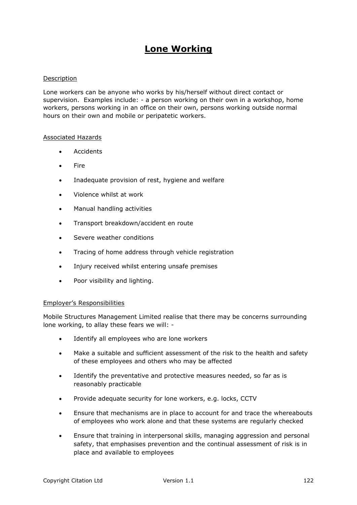# **Lone Working**

## Description

Lone workers can be anyone who works by his/herself without direct contact or supervision. Examples include: - a person working on their own in a workshop, home workers, persons working in an office on their own, persons working outside normal hours on their own and mobile or peripatetic workers.

## Associated Hazards

- Accidents
- Fire
- Inadequate provision of rest, hygiene and welfare
- Violence whilst at work
- Manual handling activities
- Transport breakdown/accident en route
- Severe weather conditions
- Tracing of home address through vehicle registration
- Injury received whilst entering unsafe premises
- Poor visibility and lighting.

#### Employer's Responsibilities

Mobile Structures Management Limited realise that there may be concerns surrounding lone working, to allay these fears we will: -

- Identify all employees who are lone workers
- Make a suitable and sufficient assessment of the risk to the health and safety of these employees and others who may be affected
- Identify the preventative and protective measures needed, so far as is reasonably practicable
- Provide adequate security for lone workers, e.g. locks, CCTV
- Ensure that mechanisms are in place to account for and trace the whereabouts of employees who work alone and that these systems are regularly checked
- Ensure that training in interpersonal skills, managing aggression and personal safety, that emphasises prevention and the continual assessment of risk is in place and available to employees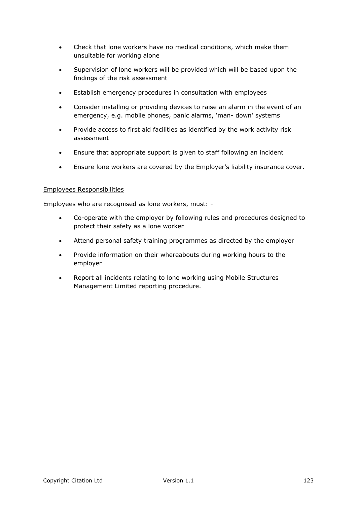- Check that lone workers have no medical conditions, which make them unsuitable for working alone
- Supervision of lone workers will be provided which will be based upon the findings of the risk assessment
- Establish emergency procedures in consultation with employees
- Consider installing or providing devices to raise an alarm in the event of an emergency, e.g. mobile phones, panic alarms, 'man- down' systems
- Provide access to first aid facilities as identified by the work activity risk assessment
- Ensure that appropriate support is given to staff following an incident
- Ensure lone workers are covered by the Employer's liability insurance cover.

Employees who are recognised as lone workers, must: -

- Co-operate with the employer by following rules and procedures designed to protect their safety as a lone worker
- Attend personal safety training programmes as directed by the employer
- Provide information on their whereabouts during working hours to the employer
- Report all incidents relating to lone working using Mobile Structures Management Limited reporting procedure.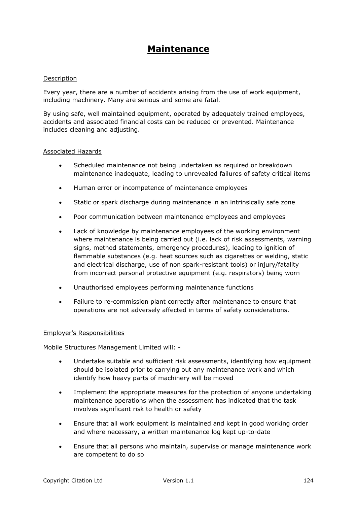# **Maintenance**

## Description

Every year, there are a number of accidents arising from the use of work equipment, including machinery. Many are serious and some are fatal.

By using safe, well maintained equipment, operated by adequately trained employees, accidents and associated financial costs can be reduced or prevented. Maintenance includes cleaning and adjusting.

#### Associated Hazards

- Scheduled maintenance not being undertaken as required or breakdown maintenance inadequate, leading to unrevealed failures of safety critical items
- Human error or incompetence of maintenance employees
- Static or spark discharge during maintenance in an intrinsically safe zone
- Poor communication between maintenance employees and employees
- Lack of knowledge by maintenance employees of the working environment where maintenance is being carried out (i.e. lack of risk assessments, warning signs, method statements, emergency procedures), leading to ignition of flammable substances (e.g. heat sources such as cigarettes or welding, static and electrical discharge, use of non spark-resistant tools) or injury/fatality from incorrect personal protective equipment (e.g. respirators) being worn
- Unauthorised employees performing maintenance functions
- Failure to re-commission plant correctly after maintenance to ensure that operations are not adversely affected in terms of safety considerations.

#### Employer's Responsibilities

Mobile Structures Management Limited will: -

- Undertake suitable and sufficient risk assessments, identifying how equipment should be isolated prior to carrying out any maintenance work and which identify how heavy parts of machinery will be moved
- Implement the appropriate measures for the protection of anyone undertaking maintenance operations when the assessment has indicated that the task involves significant risk to health or safety
- Ensure that all work equipment is maintained and kept in good working order and where necessary, a written maintenance log kept up-to-date
- Ensure that all persons who maintain, supervise or manage maintenance work are competent to do so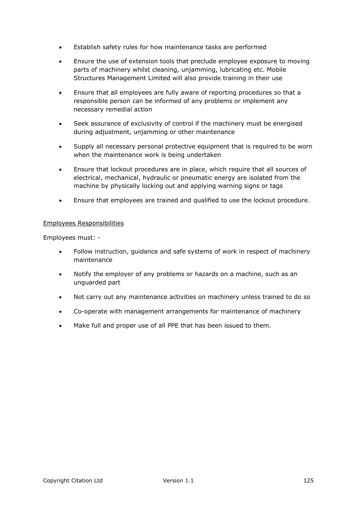- Establish safety rules for how maintenance tasks are performed
- Ensure the use of extension tools that preclude employee exposure to moving parts of machinery whilst cleaning, unjamming, lubricating etc. Mobile Structures Management Limited will also provide training in their use
- Ensure that all employees are fully aware of reporting procedures so that a responsible person can be informed of any problems or implement any necessary remedial action
- Seek assurance of exclusivity of control if the machinery must be energised during adjustment, unjamming or other maintenance
- Supply all necessary personal protective equipment that is required to be worn when the maintenance work is being undertaken
- Ensure that lockout procedures are in place, which require that all sources of electrical, mechanical, hydraulic or pneumatic energy are isolated from the machine by physically locking out and applying warning signs or tags
- Ensure that employees are trained and qualified to use the lockout procedure.

Employees must: -

- Follow instruction, guidance and safe systems of work in respect of machinery maintenance
- Notify the employer of any problems or hazards on a machine, such as an unguarded part
- Not carry out any maintenance activities on machinery unless trained to do so
- Co-operate with management arrangements for maintenance of machinery
- Make full and proper use of all PPE that has been issued to them.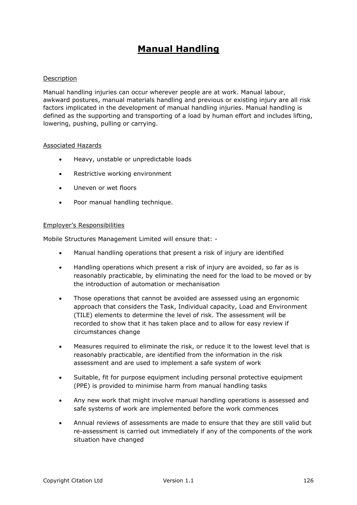# **Manual Handling**

## Description

Manual handling injuries can occur wherever people are at work. Manual labour, awkward postures, manual materials handling and previous or existing injury are all risk factors implicated in the development of manual handling injuries. Manual handling is defined as the supporting and transporting of a load by human effort and includes lifting, lowering, pushing, pulling or carrying.

#### Associated Hazards

- Heavy, unstable or unpredictable loads
- Restrictive working environment
- Uneven or wet floors
- Poor manual handling technique.

## Employer's Responsibilities

Mobile Structures Management Limited will ensure that: -

- Manual handling operations that present a risk of injury are identified
- Handling operations which present a risk of injury are avoided, so far as is reasonably practicable, by eliminating the need for the load to be moved or by the introduction of automation or mechanisation
- Those operations that cannot be avoided are assessed using an ergonomic approach that considers the Task, Individual capacity, Load and Environment (TILE) elements to determine the level of risk. The assessment will be recorded to show that it has taken place and to allow for easy review if circumstances change
- Measures required to eliminate the risk, or reduce it to the lowest level that is reasonably practicable, are identified from the information in the risk assessment and are used to implement a safe system of work
- Suitable, fit for purpose equipment including personal protective equipment (PPE) is provided to minimise harm from manual handling tasks
- Any new work that might involve manual handling operations is assessed and safe systems of work are implemented before the work commences
- Annual reviews of assessments are made to ensure that they are still valid but re-assessment is carried out immediately if any of the components of the work situation have changed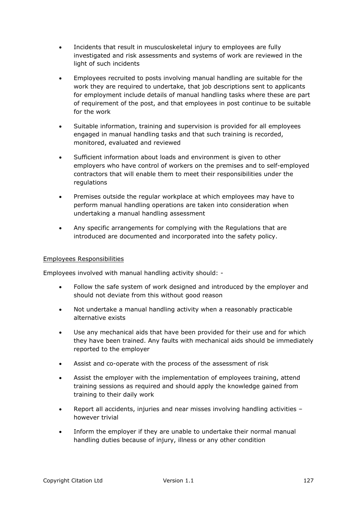- Incidents that result in musculoskeletal injury to employees are fully investigated and risk assessments and systems of work are reviewed in the light of such incidents
- Employees recruited to posts involving manual handling are suitable for the work they are required to undertake, that job descriptions sent to applicants for employment include details of manual handling tasks where these are part of requirement of the post, and that employees in post continue to be suitable for the work
- Suitable information, training and supervision is provided for all employees engaged in manual handling tasks and that such training is recorded, monitored, evaluated and reviewed
- Sufficient information about loads and environment is given to other employers who have control of workers on the premises and to self-employed contractors that will enable them to meet their responsibilities under the regulations
- Premises outside the regular workplace at which employees may have to perform manual handling operations are taken into consideration when undertaking a manual handling assessment
- Any specific arrangements for complying with the Regulations that are introduced are documented and incorporated into the safety policy.

Employees involved with manual handling activity should: -

- Follow the safe system of work designed and introduced by the employer and should not deviate from this without good reason
- Not undertake a manual handling activity when a reasonably practicable alternative exists
- Use any mechanical aids that have been provided for their use and for which they have been trained. Any faults with mechanical aids should be immediately reported to the employer
- Assist and co-operate with the process of the assessment of risk
- Assist the employer with the implementation of employees training, attend training sessions as required and should apply the knowledge gained from training to their daily work
- Report all accidents, injuries and near misses involving handling activities however trivial
- Inform the employer if they are unable to undertake their normal manual handling duties because of injury, illness or any other condition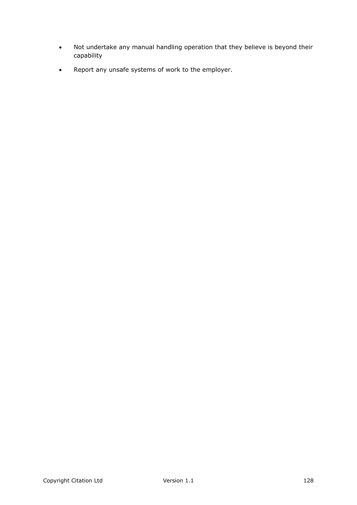- Not undertake any manual handling operation that they believe is beyond their capability
- Report any unsafe systems of work to the employer.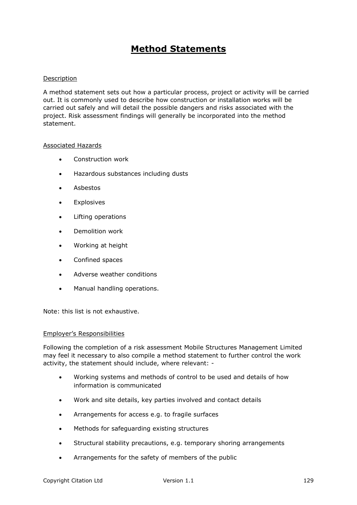# **Method Statements**

## Description

A method statement sets out how a particular process, project or activity will be carried out. It is commonly used to describe how construction or installation works will be carried out safely and will detail the possible dangers and risks associated with the project. Risk assessment findings will generally be incorporated into the method statement.

#### Associated Hazards

- Construction work
- Hazardous substances including dusts
- Asbestos
- Explosives
- Lifting operations
- Demolition work
- Working at height
- Confined spaces
- Adverse weather conditions
- Manual handling operations.

Note: this list is not exhaustive.

#### Employer's Responsibilities

Following the completion of a risk assessment Mobile Structures Management Limited may feel it necessary to also compile a method statement to further control the work activity, the statement should include, where relevant: -

- Working systems and methods of control to be used and details of how information is communicated
- Work and site details, key parties involved and contact details
- Arrangements for access e.g. to fragile surfaces
- Methods for safeguarding existing structures
- Structural stability precautions, e.g. temporary shoring arrangements
- Arrangements for the safety of members of the public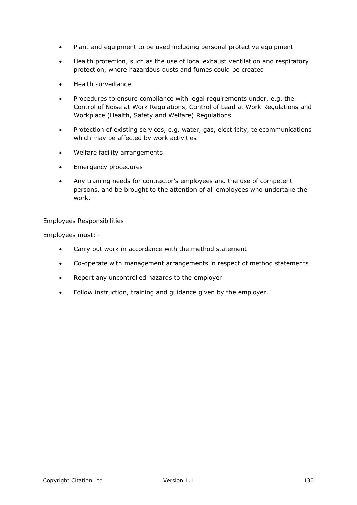- Plant and equipment to be used including personal protective equipment
- Health protection, such as the use of local exhaust ventilation and respiratory protection, where hazardous dusts and fumes could be created
- Health surveillance
- Procedures to ensure compliance with legal requirements under, e.g. the Control of Noise at Work Regulations, Control of Lead at Work Regulations and Workplace (Health, Safety and Welfare) Regulations
- Protection of existing services, e.g. water, gas, electricity, telecommunications which may be affected by work activities
- Welfare facility arrangements
- Emergency procedures
- Any training needs for contractor's employees and the use of competent persons, and be brought to the attention of all employees who undertake the work.

Employees must: -

- Carry out work in accordance with the method statement
- Co-operate with management arrangements in respect of method statements
- Report any uncontrolled hazards to the employer
- Follow instruction, training and guidance given by the employer.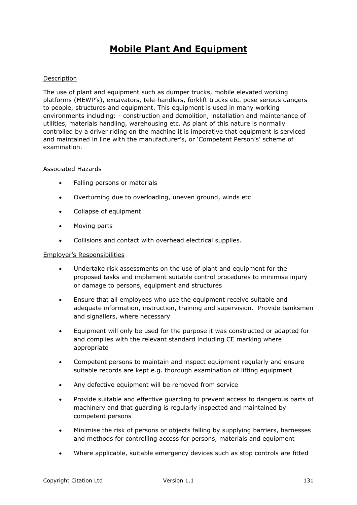# **Mobile Plant And Equipment**

# Description

The use of plant and equipment such as dumper trucks, mobile elevated working platforms (MEWP's), excavators, tele-handlers, forklift trucks etc. pose serious dangers to people, structures and equipment. This equipment is used in many working environments including: - construction and demolition, installation and maintenance of utilities, materials handling, warehousing etc. As plant of this nature is normally controlled by a driver riding on the machine it is imperative that equipment is serviced and maintained in line with the manufacturer's, or 'Competent Person's' scheme of examination.

## Associated Hazards

- Falling persons or materials
- Overturning due to overloading, uneven ground, winds etc
- Collapse of equipment
- Moving parts
- Collisions and contact with overhead electrical supplies.

# Employer's Responsibilities

- Undertake risk assessments on the use of plant and equipment for the proposed tasks and implement suitable control procedures to minimise injury or damage to persons, equipment and structures
- Ensure that all employees who use the equipment receive suitable and adequate information, instruction, training and supervision. Provide banksmen and signallers, where necessary
- Equipment will only be used for the purpose it was constructed or adapted for and complies with the relevant standard including CE marking where appropriate
- Competent persons to maintain and inspect equipment regularly and ensure suitable records are kept e.g. thorough examination of lifting equipment
- Any defective equipment will be removed from service
- Provide suitable and effective guarding to prevent access to dangerous parts of machinery and that guarding is regularly inspected and maintained by competent persons
- Minimise the risk of persons or objects falling by supplying barriers, harnesses and methods for controlling access for persons, materials and equipment
- Where applicable, suitable emergency devices such as stop controls are fitted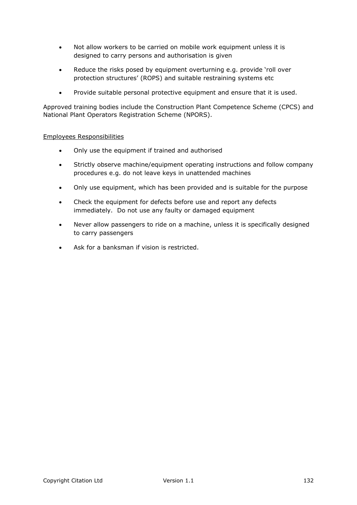- Not allow workers to be carried on mobile work equipment unless it is designed to carry persons and authorisation is given
- Reduce the risks posed by equipment overturning e.g. provide 'roll over protection structures' (ROPS) and suitable restraining systems etc
- Provide suitable personal protective equipment and ensure that it is used.

Approved training bodies include the Construction Plant Competence Scheme (CPCS) and National Plant Operators Registration Scheme (NPORS).

## Employees Responsibilities

- Only use the equipment if trained and authorised
- Strictly observe machine/equipment operating instructions and follow company procedures e.g. do not leave keys in unattended machines
- Only use equipment, which has been provided and is suitable for the purpose
- Check the equipment for defects before use and report any defects immediately. Do not use any faulty or damaged equipment
- Never allow passengers to ride on a machine, unless it is specifically designed to carry passengers
- Ask for a banksman if vision is restricted.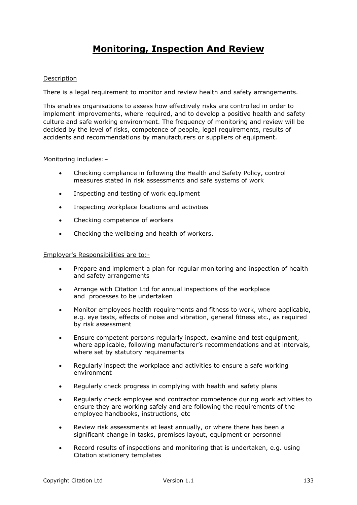# **Monitoring, Inspection And Review**

## Description

There is a legal requirement to monitor and review health and safety arrangements.

This enables organisations to assess how effectively risks are controlled in order to implement improvements, where required, and to develop a positive health and safety culture and safe working environment. The frequency of monitoring and review will be decided by the level of risks, competence of people, legal requirements, results of accidents and recommendations by manufacturers or suppliers of equipment.

#### Monitoring includes:–

- Checking compliance in following the Health and Safety Policy, control measures stated in risk assessments and safe systems of work
- Inspecting and testing of work equipment
- Inspecting workplace locations and activities
- Checking competence of workers
- Checking the wellbeing and health of workers.

# Employer's Responsibilities are to:-

- Prepare and implement a plan for regular monitoring and inspection of health and safety arrangements
- Arrange with Citation Ltd for annual inspections of the workplace and processes to be undertaken
- Monitor employees health requirements and fitness to work, where applicable, e.g. eye tests, effects of noise and vibration, general fitness etc., as required by risk assessment
- Ensure competent persons regularly inspect, examine and test equipment, where applicable, following manufacturer's recommendations and at intervals, where set by statutory requirements
- Regularly inspect the workplace and activities to ensure a safe working environment
- Regularly check progress in complying with health and safety plans
- Regularly check employee and contractor competence during work activities to ensure they are working safely and are following the requirements of the employee handbooks, instructions, etc
- Review risk assessments at least annually, or where there has been a significant change in tasks, premises layout, equipment or personnel
- Record results of inspections and monitoring that is undertaken, e.g. using Citation stationery templates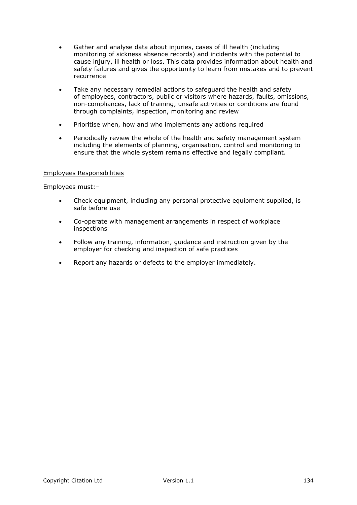- Gather and analyse data about injuries, cases of ill health (including monitoring of sickness absence records) and incidents with the potential to cause injury, ill health or loss. This data provides information about health and safety failures and gives the opportunity to learn from mistakes and to prevent recurrence
- Take any necessary remedial actions to safeguard the health and safety of employees, contractors, public or visitors where hazards, faults, omissions, non-compliances, lack of training, unsafe activities or conditions are found through complaints, inspection, monitoring and review
- Prioritise when, how and who implements any actions required
- Periodically review the whole of the health and safety management system including the elements of planning, organisation, control and monitoring to ensure that the whole system remains effective and legally compliant.

Employees must:–

- Check equipment, including any personal protective equipment supplied, is safe before use
- Co-operate with management arrangements in respect of workplace inspections
- Follow any training, information, guidance and instruction given by the employer for checking and inspection of safe practices
- Report any hazards or defects to the employer immediately.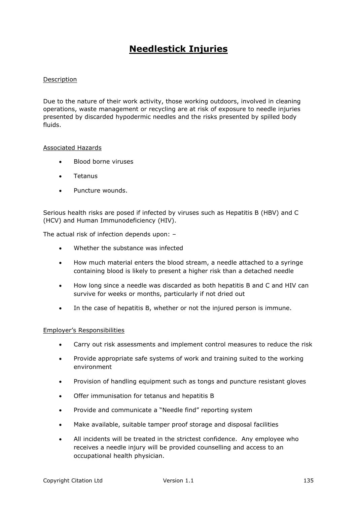# **Needlestick Injuries**

# Description

Due to the nature of their work activity, those working outdoors, involved in cleaning operations, waste management or recycling are at risk of exposure to needle injuries presented by discarded hypodermic needles and the risks presented by spilled body fluids.

#### Associated Hazards

- Blood borne viruses
- **.** Tetanus
- Puncture wounds.

Serious health risks are posed if infected by viruses such as Hepatitis B (HBV) and C (HCV) and Human Immunodeficiency (HIV).

The actual risk of infection depends upon: –

- Whether the substance was infected
- How much material enters the blood stream, a needle attached to a syringe containing blood is likely to present a higher risk than a detached needle
- How long since a needle was discarded as both hepatitis B and C and HIV can survive for weeks or months, particularly if not dried out
- In the case of hepatitis B, whether or not the injured person is immune.

## Employer's Responsibilities

- Carry out risk assessments and implement control measures to reduce the risk
- Provide appropriate safe systems of work and training suited to the working environment
- Provision of handling equipment such as tongs and puncture resistant gloves
- Offer immunisation for tetanus and hepatitis B
- Provide and communicate a "Needle find" reporting system
- Make available, suitable tamper proof storage and disposal facilities
- All incidents will be treated in the strictest confidence. Any employee who receives a needle injury will be provided counselling and access to an occupational health physician.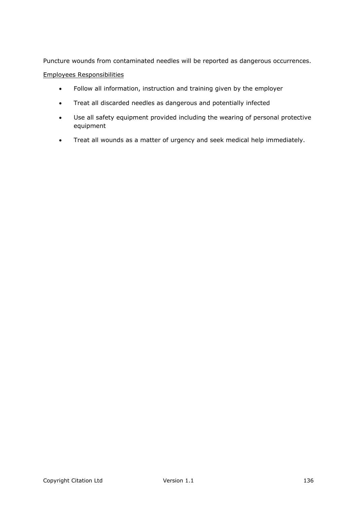Puncture wounds from contaminated needles will be reported as dangerous occurrences.

# Employees Responsibilities

- Follow all information, instruction and training given by the employer
- Treat all discarded needles as dangerous and potentially infected
- Use all safety equipment provided including the wearing of personal protective equipment
- Treat all wounds as a matter of urgency and seek medical help immediately.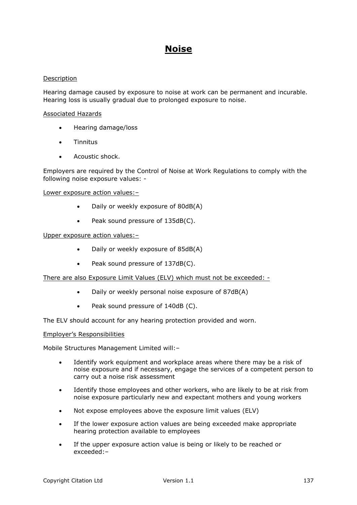# **Noise**

## Description

Hearing damage caused by exposure to noise at work can be permanent and incurable. Hearing loss is usually gradual due to prolonged exposure to noise.

## Associated Hazards

- Hearing damage/loss
- **•** Tinnitus
- Acoustic shock.

Employers are required by the Control of Noise at Work Regulations to comply with the following noise exposure values: -

#### Lower exposure action values:–

- Daily or weekly exposure of 80dB(A)
- Peak sound pressure of 135dB(C).

#### Upper exposure action values:–

- Daily or weekly exposure of 85dB(A)
- Peak sound pressure of 137dB(C).

There are also Exposure Limit Values (ELV) which must not be exceeded: -

- Daily or weekly personal noise exposure of 87dB(A)
- Peak sound pressure of 140dB (C).

The ELV should account for any hearing protection provided and worn.

## Employer's Responsibilities

Mobile Structures Management Limited will:–

- Identify work equipment and workplace areas where there may be a risk of noise exposure and if necessary, engage the services of a competent person to carry out a noise risk assessment
- Identify those employees and other workers, who are likely to be at risk from noise exposure particularly new and expectant mothers and young workers
- Not expose employees above the exposure limit values (ELV)
- If the lower exposure action values are being exceeded make appropriate hearing protection available to employees
- If the upper exposure action value is being or likely to be reached or exceeded:–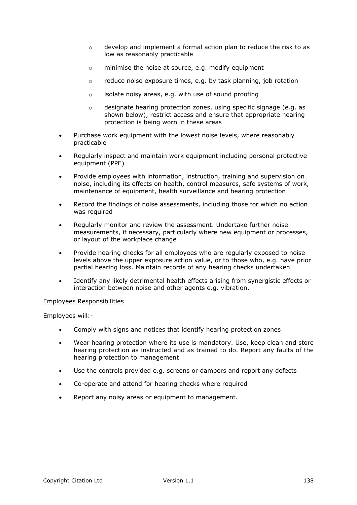- $\circ$  develop and implement a formal action plan to reduce the risk to as low as reasonably practicable
- o minimise the noise at source, e.g. modify equipment
- o reduce noise exposure times, e.g. by task planning, job rotation
- o isolate noisy areas, e.g. with use of sound proofing
- $\circ$  designate hearing protection zones, using specific signage (e.g. as shown below), restrict access and ensure that appropriate hearing protection is being worn in these areas
- Purchase work equipment with the lowest noise levels, where reasonably practicable
- Regularly inspect and maintain work equipment including personal protective equipment (PPE)
- Provide employees with information, instruction, training and supervision on noise, including its effects on health, control measures, safe systems of work, maintenance of equipment, health surveillance and hearing protection
- Record the findings of noise assessments, including those for which no action was required
- Regularly monitor and review the assessment. Undertake further noise measurements, if necessary, particularly where new equipment or processes, or layout of the workplace change
- Provide hearing checks for all employees who are regularly exposed to noise levels above the upper exposure action value, or to those who, e.g. have prior partial hearing loss. Maintain records of any hearing checks undertaken
- Identify any likely detrimental health effects arising from synergistic effects or interaction between noise and other agents e.g. vibration.

Employees will:-

- Comply with signs and notices that identify hearing protection zones
- Wear hearing protection where its use is mandatory. Use, keep clean and store hearing protection as instructed and as trained to do. Report any faults of the hearing protection to management
- Use the controls provided e.g. screens or dampers and report any defects
- Co-operate and attend for hearing checks where required
- Report any noisy areas or equipment to management.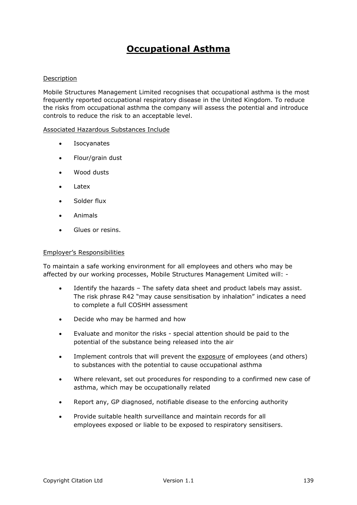# **Occupational Asthma**

## Description

Mobile Structures Management Limited recognises that occupational asthma is the most frequently reported occupational respiratory disease in the United Kingdom. To reduce the risks from occupational asthma the company will assess the potential and introduce controls to reduce the risk to an acceptable level.

#### Associated Hazardous Substances Include

- Isocyanates
- Flour/grain dust
- Wood dusts
- Latex
- Solder flux
- Animals
- Glues or resins.

### Employer's Responsibilities

To maintain a safe working environment for all employees and others who may be affected by our working processes, Mobile Structures Management Limited will: -

- Identify the hazards The safety data sheet and product labels may assist. The risk phrase R42 "may cause sensitisation by inhalation" indicates a need to complete a full COSHH assessment
- Decide who may be harmed and how
- Evaluate and monitor the risks special attention should be paid to the potential of the substance being released into the air
- Implement controls that will prevent the exposure of employees (and others) to substances with the potential to cause occupational asthma
- Where relevant, set out procedures for responding to a confirmed new case of asthma, which may be occupationally related
- Report any, GP diagnosed, notifiable disease to the enforcing authority
- Provide suitable health surveillance and maintain records for all employees exposed or liable to be exposed to respiratory sensitisers.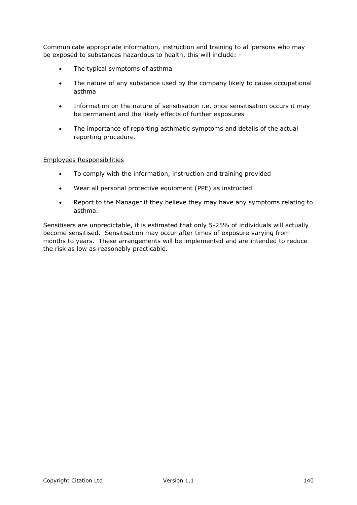Communicate appropriate information, instruction and training to all persons who may be exposed to substances hazardous to health, this will include: -

- The typical symptoms of asthma
- The nature of any substance used by the company likely to cause occupational asthma
- Information on the nature of sensitisation i.e. once sensitisation occurs it may be permanent and the likely effects of further exposures
- The importance of reporting asthmatic symptoms and details of the actual reporting procedure.

## Employees Responsibilities

- To comply with the information, instruction and training provided
- Wear all personal protective equipment (PPE) as instructed
- Report to the Manager if they believe they may have any symptoms relating to asthma.

Sensitisers are unpredictable, it is estimated that only 5-25% of individuals will actually become sensitised. Sensitisation may occur after times of exposure varying from months to years. These arrangements will be implemented and are intended to reduce the risk as low as reasonably practicable.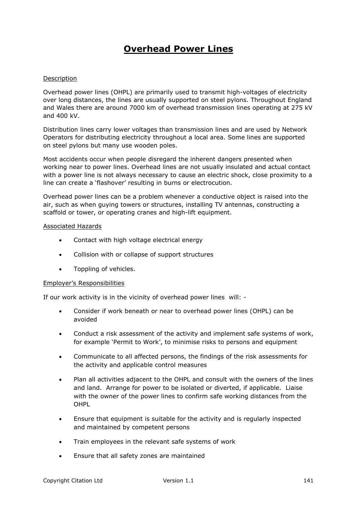# **Overhead Power Lines**

## Description

Overhead power lines (OHPL) are primarily used to transmit high-voltages of electricity over long distances, the lines are usually supported on steel pylons. Throughout England and Wales there are around 7000 km of overhead transmission lines operating at 275 kV and 400 kV.

Distribution lines carry lower voltages than transmission lines and are used by Network Operators for distributing electricity throughout a local area. Some lines are supported on steel pylons but many use wooden poles.

Most accidents occur when people disregard the inherent dangers presented when working near to power lines. Overhead lines are not usually insulated and actual contact with a power line is not always necessary to cause an electric shock, close proximity to a line can create a 'flashover' resulting in burns or electrocution.

Overhead power lines can be a problem whenever a conductive object is raised into the air, such as when guying towers or structures, installing TV antennas, constructing a scaffold or tower, or operating cranes and high-lift equipment.

#### Associated Hazards

- Contact with high voltage electrical energy
- Collision with or collapse of support structures
- Toppling of vehicles.

## Employer's Responsibilities

If our work activity is in the vicinity of overhead power lines will: -

- Consider if work beneath or near to overhead power lines (OHPL) can be avoided
- Conduct a risk assessment of the activity and implement safe systems of work, for example 'Permit to Work', to minimise risks to persons and equipment
- Communicate to all affected persons, the findings of the risk assessments for the activity and applicable control measures
- Plan all activities adjacent to the OHPL and consult with the owners of the lines and land. Arrange for power to be isolated or diverted, if applicable. Liaise with the owner of the power lines to confirm safe working distances from the OHPL
- Ensure that equipment is suitable for the activity and is regularly inspected and maintained by competent persons
- Train employees in the relevant safe systems of work
- Ensure that all safety zones are maintained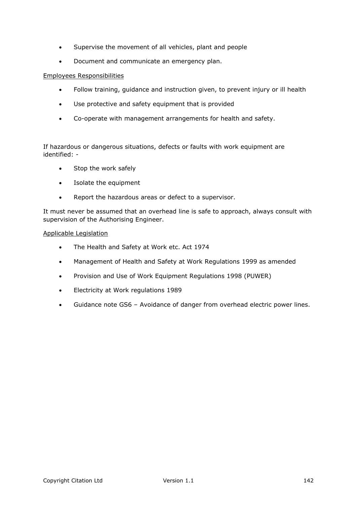- Supervise the movement of all vehicles, plant and people
- Document and communicate an emergency plan.

- Follow training, guidance and instruction given, to prevent injury or ill health
- Use protective and safety equipment that is provided
- Co-operate with management arrangements for health and safety.

If hazardous or dangerous situations, defects or faults with work equipment are identified: -

- Stop the work safely
- Isolate the equipment
- Report the hazardous areas or defect to a supervisor.

It must never be assumed that an overhead line is safe to approach, always consult with supervision of the Authorising Engineer.

## Applicable Legislation

- The Health and Safety at Work etc. Act 1974
- Management of Health and Safety at Work Regulations 1999 as amended
- Provision and Use of Work Equipment Regulations 1998 (PUWER)
- Electricity at Work regulations 1989
- Guidance note GS6 Avoidance of danger from overhead electric power lines.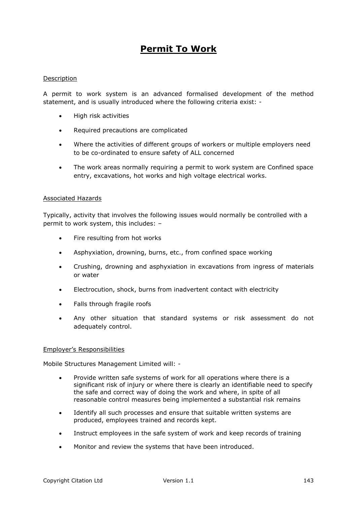# **Permit To Work**

## Description

A permit to work system is an advanced formalised development of the method statement, and is usually introduced where the following criteria exist: -

- High risk activities
- Required precautions are complicated
- Where the activities of different groups of workers or multiple employers need to be co-ordinated to ensure safety of ALL concerned
- The work areas normally requiring a permit to work system are Confined space entry, excavations, hot works and high voltage electrical works.

## Associated Hazards

Typically, activity that involves the following issues would normally be controlled with a permit to work system, this includes: –

- Fire resulting from hot works
- Asphyxiation, drowning, burns, etc., from confined space working
- Crushing, drowning and asphyxiation in excavations from ingress of materials or water
- Electrocution, shock, burns from inadvertent contact with electricity
- Falls through fragile roofs
- Any other situation that standard systems or risk assessment do not adequately control.

## Employer's Responsibilities

Mobile Structures Management Limited will: -

- Provide written safe systems of work for all operations where there is a significant risk of injury or where there is clearly an identifiable need to specify the safe and correct way of doing the work and where, in spite of all reasonable control measures being implemented a substantial risk remains
- Identify all such processes and ensure that suitable written systems are produced, employees trained and records kept.
- Instruct employees in the safe system of work and keep records of training
- Monitor and review the systems that have been introduced.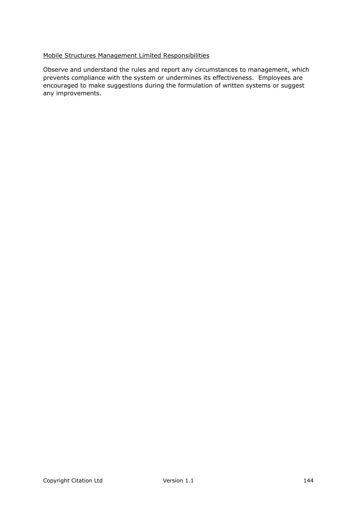# Mobile Structures Management Limited Responsibilities

Observe and understand the rules and report any circumstances to management, which prevents compliance with the system or undermines its effectiveness. Employees are encouraged to make suggestions during the formulation of written systems or suggest any improvements.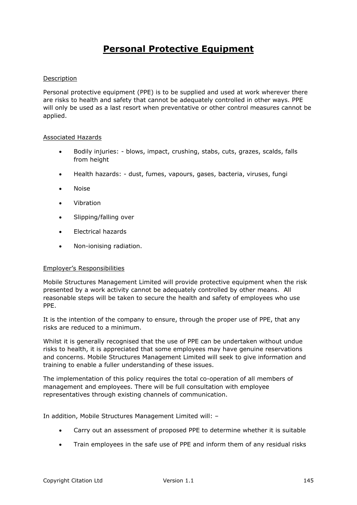# **Personal Protective Equipment**

### Description

Personal protective equipment (PPE) is to be supplied and used at work wherever there are risks to health and safety that cannot be adequately controlled in other ways. PPE will only be used as a last resort when preventative or other control measures cannot be applied.

### Associated Hazards

- Bodily injuries: blows, impact, crushing, stabs, cuts, grazes, scalds, falls from height
- Health hazards: dust, fumes, vapours, gases, bacteria, viruses, fungi
- Noise
- Vibration
- Slipping/falling over
- Electrical hazards
- Non-ionising radiation.

### Employer's Responsibilities

Mobile Structures Management Limited will provide protective equipment when the risk presented by a work activity cannot be adequately controlled by other means. All reasonable steps will be taken to secure the health and safety of employees who use PPE.

It is the intention of the company to ensure, through the proper use of PPE, that any risks are reduced to a minimum.

Whilst it is generally recognised that the use of PPE can be undertaken without undue risks to health, it is appreciated that some employees may have genuine reservations and concerns. Mobile Structures Management Limited will seek to give information and training to enable a fuller understanding of these issues.

The implementation of this policy requires the total co-operation of all members of management and employees. There will be full consultation with employee representatives through existing channels of communication.

In addition, Mobile Structures Management Limited will: –

- Carry out an assessment of proposed PPE to determine whether it is suitable
- Train employees in the safe use of PPE and inform them of any residual risks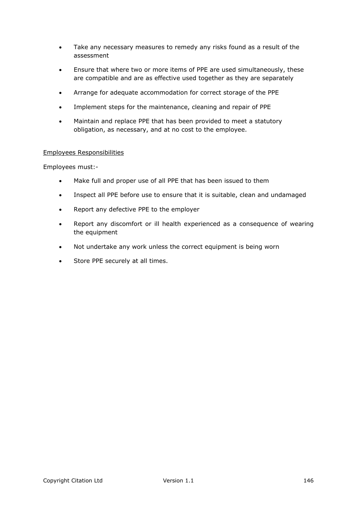- Take any necessary measures to remedy any risks found as a result of the assessment
- Ensure that where two or more items of PPE are used simultaneously, these are compatible and are as effective used together as they are separately
- Arrange for adequate accommodation for correct storage of the PPE
- Implement steps for the maintenance, cleaning and repair of PPE
- Maintain and replace PPE that has been provided to meet a statutory obligation, as necessary, and at no cost to the employee.

Employees must:-

- Make full and proper use of all PPE that has been issued to them
- Inspect all PPE before use to ensure that it is suitable, clean and undamaged
- Report any defective PPE to the employer
- Report any discomfort or ill health experienced as a consequence of wearing the equipment
- Not undertake any work unless the correct equipment is being worn
- Store PPE securely at all times.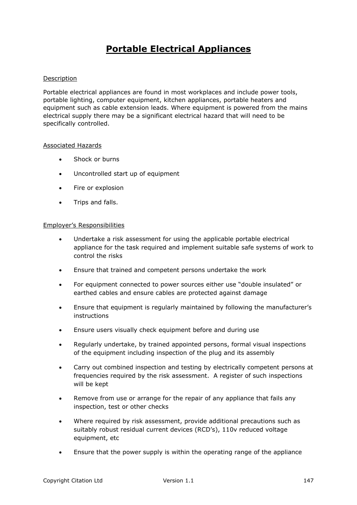# **Portable Electrical Appliances**

### Description

Portable electrical appliances are found in most workplaces and include power tools, portable lighting, computer equipment, kitchen appliances, portable heaters and equipment such as cable extension leads. Where equipment is powered from the mains electrical supply there may be a significant electrical hazard that will need to be specifically controlled.

### Associated Hazards

- Shock or burns
- Uncontrolled start up of equipment
- Fire or explosion
- Trips and falls.

### Employer's Responsibilities

- Undertake a risk assessment for using the applicable portable electrical appliance for the task required and implement suitable safe systems of work to control the risks
- Ensure that trained and competent persons undertake the work
- For equipment connected to power sources either use "double insulated" or earthed cables and ensure cables are protected against damage
- Ensure that equipment is regularly maintained by following the manufacturer's instructions
- Ensure users visually check equipment before and during use
- Regularly undertake, by trained appointed persons, formal visual inspections of the equipment including inspection of the plug and its assembly
- Carry out combined inspection and testing by electrically competent persons at frequencies required by the risk assessment. A register of such inspections will be kept
- Remove from use or arrange for the repair of any appliance that fails any inspection, test or other checks
- Where required by risk assessment, provide additional precautions such as suitably robust residual current devices (RCD's), 110v reduced voltage equipment, etc
- Ensure that the power supply is within the operating range of the appliance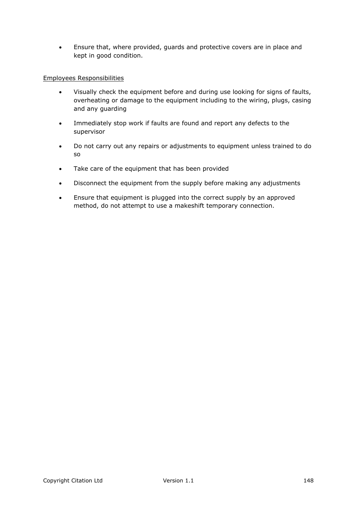Ensure that, where provided, guards and protective covers are in place and kept in good condition.

### Employees Responsibilities

- Visually check the equipment before and during use looking for signs of faults, overheating or damage to the equipment including to the wiring, plugs, casing and any guarding
- Immediately stop work if faults are found and report any defects to the supervisor
- Do not carry out any repairs or adjustments to equipment unless trained to do so
- Take care of the equipment that has been provided
- Disconnect the equipment from the supply before making any adjustments
- Ensure that equipment is plugged into the correct supply by an approved method, do not attempt to use a makeshift temporary connection.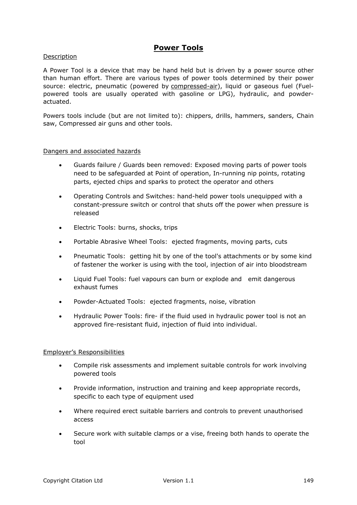### **Power Tools**

### Description

A Power Tool is a device that may be hand held but is driven by a power source other than human effort. There are various types of power tools determined by their power source: electric, pneumatic (powered by [compressed-air\)](https://en.wikipedia.org/wiki/Compressed_air), liquid or gaseous fuel (Fuelpowered tools are usually operated with gasoline or LPG), hydraulic, and powderactuated.

Powers tools include (but are not limited to): chippers, drills, hammers, sanders, Chain saw, Compressed air guns and other tools.

#### Dangers and associated hazards

- Guards failure / Guards been removed: Exposed moving parts of power tools need to be safeguarded at Point of operation, In-running nip points, rotating parts, ejected chips and sparks to protect the operator and others
- Operating Controls and Switches: hand-held power tools unequipped with a constant-pressure switch or control that shuts off the power when pressure is released
- Electric Tools: burns, shocks, trips
- Portable Abrasive Wheel Tools: ejected fragments, moving parts, cuts
- Pneumatic Tools: getting hit by one of the tool's attachments or by some kind of fastener the worker is using with the tool, injection of air into bloodstream
- Liquid Fuel Tools: fuel vapours can burn or explode and emit dangerous exhaust fumes
- Powder-Actuated Tools: ejected fragments, noise, vibration
- Hydraulic Power Tools: fire- if the fluid used in hydraulic power tool is not an approved fire-resistant fluid, injection of fluid into individual.

### Employer's Responsibilities

- Compile risk assessments and implement suitable controls for work involving powered tools
- Provide information, instruction and training and keep appropriate records, specific to each type of equipment used
- Where required erect suitable barriers and controls to prevent unauthorised access
- Secure work with suitable clamps or a vise, freeing both hands to operate the tool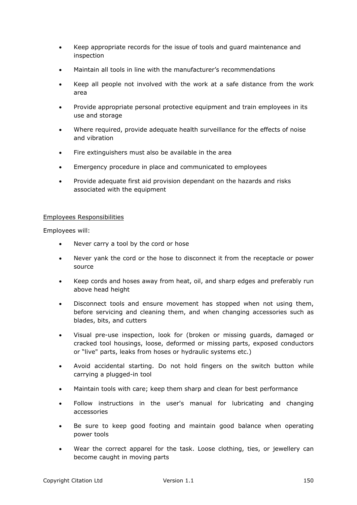- Keep appropriate records for the issue of tools and guard maintenance and inspection
- Maintain all tools in line with the manufacturer's recommendations
- Keep all people not involved with the work at a safe distance from the work area
- Provide appropriate personal protective equipment and train employees in its use and storage
- Where required, provide adequate health surveillance for the effects of noise and vibration
- Fire extinguishers must also be available in the area
- Emergency procedure in place and communicated to employees
- Provide adequate first aid provision dependant on the hazards and risks associated with the equipment

Employees will:

- Never carry a tool by the cord or hose
- Never yank the cord or the hose to disconnect it from the receptacle or power source
- Keep cords and hoses away from heat, oil, and sharp edges and preferably run above head height
- Disconnect tools and ensure movement has stopped when not using them, before servicing and cleaning them, and when changing accessories such as blades, bits, and cutters
- Visual pre-use inspection, look for (broken or missing guards, damaged or cracked tool housings, loose, deformed or missing parts, exposed conductors or "live" parts, leaks from hoses or hydraulic systems etc.)
- Avoid accidental starting. Do not hold fingers on the switch button while carrying a plugged-in tool
- Maintain tools with care; keep them sharp and clean for best performance
- Follow instructions in the user's manual for lubricating and changing accessories
- Be sure to keep good footing and maintain good balance when operating power tools
- Wear the correct apparel for the task. Loose clothing, ties, or jewellery can become caught in moving parts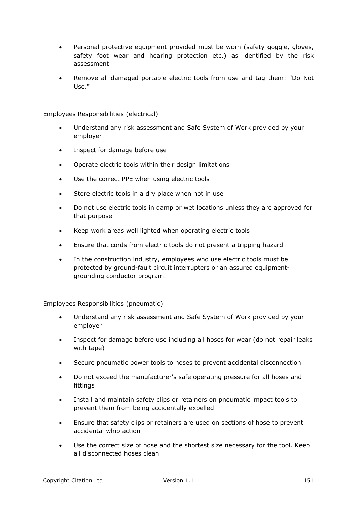- Personal protective equipment provided must be worn (safety goggle, gloves, safety foot wear and hearing protection etc.) as identified by the risk assessment
- Remove all damaged portable electric tools from use and tag them: "Do Not Use."

### Employees Responsibilities (electrical)

- Understand any risk assessment and Safe System of Work provided by your employer
- Inspect for damage before use
- Operate electric tools within their design limitations
- Use the correct PPE when using electric tools
- Store electric tools in a dry place when not in use
- Do not use electric tools in damp or wet locations unless they are approved for that purpose
- Keep work areas well lighted when operating electric tools
- Ensure that cords from electric tools do not present a tripping hazard
- In the construction industry, employees who use electric tools must be protected by ground-fault circuit interrupters or an assured equipmentgrounding conductor program.

### Employees Responsibilities (pneumatic)

- Understand any risk assessment and Safe System of Work provided by your employer
- Inspect for damage before use including all hoses for wear (do not repair leaks with tape)
- Secure pneumatic power tools to hoses to prevent accidental disconnection
- Do not exceed the manufacturer's safe operating pressure for all hoses and fittings
- Install and maintain safety clips or retainers on pneumatic impact tools to prevent them from being accidentally expelled
- Ensure that safety clips or retainers are used on sections of hose to prevent accidental whip action
- Use the correct size of hose and the shortest size necessary for the tool. Keep all disconnected hoses clean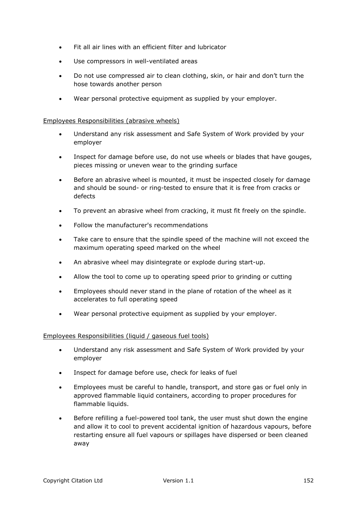- Fit all air lines with an efficient filter and lubricator
- Use compressors in well-ventilated areas
- Do not use compressed air to clean clothing, skin, or hair and don't turn the hose towards another person
- Wear personal protective equipment as supplied by your employer.

### Employees Responsibilities (abrasive wheels)

- Understand any risk assessment and Safe System of Work provided by your employer
- Inspect for damage before use, do not use wheels or blades that have gouges, pieces missing or uneven wear to the grinding surface
- Before an abrasive wheel is mounted, it must be inspected closely for damage and should be sound- or ring-tested to ensure that it is free from cracks or defects
- To prevent an abrasive wheel from cracking, it must fit freely on the spindle.
- Follow the manufacturer's recommendations
- Take care to ensure that the spindle speed of the machine will not exceed the maximum operating speed marked on the wheel
- An abrasive wheel may disintegrate or explode during start-up.
- Allow the tool to come up to operating speed prior to grinding or cutting
- Employees should never stand in the plane of rotation of the wheel as it accelerates to full operating speed
- Wear personal protective equipment as supplied by your employer.

### Employees Responsibilities (liquid / gaseous fuel tools)

- Understand any risk assessment and Safe System of Work provided by your employer
- Inspect for damage before use, check for leaks of fuel
- Employees must be careful to handle, transport, and store gas or fuel only in approved flammable liquid containers, according to proper procedures for flammable liquids.
- Before refilling a fuel-powered tool tank, the user must shut down the engine and allow it to cool to prevent accidental ignition of hazardous vapours, before restarting ensure all fuel vapours or spillages have dispersed or been cleaned away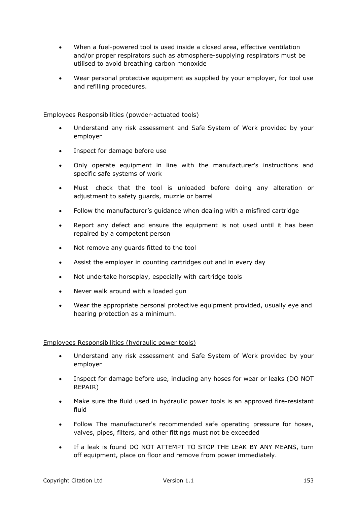- When a fuel-powered tool is used inside a closed area, effective ventilation and/or proper respirators such as atmosphere-supplying respirators must be utilised to avoid breathing carbon monoxide
- Wear personal protective equipment as supplied by your employer, for tool use and refilling procedures.

### Employees Responsibilities (powder-actuated tools)

- Understand any risk assessment and Safe System of Work provided by your employer
- Inspect for damage before use
- Only operate equipment in line with the manufacturer's instructions and specific safe systems of work
- Must check that the tool is unloaded before doing any alteration or adjustment to safety guards, muzzle or barrel
- Follow the manufacturer's guidance when dealing with a misfired cartridge
- Report any defect and ensure the equipment is not used until it has been repaired by a competent person
- Not remove any guards fitted to the tool
- Assist the employer in counting cartridges out and in every day
- Not undertake horseplay, especially with cartridge tools
- Never walk around with a loaded gun
- Wear the appropriate personal protective equipment provided, usually eye and hearing protection as a minimum.

### Employees Responsibilities (hydraulic power tools)

- Understand any risk assessment and Safe System of Work provided by your employer
- Inspect for damage before use, including any hoses for wear or leaks (DO NOT REPAIR)
- Make sure the fluid used in hydraulic power tools is an approved fire-resistant fluid
- Follow The manufacturer's recommended safe operating pressure for hoses, valves, pipes, filters, and other fittings must not be exceeded
- If a leak is found DO NOT ATTEMPT TO STOP THE LEAK BY ANY MEANS, turn off equipment, place on floor and remove from power immediately.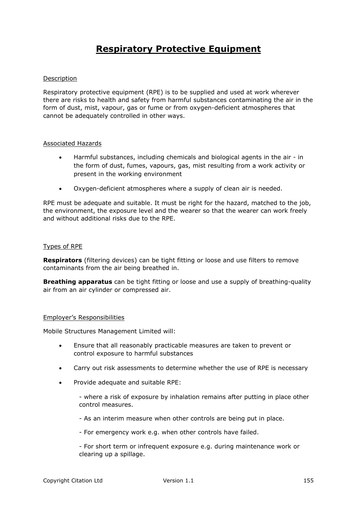# **Respiratory Protective Equipment**

### Description

Respiratory protective equipment (RPE) is to be supplied and used at work wherever there are risks to health and safety from harmful substances contaminating the air in the form of dust, mist, vapour, gas or fume or from oxygen-deficient atmospheres that cannot be adequately controlled in other ways.

#### Associated Hazards

- Harmful substances, including chemicals and biological agents in the air in the form of dust, fumes, vapours, gas, mist resulting from a work activity or present in the working environment
- Oxygen-deficient atmospheres where a supply of clean air is needed.

RPE must be adequate and suitable. It must be right for the hazard, matched to the job, the environment, the exposure level and the wearer so that the wearer can work freely and without additional risks due to the RPE.

### Types of RPE

**Respirators** (filtering devices) can be tight fitting or loose and use filters to remove contaminants from the air being breathed in.

**Breathing apparatus** can be tight fitting or loose and use a supply of breathing-quality air from an air cylinder or compressed air.

#### Employer's Responsibilities

Mobile Structures Management Limited will:

- Ensure that all reasonably practicable measures are taken to prevent or control exposure to harmful substances
- Carry out risk assessments to determine whether the use of RPE is necessary
- Provide adequate and suitable RPE:

- where a risk of exposure by inhalation remains after putting in place other control measures.

- As an interim measure when other controls are being put in place.

- For emergency work e.g. when other controls have failed.

- For short term or infrequent exposure e.g. during maintenance work or clearing up a spillage.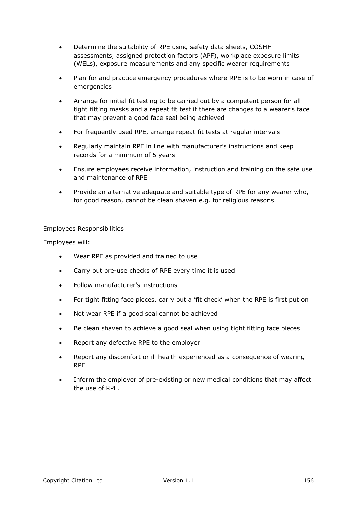- Determine the suitability of RPE using safety data sheets, COSHH assessments, assigned protection factors (APF), workplace exposure limits (WELs), exposure measurements and any specific wearer requirements
- Plan for and practice emergency procedures where RPE is to be worn in case of emergencies
- Arrange for initial fit testing to be carried out by a competent person for all tight fitting masks and a repeat fit test if there are changes to a wearer's face that may prevent a good face seal being achieved
- For frequently used RPE, arrange repeat fit tests at regular intervals
- Regularly maintain RPE in line with manufacturer's instructions and keep records for a minimum of 5 years
- Ensure employees receive information, instruction and training on the safe use and maintenance of RPE
- Provide an alternative adequate and suitable type of RPE for any wearer who, for good reason, cannot be clean shaven e.g. for religious reasons.

Employees will:

- Wear RPE as provided and trained to use
- Carry out pre-use checks of RPE every time it is used
- Follow manufacturer's instructions
- For tight fitting face pieces, carry out a 'fit check' when the RPE is first put on
- Not wear RPE if a good seal cannot be achieved
- Be clean shaven to achieve a good seal when using tight fitting face pieces
- Report any defective RPE to the employer
- Report any discomfort or ill health experienced as a consequence of wearing RPE
- Inform the employer of pre-existing or new medical conditions that may affect the use of RPE.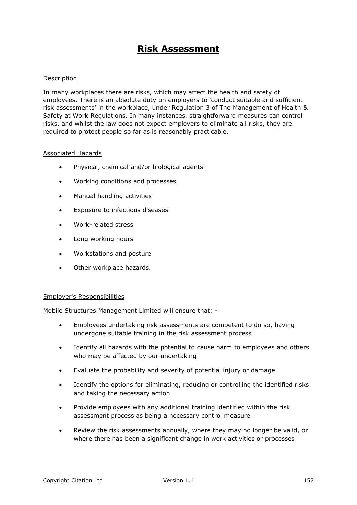### **Risk Assessment**

### Description

In many workplaces there are risks, which may affect the health and safety of employees. There is an absolute duty on employers to 'conduct suitable and sufficient risk assessments' in the workplace, under Regulation 3 of The Management of Health & Safety at Work Regulations. In many instances, straightforward measures can control risks, and whilst the law does not expect employers to eliminate all risks, they are required to protect people so far as is reasonably practicable.

### Associated Hazards

- Physical, chemical and/or biological agents
- Working conditions and processes
- Manual handling activities
- Exposure to infectious diseases
- Work-related stress
- Long working hours
- Workstations and posture
- Other workplace hazards.

#### Employer's Responsibilities

Mobile Structures Management Limited will ensure that: -

- Employees undertaking risk assessments are competent to do so, having undergone suitable training in the risk assessment process
- Identify all hazards with the potential to cause harm to employees and others who may be affected by our undertaking
- Evaluate the probability and severity of potential injury or damage
- Identify the options for eliminating, reducing or controlling the identified risks and taking the necessary action
- Provide employees with any additional training identified within the risk assessment process as being a necessary control measure
- Review the risk assessments annually, where they may no longer be valid, or where there has been a significant change in work activities or processes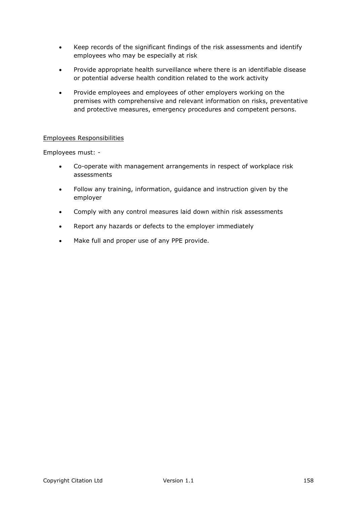- Keep records of the significant findings of the risk assessments and identify employees who may be especially at risk
- Provide appropriate health surveillance where there is an identifiable disease or potential adverse health condition related to the work activity
- Provide employees and employees of other employers working on the premises with comprehensive and relevant information on risks, preventative and protective measures, emergency procedures and competent persons.

Employees must: -

- Co-operate with management arrangements in respect of workplace risk assessments
- Follow any training, information, guidance and instruction given by the employer
- Comply with any control measures laid down within risk assessments
- Report any hazards or defects to the employer immediately
- Make full and proper use of any PPE provide.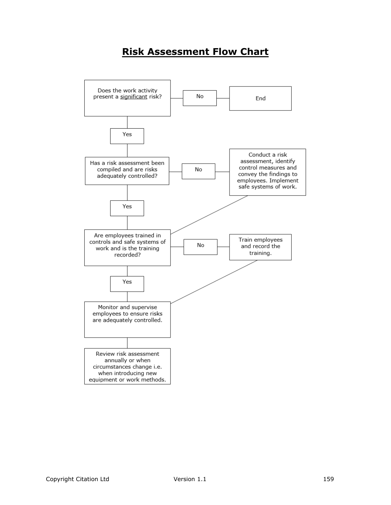# **Risk Assessment Flow Chart**

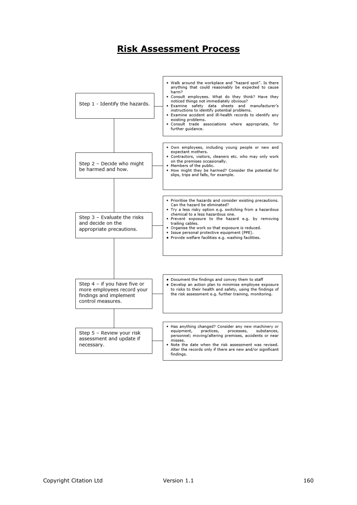### **Risk Assessment Process**

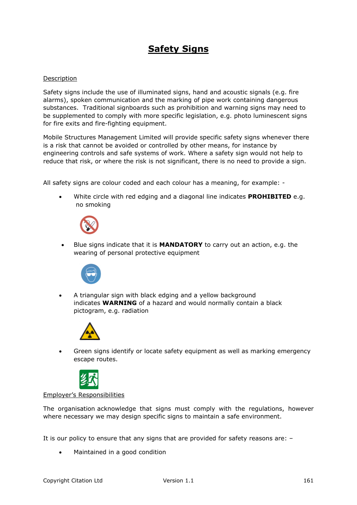# **Safety Signs**

### Description

Safety signs include the use of illuminated signs, hand and acoustic signals (e.g. fire alarms), spoken communication and the marking of pipe work containing dangerous substances. Traditional signboards such as prohibition and warning signs may need to be supplemented to comply with more specific legislation, e.g. photo luminescent signs for fire exits and fire-fighting equipment.

Mobile Structures Management Limited will provide specific safety signs whenever there is a risk that cannot be avoided or controlled by other means, for instance by engineering controls and safe systems of work. Where a safety sign would not help to reduce that risk, or where the risk is not significant, there is no need to provide a sign.

All safety signs are colour coded and each colour has a meaning, for example: -

 White circle with red edging and a diagonal line indicates **PROHIBITED** e.g. no smoking



 Blue signs indicate that it is **MANDATORY** to carry out an action, e.g. the wearing of personal protective equipment



 A triangular sign with black edging and a yellow background indicates **WARNING** of a hazard and would normally contain a black pictogram, e.g. radiation



 Green signs identify or locate safety equipment as well as marking emergency escape routes.



### Employer's Responsibilities

The organisation acknowledge that signs must comply with the regulations, however where necessary we may design specific signs to maintain a safe environment.

It is our policy to ensure that any signs that are provided for safety reasons are: –

• Maintained in a good condition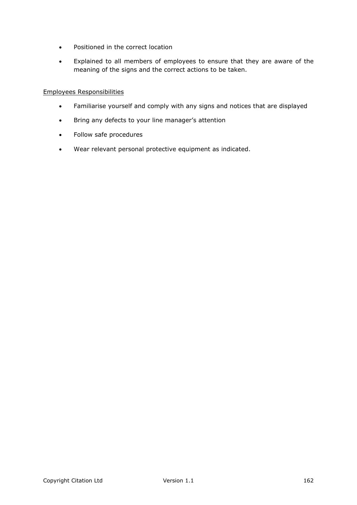- Positioned in the correct location
- Explained to all members of employees to ensure that they are aware of the meaning of the signs and the correct actions to be taken.

- Familiarise yourself and comply with any signs and notices that are displayed
- Bring any defects to your line manager's attention
- Follow safe procedures
- Wear relevant personal protective equipment as indicated.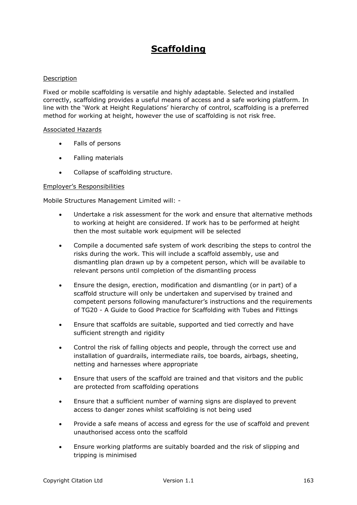## **Scaffolding**

### Description

Fixed or mobile scaffolding is versatile and highly adaptable. Selected and installed correctly, scaffolding provides a useful means of access and a safe working platform. In line with the 'Work at Height Regulations' hierarchy of control, scaffolding is a preferred method for working at height, however the use of scaffolding is not risk free.

#### Associated Hazards

- Falls of persons
- Falling materials
- Collapse of scaffolding structure.

### Employer's Responsibilities

Mobile Structures Management Limited will: -

- Undertake a risk assessment for the work and ensure that alternative methods to working at height are considered. If work has to be performed at height then the most suitable work equipment will be selected
- Compile a documented safe system of work describing the steps to control the risks during the work. This will include a scaffold assembly, use and dismantling plan drawn up by a competent person, which will be available to relevant persons until completion of the dismantling process
- Ensure the design, erection, modification and dismantling (or in part) of a scaffold structure will only be undertaken and supervised by trained and competent persons following manufacturer's instructions and the requirements of TG20 - A Guide to Good Practice for Scaffolding with Tubes and Fittings
- Ensure that scaffolds are suitable, supported and tied correctly and have sufficient strength and rigidity
- Control the risk of falling objects and people, through the correct use and installation of guardrails, intermediate rails, toe boards, airbags, sheeting, netting and harnesses where appropriate
- Ensure that users of the scaffold are trained and that visitors and the public are protected from scaffolding operations
- Ensure that a sufficient number of warning signs are displayed to prevent access to danger zones whilst scaffolding is not being used
- Provide a safe means of access and egress for the use of scaffold and prevent unauthorised access onto the scaffold
- Ensure working platforms are suitably boarded and the risk of slipping and tripping is minimised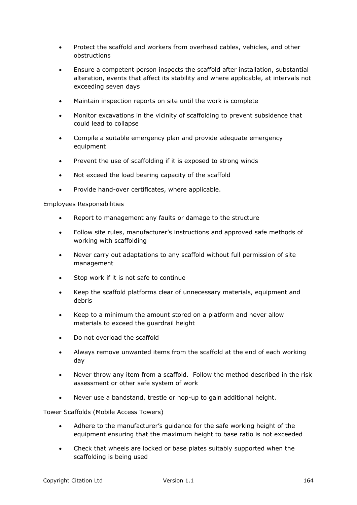- Protect the scaffold and workers from overhead cables, vehicles, and other obstructions
- Ensure a competent person inspects the scaffold after installation, substantial alteration, events that affect its stability and where applicable, at intervals not exceeding seven days
- Maintain inspection reports on site until the work is complete
- Monitor excavations in the vicinity of scaffolding to prevent subsidence that could lead to collapse
- Compile a suitable emergency plan and provide adequate emergency equipment
- Prevent the use of scaffolding if it is exposed to strong winds
- Not exceed the load bearing capacity of the scaffold
- Provide hand-over certificates, where applicable.

- Report to management any faults or damage to the structure
- Follow site rules, manufacturer's instructions and approved safe methods of working with scaffolding
- Never carry out adaptations to any scaffold without full permission of site management
- Stop work if it is not safe to continue
- Keep the scaffold platforms clear of unnecessary materials, equipment and debris
- Keep to a minimum the amount stored on a platform and never allow materials to exceed the guardrail height
- Do not overload the scaffold
- Always remove unwanted items from the scaffold at the end of each working day
- Never throw any item from a scaffold. Follow the method described in the risk assessment or other safe system of work
- Never use a bandstand, trestle or hop-up to gain additional height.

### Tower Scaffolds (Mobile Access Towers)

- Adhere to the manufacturer's guidance for the safe working height of the equipment ensuring that the maximum height to base ratio is not exceeded
- Check that wheels are locked or base plates suitably supported when the scaffolding is being used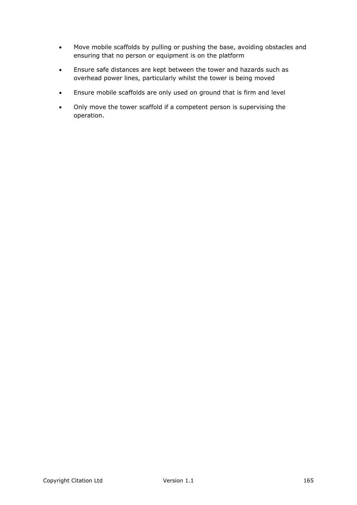- Move mobile scaffolds by pulling or pushing the base, avoiding obstacles and ensuring that no person or equipment is on the platform
- Ensure safe distances are kept between the tower and hazards such as overhead power lines, particularly whilst the tower is being moved
- Ensure mobile scaffolds are only used on ground that is firm and level
- Only move the tower scaffold if a competent person is supervising the operation.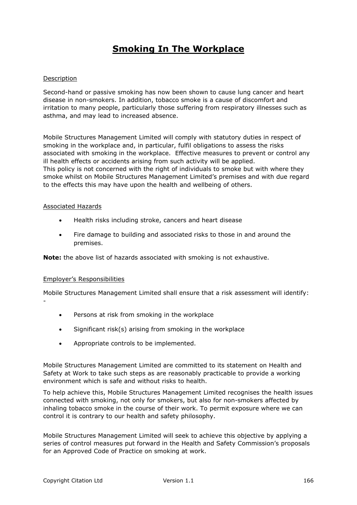# **Smoking In The Workplace**

### Description

Second-hand or passive smoking has now been shown to cause lung cancer and heart disease in non-smokers. In addition, tobacco smoke is a cause of discomfort and irritation to many people, particularly those suffering from respiratory illnesses such as asthma, and may lead to increased absence.

Mobile Structures Management Limited will comply with statutory duties in respect of smoking in the workplace and, in particular, fulfil obligations to assess the risks associated with smoking in the workplace. Effective measures to prevent or control any ill health effects or accidents arising from such activity will be applied. This policy is not concerned with the right of individuals to smoke but with where they smoke whilst on Mobile Structures Management Limited's premises and with due regard to the effects this may have upon the health and wellbeing of others.

#### Associated Hazards

- Health risks including stroke, cancers and heart disease
- Fire damage to building and associated risks to those in and around the premises.

**Note:** the above list of hazards associated with smoking is not exhaustive.

### Employer's Responsibilities

-

Mobile Structures Management Limited shall ensure that a risk assessment will identify:

- Persons at risk from smoking in the workplace
- Significant risk(s) arising from smoking in the workplace
- Appropriate controls to be implemented.

Mobile Structures Management Limited are committed to its statement on Health and Safety at Work to take such steps as are reasonably practicable to provide a working environment which is safe and without risks to health.

To help achieve this, Mobile Structures Management Limited recognises the health issues connected with smoking, not only for smokers, but also for non-smokers affected by inhaling tobacco smoke in the course of their work. To permit exposure where we can control it is contrary to our health and safety philosophy.

Mobile Structures Management Limited will seek to achieve this objective by applying a series of control measures put forward in the Health and Safety Commission's proposals for an Approved Code of Practice on smoking at work.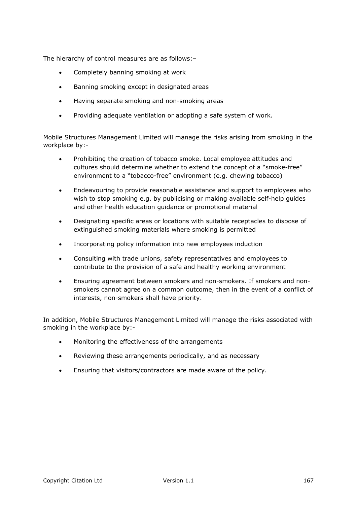The hierarchy of control measures are as follows:–

- Completely banning smoking at work
- **•** Banning smoking except in designated areas
- Having separate smoking and non-smoking areas
- Providing adequate ventilation or adopting a safe system of work.

Mobile Structures Management Limited will manage the risks arising from smoking in the workplace by:-

- Prohibiting the creation of tobacco smoke. Local employee attitudes and cultures should determine whether to extend the concept of a "smoke-free" environment to a "tobacco-free" environment (e.g. chewing tobacco)
- Endeavouring to provide reasonable assistance and support to employees who wish to stop smoking e.g. by publicising or making available self-help quides and other health education guidance or promotional material
- Designating specific areas or locations with suitable receptacles to dispose of extinguished smoking materials where smoking is permitted
- Incorporating policy information into new employees induction
- Consulting with trade unions, safety representatives and employees to contribute to the provision of a safe and healthy working environment
- Ensuring agreement between smokers and non-smokers. If smokers and nonsmokers cannot agree on a common outcome, then in the event of a conflict of interests, non-smokers shall have priority.

In addition, Mobile Structures Management Limited will manage the risks associated with smoking in the workplace by:-

- Monitoring the effectiveness of the arrangements
- Reviewing these arrangements periodically, and as necessary
- Ensuring that visitors/contractors are made aware of the policy.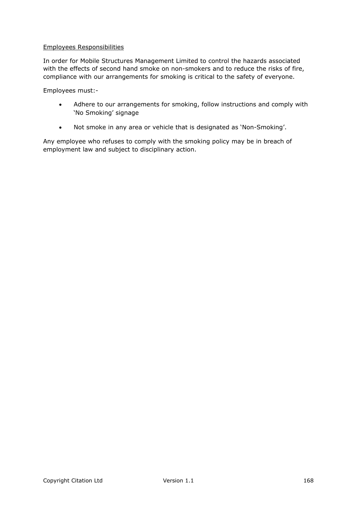In order for Mobile Structures Management Limited to control the hazards associated with the effects of second hand smoke on non-smokers and to reduce the risks of fire, compliance with our arrangements for smoking is critical to the safety of everyone.

Employees must:-

- Adhere to our arrangements for smoking, follow instructions and comply with 'No Smoking' signage
- Not smoke in any area or vehicle that is designated as 'Non-Smoking'.

Any employee who refuses to comply with the smoking policy may be in breach of employment law and subject to disciplinary action.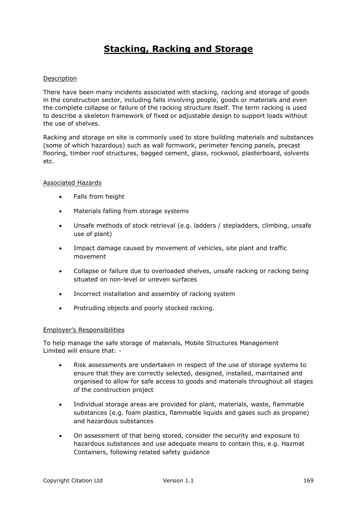# **Stacking, Racking and Storage**

### Description

There have been many incidents associated with stacking, racking and storage of goods in the construction sector, including falls involving people, goods or materials and even the complete collapse or failure of the racking structure itself. The term racking is used to describe a skeleton framework of fixed or adjustable design to support loads without the use of shelves.

Racking and storage on site is commonly used to store building materials and substances (some of which hazardous) such as wall formwork, perimeter fencing panels, precast flooring, timber roof structures, bagged cement, glass, rockwool, plasterboard, solvents etc.

### Associated Hazards

- Falls from height
- Materials falling from storage systems
- Unsafe methods of stock retrieval (e.g. ladders / stepladders, climbing, unsafe use of plant)
- Impact damage caused by movement of vehicles, site plant and traffic movement
- Collapse or failure due to overloaded shelves, unsafe racking or racking being situated on non-level or uneven surfaces
- Incorrect installation and assembly of racking system
- Protruding objects and poorly stocked racking.

### Employer's Responsibilities

To help manage the safe storage of materials, Mobile Structures Management Limited will ensure that: -

- Risk assessments are undertaken in respect of the use of storage systems to ensure that they are correctly selected, designed, installed, maintained and organised to allow for safe access to goods and materials throughout all stages of the construction project
- Individual storage areas are provided for plant, materials, waste, flammable substances (e.g. foam plastics, flammable liquids and gases such as propane) and hazardous substances
- On assessment of that being stored, consider the security and exposure to hazardous substances and use adequate means to contain this, e.g. Hazmat Containers, following related safety guidance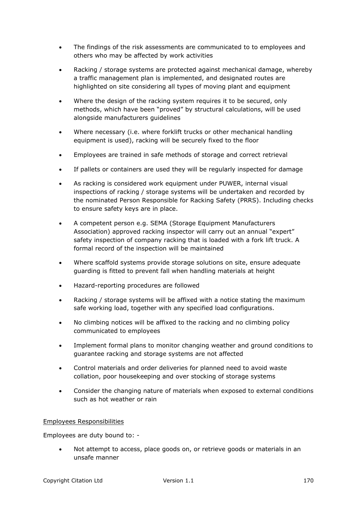- The findings of the risk assessments are communicated to to employees and others who may be affected by work activities
- Racking / storage systems are protected against mechanical damage, whereby a traffic management plan is implemented, and designated routes are highlighted on site considering all types of moving plant and equipment
- Where the design of the racking system requires it to be secured, only methods, which have been "proved" by structural calculations, will be used alongside manufacturers guidelines
- Where necessary (i.e. where forklift trucks or other mechanical handling equipment is used), racking will be securely fixed to the floor
- Employees are trained in safe methods of storage and correct retrieval
- If pallets or containers are used they will be regularly inspected for damage
- As racking is considered work equipment under PUWER, internal visual inspections of racking / storage systems will be undertaken and recorded by the nominated Person Responsible for Racking Safety (PRRS). Including checks to ensure safety keys are in place.
- A competent person e.g. SEMA (Storage Equipment Manufacturers Association) approved racking inspector will carry out an annual "expert" safety inspection of company racking that is loaded with a fork lift truck. A formal record of the inspection will be maintained
- Where scaffold systems provide storage solutions on site, ensure adequate guarding is fitted to prevent fall when handling materials at height
- Hazard-reporting procedures are followed
- Racking / storage systems will be affixed with a notice stating the maximum safe working load, together with any specified load configurations.
- No climbing notices will be affixed to the racking and no climbing policy communicated to employees
- Implement formal plans to monitor changing weather and ground conditions to guarantee racking and storage systems are not affected
- Control materials and order deliveries for planned need to avoid waste collation, poor housekeeping and over stocking of storage systems
- Consider the changing nature of materials when exposed to external conditions such as hot weather or rain

Employees are duty bound to: -

 Not attempt to access, place goods on, or retrieve goods or materials in an unsafe manner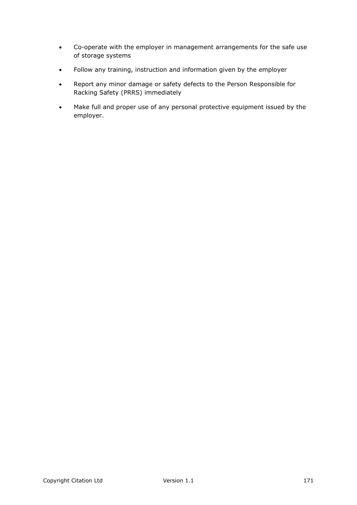- Co-operate with the employer in management arrangements for the safe use of storage systems
- Follow any training, instruction and information given by the employer
- Report any minor damage or safety defects to the Person Responsible for Racking Safety (PRRS) immediately
- Make full and proper use of any personal protective equipment issued by the employer.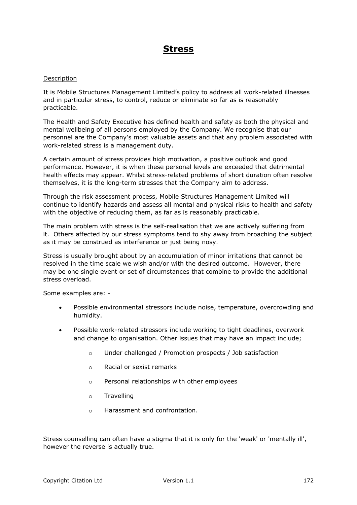### **Stress**

### Description

It is Mobile Structures Management Limited's policy to address all work-related illnesses and in particular stress, to control, reduce or eliminate so far as is reasonably practicable.

The Health and Safety Executive has defined health and safety as both the physical and mental wellbeing of all persons employed by the Company. We recognise that our personnel are the Company's most valuable assets and that any problem associated with work-related stress is a management duty.

A certain amount of stress provides high motivation, a positive outlook and good performance. However, it is when these personal levels are exceeded that detrimental health effects may appear. Whilst stress-related problems of short duration often resolve themselves, it is the long-term stresses that the Company aim to address.

Through the risk assessment process, Mobile Structures Management Limited will continue to identify hazards and assess all mental and physical risks to health and safety with the objective of reducing them, as far as is reasonably practicable.

The main problem with stress is the self-realisation that we are actively suffering from it. Others affected by our stress symptoms tend to shy away from broaching the subject as it may be construed as interference or just being nosy.

Stress is usually brought about by an accumulation of minor irritations that cannot be resolved in the time scale we wish and/or with the desired outcome. However, there may be one single event or set of circumstances that combine to provide the additional stress overload.

Some examples are: -

- Possible environmental stressors include noise, temperature, overcrowding and humidity.
- Possible work-related stressors include working to tight deadlines, overwork and change to organisation. Other issues that may have an impact include;
	- o Under challenged / Promotion prospects / Job satisfaction
	- o Racial or sexist remarks
	- o Personal relationships with other employees
	- o Travelling
	- o Harassment and confrontation.

Stress counselling can often have a stigma that it is only for the 'weak' or 'mentally ill', however the reverse is actually true.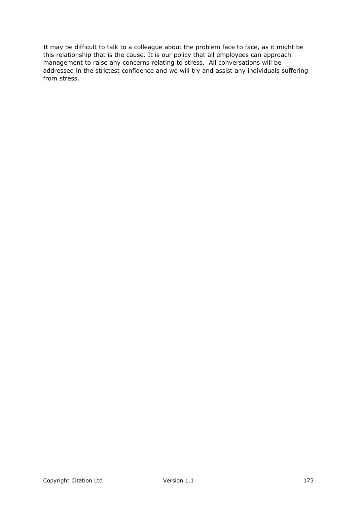It may be difficult to talk to a colleague about the problem face to face, as it might be this relationship that is the cause. It is our policy that all employees can approach management to raise any concerns relating to stress. All conversations will be addressed in the strictest confidence and we will try and assist any individuals suffering from stress.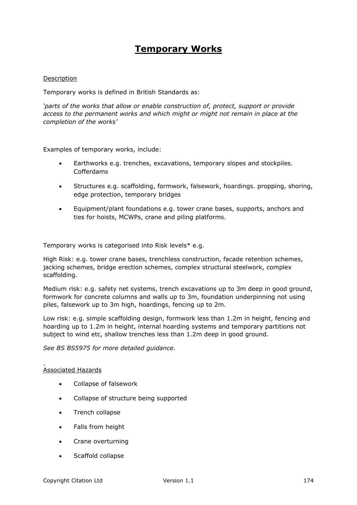### **Temporary Works**

### Description

Temporary works is defined in British Standards as:

*'parts of the works that allow or enable construction of, protect, support or provide access to the permanent works and which might or might not remain in place at the completion of the works'*

Examples of temporary works, include:

- Earthworks e.g. trenches, excavations, temporary slopes and stockpiles. Cofferdams
- Structures e.g. scaffolding, formwork, falsework, hoardings. propping, shoring, edge protection, temporary bridges
- Equipment/plant foundations e.g. tower crane bases, supports, anchors and ties for hoists, MCWPs, crane and piling platforms.

Temporary works is categorised into Risk levels\* e.g.

High Risk: e.g. tower crane bases, trenchless construction, facade retention schemes, jacking schemes, bridge erection schemes, complex structural steelwork, complex scaffolding.

Medium risk: e.g. safety net systems, trench excavations up to 3m deep in good ground, formwork for concrete columns and walls up to 3m, foundation underpinning not using piles, falsework up to 3m high, hoardings, fencing up to 2m.

Low risk: e.g. simple scaffolding design, formwork less than 1.2m in height, fencing and hoarding up to 1.2m in height, internal hoarding systems and temporary partitions not subject to wind etc, shallow trenches less than 1.2m deep in good ground.

*See BS BS5975 for more detailed guidance.*

### Associated Hazards

- Collapse of falsework
- Collapse of structure being supported
- Trench collapse
- Falls from height
- Crane overturning
- Scaffold collapse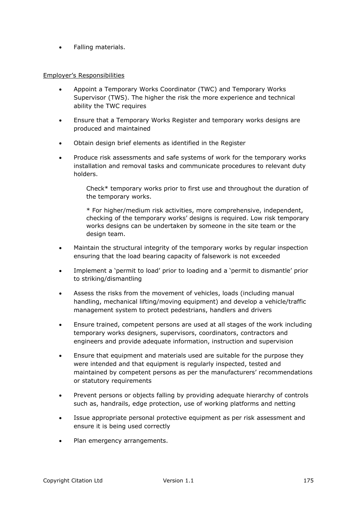Falling materials.

### Employer's Responsibilities

- Appoint a Temporary Works Coordinator (TWC) and Temporary Works Supervisor (TWS). The higher the risk the more experience and technical ability the TWC requires
- Ensure that a Temporary Works Register and temporary works designs are produced and maintained
- Obtain design brief elements as identified in the Register
- Produce risk assessments and safe systems of work for the temporary works installation and removal tasks and communicate procedures to relevant duty holders.

Check\* temporary works prior to first use and throughout the duration of the temporary works.

\* For higher/medium risk activities, more comprehensive, independent, checking of the temporary works' designs is required. Low risk temporary works designs can be undertaken by someone in the site team or the design team.

- Maintain the structural integrity of the temporary works by regular inspection ensuring that the load bearing capacity of falsework is not exceeded
- Implement a 'permit to load' prior to loading and a 'permit to dismantle' prior to striking/dismantling
- Assess the risks from the movement of vehicles, loads (including manual handling, mechanical lifting/moving equipment) and develop a vehicle/traffic management system to protect pedestrians, handlers and drivers
- Ensure trained, competent persons are used at all stages of the work including temporary works designers, supervisors, coordinators, contractors and engineers and provide adequate information, instruction and supervision
- Ensure that equipment and materials used are suitable for the purpose they were intended and that equipment is regularly inspected, tested and maintained by competent persons as per the manufacturers' recommendations or statutory requirements
- Prevent persons or objects falling by providing adequate hierarchy of controls such as, handrails, edge protection, use of working platforms and netting
- Issue appropriate personal protective equipment as per risk assessment and ensure it is being used correctly
- Plan emergency arrangements.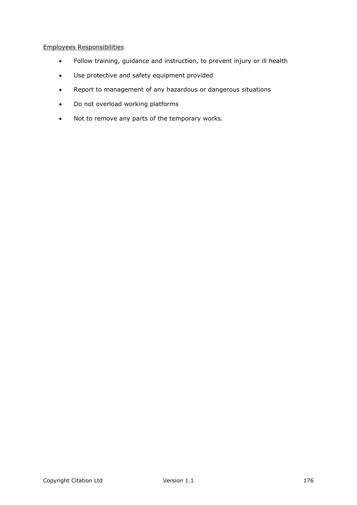- Follow training, guidance and instruction, to prevent injury or ill health
- Use protective and safety equipment provided
- Report to management of any hazardous or dangerous situations
- Do not overload working platforms
- Not to remove any parts of the temporary works.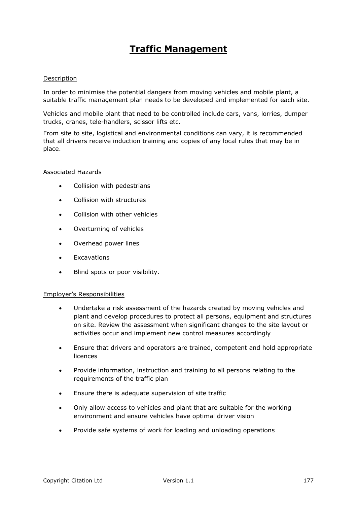## **Traffic Management**

### Description

In order to minimise the potential dangers from moving vehicles and mobile plant, a suitable traffic management plan needs to be developed and implemented for each site.

Vehicles and mobile plant that need to be controlled include cars, vans, lorries, dumper trucks, cranes, tele-handlers, scissor lifts etc.

From site to site, logistical and environmental conditions can vary, it is recommended that all drivers receive induction training and copies of any local rules that may be in place.

### Associated Hazards

- Collision with pedestrians
- Collision with structures
- Collision with other vehicles
- Overturning of vehicles
- Overhead power lines
- Excavations
- Blind spots or poor visibility.

### Employer's Responsibilities

- Undertake a risk assessment of the hazards created by moving vehicles and plant and develop procedures to protect all persons, equipment and structures on site. Review the assessment when significant changes to the site layout or activities occur and implement new control measures accordingly
- Ensure that drivers and operators are trained, competent and hold appropriate licences
- Provide information, instruction and training to all persons relating to the requirements of the traffic plan
- Ensure there is adequate supervision of site traffic
- Only allow access to vehicles and plant that are suitable for the working environment and ensure vehicles have optimal driver vision
- Provide safe systems of work for loading and unloading operations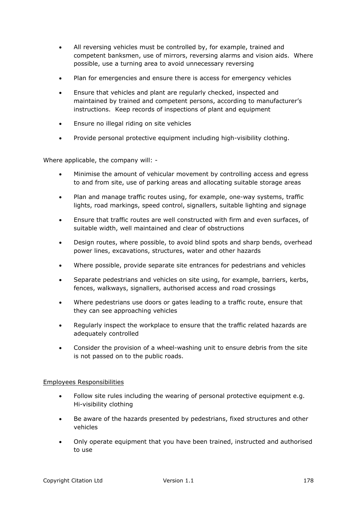- All reversing vehicles must be controlled by, for example, trained and competent banksmen, use of mirrors, reversing alarms and vision aids. Where possible, use a turning area to avoid unnecessary reversing
- Plan for emergencies and ensure there is access for emergency vehicles
- Ensure that vehicles and plant are regularly checked, inspected and maintained by trained and competent persons, according to manufacturer's instructions. Keep records of inspections of plant and equipment
- **Ensure no illegal riding on site vehicles**
- Provide personal protective equipment including high-visibility clothing.

Where applicable, the company will: -

- Minimise the amount of vehicular movement by controlling access and egress to and from site, use of parking areas and allocating suitable storage areas
- Plan and manage traffic routes using, for example, one-way systems, traffic lights, road markings, speed control, signallers, suitable lighting and signage
- Ensure that traffic routes are well constructed with firm and even surfaces, of suitable width, well maintained and clear of obstructions
- Design routes, where possible, to avoid blind spots and sharp bends, overhead power lines, excavations, structures, water and other hazards
- Where possible, provide separate site entrances for pedestrians and vehicles
- Separate pedestrians and vehicles on site using, for example, barriers, kerbs, fences, walkways, signallers, authorised access and road crossings
- Where pedestrians use doors or gates leading to a traffic route, ensure that they can see approaching vehicles
- Regularly inspect the workplace to ensure that the traffic related hazards are adequately controlled
- Consider the provision of a wheel-washing unit to ensure debris from the site is not passed on to the public roads.

### Employees Responsibilities

- Follow site rules including the wearing of personal protective equipment e.g. Hi-visibility clothing
- Be aware of the hazards presented by pedestrians, fixed structures and other vehicles
- Only operate equipment that you have been trained, instructed and authorised to use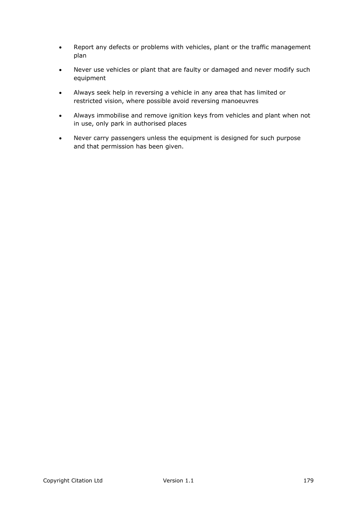- Report any defects or problems with vehicles, plant or the traffic management plan
- Never use vehicles or plant that are faulty or damaged and never modify such equipment
- Always seek help in reversing a vehicle in any area that has limited or restricted vision, where possible avoid reversing manoeuvres
- Always immobilise and remove ignition keys from vehicles and plant when not in use, only park in authorised places
- Never carry passengers unless the equipment is designed for such purpose and that permission has been given.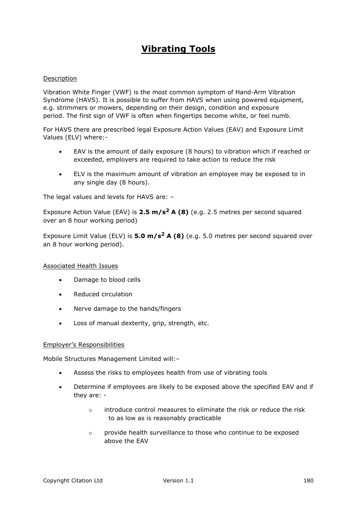# **Vibrating Tools**

### Description

Vibration White Finger (VWF) is the most common symptom of Hand-Arm Vibration Syndrome (HAVS). It is possible to suffer from HAVS when using powered equipment, e.g. strimmers or mowers, depending on their design, condition and exposure period. The first sign of VWF is often when fingertips become white, or feel numb.

For HAVS there are prescribed legal Exposure Action Values (EAV) and Exposure Limit Values (ELV) where:-

- EAV is the amount of daily exposure (8 hours) to vibration which if reached or exceeded, employers are required to take action to reduce the risk
- ELV is the maximum amount of vibration an employee may be exposed to in any single day (8 hours).

The legal values and levels for HAVS are: –

Exposure Action Value (EAV) is **2.5 m/s<sup>2</sup> A (8)** (e.g. 2.5 metres per second squared over an 8 hour working period)

Exposure Limit Value (ELV) is **5.0 m/s<sup>2</sup> A (8)** (e.g. 5.0 metres per second squared over an 8 hour working period).

### Associated Health Issues

- Damage to blood cells
- Reduced circulation
- Nerve damage to the hands/fingers
- Loss of manual dexterity, grip, strength, etc.

### Employer's Responsibilities

Mobile Structures Management Limited will:–

- Assess the risks to employees health from use of vibrating tools
- Determine if employees are likely to be exposed above the specified EAV and if they are: -
	- $\circ$  introduce control measures to eliminate the risk or reduce the risk to as low as is reasonably practicable
	- $\circ$  provide health surveillance to those who continue to be exposed above the EAV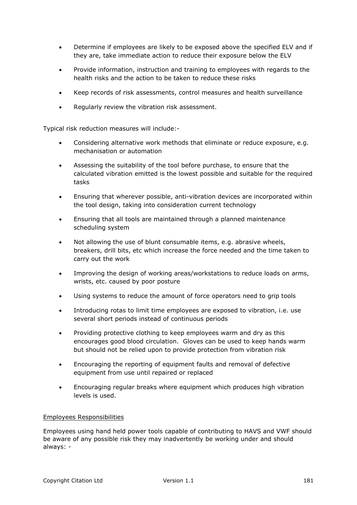- Determine if employees are likely to be exposed above the specified ELV and if they are, take immediate action to reduce their exposure below the ELV
- Provide information, instruction and training to employees with regards to the health risks and the action to be taken to reduce these risks
- Keep records of risk assessments, control measures and health surveillance
- Regularly review the vibration risk assessment.

Typical risk reduction measures will include:-

- Considering alternative work methods that eliminate or reduce exposure, e.g. mechanisation or automation
- Assessing the suitability of the tool before purchase, to ensure that the calculated vibration emitted is the lowest possible and suitable for the required tasks
- Ensuring that wherever possible, anti-vibration devices are incorporated within the tool design, taking into consideration current technology
- Ensuring that all tools are maintained through a planned maintenance scheduling system
- Not allowing the use of blunt consumable items, e.g. abrasive wheels, breakers, drill bits, etc which increase the force needed and the time taken to carry out the work
- Improving the design of working areas/workstations to reduce loads on arms, wrists, etc. caused by poor posture
- Using systems to reduce the amount of force operators need to grip tools
- Introducing rotas to limit time employees are exposed to vibration, i.e. use several short periods instead of continuous periods
- Providing protective clothing to keep employees warm and dry as this encourages good blood circulation. Gloves can be used to keep hands warm but should not be relied upon to provide protection from vibration risk
- Encouraging the reporting of equipment faults and removal of defective equipment from use until repaired or replaced
- Encouraging regular breaks where equipment which produces high vibration levels is used.

# Employees Responsibilities

Employees using hand held power tools capable of contributing to HAVS and VWF should be aware of any possible risk they may inadvertently be working under and should always: -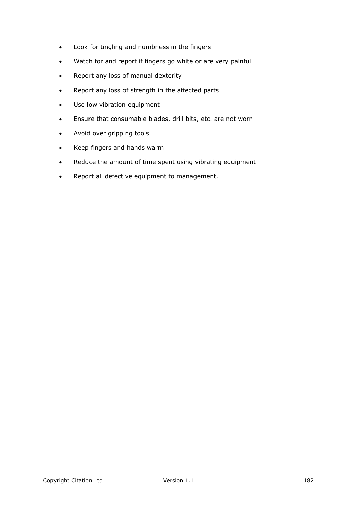- Look for tingling and numbness in the fingers
- Watch for and report if fingers go white or are very painful
- Report any loss of manual dexterity
- Report any loss of strength in the affected parts
- Use low vibration equipment
- Ensure that consumable blades, drill bits, etc. are not worn
- Avoid over gripping tools
- Keep fingers and hands warm
- Reduce the amount of time spent using vibrating equipment
- Report all defective equipment to management.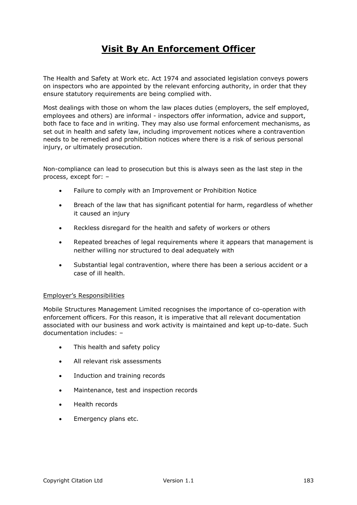# **Visit By An Enforcement Officer**

The Health and Safety at Work etc. Act 1974 and associated legislation conveys powers on inspectors who are appointed by the relevant enforcing authority, in order that they ensure statutory requirements are being complied with.

Most dealings with those on whom the law places duties (employers, the self employed, employees and others) are informal - inspectors offer information, advice and support, both face to face and in writing. They may also use formal enforcement mechanisms, as set out in health and safety law, including improvement notices where a contravention needs to be remedied and prohibition notices where there is a risk of serious personal injury, or ultimately prosecution.

Non-compliance can lead to prosecution but this is always seen as the last step in the process, except for: –

- Failure to comply with an Improvement or Prohibition Notice
- Breach of the law that has significant potential for harm, regardless of whether it caused an injury
- Reckless disregard for the health and safety of workers or others
- Repeated breaches of legal requirements where it appears that management is neither willing nor structured to deal adequately with
- Substantial legal contravention, where there has been a serious accident or a case of ill health.

### Employer's Responsibilities

Mobile Structures Management Limited recognises the importance of co-operation with enforcement officers. For this reason, it is imperative that all relevant documentation associated with our business and work activity is maintained and kept up-to-date. Such documentation includes: –

- This health and safety policy
- All relevant risk assessments
- Induction and training records
- Maintenance, test and inspection records
- Health records
- Emergency plans etc.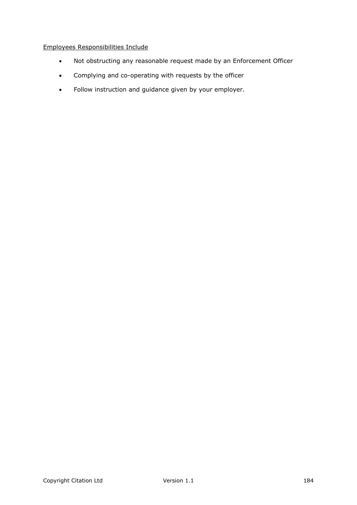# Employees Responsibilities Include

- Not obstructing any reasonable request made by an Enforcement Officer
- Complying and co-operating with requests by the officer
- Follow instruction and guidance given by your employer.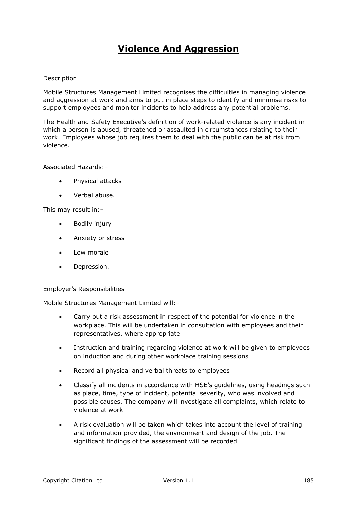# **Violence And Aggression**

### Description

Mobile Structures Management Limited recognises the difficulties in managing violence and aggression at work and aims to put in place steps to identify and minimise risks to support employees and monitor incidents to help address any potential problems.

The Health and Safety Executive's definition of work-related violence is any incident in which a person is abused, threatened or assaulted in circumstances relating to their work. Employees whose job requires them to deal with the public can be at risk from violence.

### Associated Hazards:–

- Physical attacks
- Verbal abuse.

This may result in:–

- Bodily injury
- Anxiety or stress
- Low morale
- Depression.

### Employer's Responsibilities

Mobile Structures Management Limited will:–

- Carry out a risk assessment in respect of the potential for violence in the workplace. This will be undertaken in consultation with employees and their representatives, where appropriate
- Instruction and training regarding violence at work will be given to employees on induction and during other workplace training sessions
- Record all physical and verbal threats to employees
- Classify all incidents in accordance with HSE's guidelines, using headings such as place, time, type of incident, potential severity, who was involved and possible causes. The company will investigate all complaints, which relate to violence at work
- A risk evaluation will be taken which takes into account the level of training and information provided, the environment and design of the job. The significant findings of the assessment will be recorded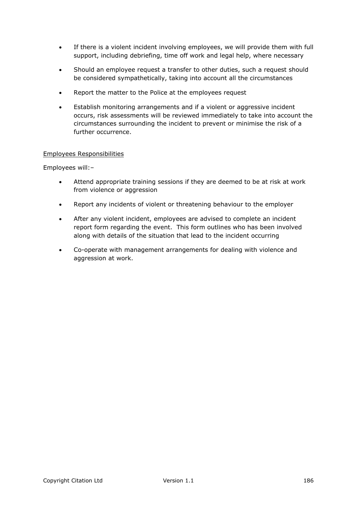- If there is a violent incident involving employees, we will provide them with full support, including debriefing, time off work and legal help, where necessary
- Should an employee request a transfer to other duties, such a request should be considered sympathetically, taking into account all the circumstances
- Report the matter to the Police at the employees request
- Establish monitoring arrangements and if a violent or aggressive incident occurs, risk assessments will be reviewed immediately to take into account the circumstances surrounding the incident to prevent or minimise the risk of a further occurrence.

### Employees Responsibilities

Employees will:–

- Attend appropriate training sessions if they are deemed to be at risk at work from violence or aggression
- Report any incidents of violent or threatening behaviour to the employer
- After any violent incident, employees are advised to complete an incident report form regarding the event. This form outlines who has been involved along with details of the situation that lead to the incident occurring
- Co-operate with management arrangements for dealing with violence and aggression at work.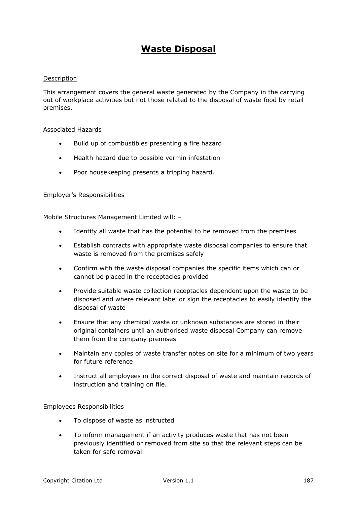# **Waste Disposal**

### Description

This arrangement covers the general waste generated by the Company in the carrying out of workplace activities but not those related to the disposal of waste food by retail premises.

#### Associated Hazards

- Build up of combustibles presenting a fire hazard
- Health hazard due to possible vermin infestation
- Poor housekeeping presents a tripping hazard.

### Employer's Responsibilities

Mobile Structures Management Limited will: –

- Identify all waste that has the potential to be removed from the premises
- Establish contracts with appropriate waste disposal companies to ensure that waste is removed from the premises safely
- Confirm with the waste disposal companies the specific items which can or cannot be placed in the receptacles provided
- Provide suitable waste collection receptacles dependent upon the waste to be disposed and where relevant label or sign the receptacles to easily identify the disposal of waste
- Ensure that any chemical waste or unknown substances are stored in their original containers until an authorised waste disposal Company can remove them from the company premises
- Maintain any copies of waste transfer notes on site for a minimum of two years for future reference
- Instruct all employees in the correct disposal of waste and maintain records of instruction and training on file.

### Employees Responsibilities

- To dispose of waste as instructed
- To inform management if an activity produces waste that has not been previously identified or removed from site so that the relevant steps can be taken for safe removal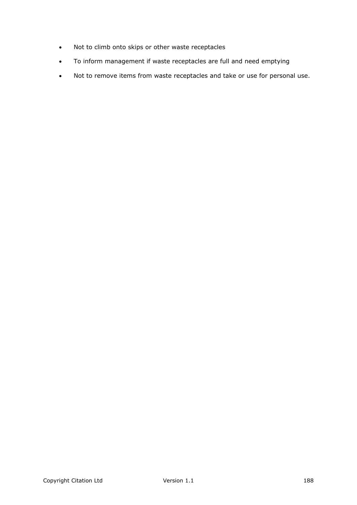- Not to climb onto skips or other waste receptacles
- To inform management if waste receptacles are full and need emptying
- Not to remove items from waste receptacles and take or use for personal use.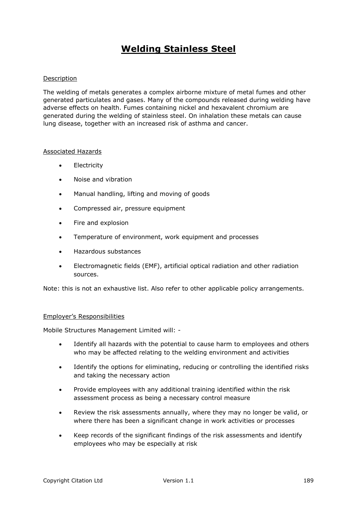# **Welding Stainless Steel**

### Description

The welding of metals generates a complex airborne mixture of metal fumes and other generated particulates and gases. Many of the compounds released during welding have adverse effects on health. Fumes containing nickel and hexavalent chromium are generated during the welding of stainless steel. On inhalation these metals can cause lung disease, together with an increased risk of asthma and cancer.

### Associated Hazards

- **•** Electricity
- Noise and vibration
- Manual handling, lifting and moving of goods
- Compressed air, pressure equipment
- Fire and explosion
- Temperature of environment, work equipment and processes
- Hazardous substances
- Electromagnetic fields (EMF), artificial optical radiation and other radiation sources.

Note: this is not an exhaustive list. Also refer to other applicable policy arrangements.

#### Employer's Responsibilities

Mobile Structures Management Limited will: -

- Identify all hazards with the potential to cause harm to employees and others who may be affected relating to the welding environment and activities
- Identify the options for eliminating, reducing or controlling the identified risks and taking the necessary action
- Provide employees with any additional training identified within the risk assessment process as being a necessary control measure
- Review the risk assessments annually, where they may no longer be valid, or where there has been a significant change in work activities or processes
- Keep records of the significant findings of the risk assessments and identify employees who may be especially at risk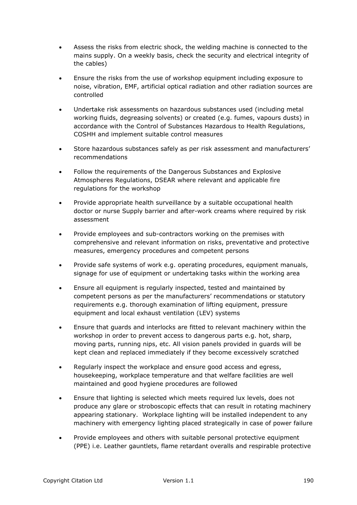- Assess the risks from electric shock, the welding machine is connected to the mains supply. On a weekly basis, check the security and electrical integrity of the cables)
- Ensure the risks from the use of workshop equipment including exposure to noise, vibration, EMF, artificial optical radiation and other radiation sources are controlled
- Undertake risk assessments on hazardous substances used (including metal working fluids, degreasing solvents) or created (e.g. fumes, vapours dusts) in accordance with the Control of Substances Hazardous to Health Regulations, COSHH and implement suitable control measures
- Store hazardous substances safely as per risk assessment and manufacturers' recommendations
- Follow the requirements of the Dangerous Substances and Explosive Atmospheres Regulations, DSEAR where relevant and applicable fire regulations for the workshop
- Provide appropriate health surveillance by a suitable occupational health doctor or nurse Supply barrier and after-work creams where required by risk assessment
- Provide employees and sub-contractors working on the premises with comprehensive and relevant information on risks, preventative and protective measures, emergency procedures and competent persons
- Provide safe systems of work e.g. operating procedures, equipment manuals, signage for use of equipment or undertaking tasks within the working area
- Ensure all equipment is regularly inspected, tested and maintained by competent persons as per the manufacturers' recommendations or statutory requirements e.g. thorough examination of lifting equipment, pressure equipment and local exhaust ventilation (LEV) systems
- Ensure that guards and interlocks are fitted to relevant machinery within the workshop in order to prevent access to dangerous parts e.g. hot, sharp, moving parts, running nips, etc. All vision panels provided in guards will be kept clean and replaced immediately if they become excessively scratched
- Regularly inspect the workplace and ensure good access and egress, housekeeping, workplace temperature and that welfare facilities are well maintained and good hygiene procedures are followed
- Ensure that lighting is selected which meets required lux levels, does not produce any glare or stroboscopic effects that can result in rotating machinery appearing stationary. Workplace lighting will be installed independent to any machinery with emergency lighting placed strategically in case of power failure
- Provide employees and others with suitable personal protective equipment (PPE) i.e. Leather gauntlets, flame retardant overalls and respirable protective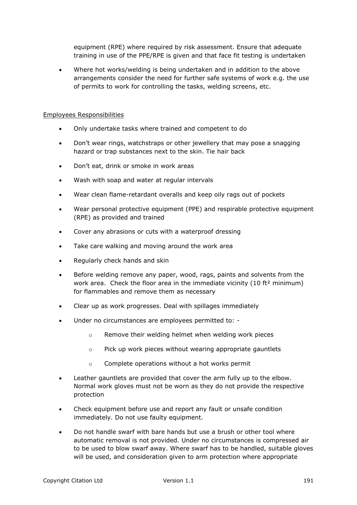equipment (RPE) where required by risk assessment. Ensure that adequate training in use of the PPE/RPE is given and that face fit testing is undertaken

 Where hot works/welding is being undertaken and in addition to the above arrangements consider the need for further safe systems of work e.g. the use of permits to work for controlling the tasks, welding screens, etc.

### Employees Responsibilities

- Only undertake tasks where trained and competent to do
- Don't wear rings, watchstraps or other jewellery that may pose a snagging hazard or trap substances next to the skin. Tie hair back
- Don't eat, drink or smoke in work areas
- Wash with soap and water at regular intervals
- Wear clean flame-retardant overalls and keep oily rags out of pockets
- Wear personal protective equipment (PPE) and respirable protective equipment (RPE) as provided and trained
- Cover any abrasions or cuts with a waterproof dressing
- Take care walking and moving around the work area
- Regularly check hands and skin
- Before welding remove any paper, wood, rags, paints and solvents from the work area. Check the floor area in the immediate vicinity  $(10 \text{ ft}^2 \text{ minimum})$ for flammables and remove them as necessary
- Clear up as work progresses. Deal with spillages immediately
- Under no circumstances are employees permitted to:
	- $\circ$  Remove their welding helmet when welding work pieces
	- o Pick up work pieces without wearing appropriate gauntlets
	- o Complete operations without a hot works permit
- Leather gauntlets are provided that cover the arm fully up to the elbow. Normal work gloves must not be worn as they do not provide the respective protection
- Check equipment before use and report any fault or unsafe condition immediately. Do not use faulty equipment.
- Do not handle swarf with bare hands but use a brush or other tool where automatic removal is not provided. Under no circumstances is compressed air to be used to blow swarf away. Where swarf has to be handled, suitable gloves will be used, and consideration given to arm protection where appropriate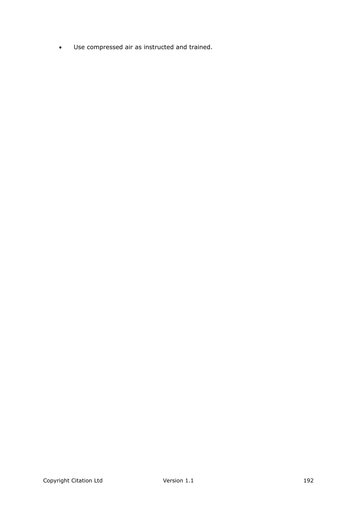Use compressed air as instructed and trained.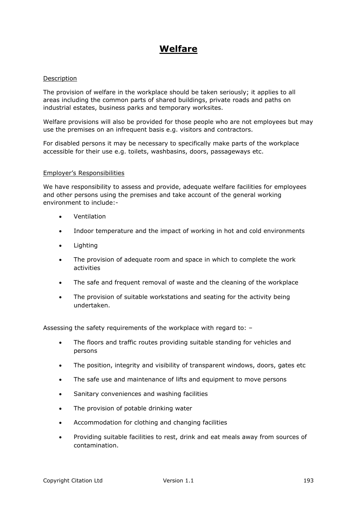# **Welfare**

### Description

The provision of welfare in the workplace should be taken seriously; it applies to all areas including the common parts of shared buildings, private roads and paths on industrial estates, business parks and temporary worksites.

Welfare provisions will also be provided for those people who are not employees but may use the premises on an infrequent basis e.g. visitors and contractors.

For disabled persons it may be necessary to specifically make parts of the workplace accessible for their use e.g. toilets, washbasins, doors, passageways etc.

#### Employer's Responsibilities

We have responsibility to assess and provide, adequate welfare facilities for employees and other persons using the premises and take account of the general working environment to include:-

- Ventilation
- Indoor temperature and the impact of working in hot and cold environments
- Lighting
- The provision of adequate room and space in which to complete the work activities
- The safe and frequent removal of waste and the cleaning of the workplace
- The provision of suitable workstations and seating for the activity being undertaken.

Assessing the safety requirements of the workplace with regard to: –

- The floors and traffic routes providing suitable standing for vehicles and persons
- The position, integrity and visibility of transparent windows, doors, gates etc
- The safe use and maintenance of lifts and equipment to move persons
- Sanitary conveniences and washing facilities
- The provision of potable drinking water
- Accommodation for clothing and changing facilities
- Providing suitable facilities to rest, drink and eat meals away from sources of contamination.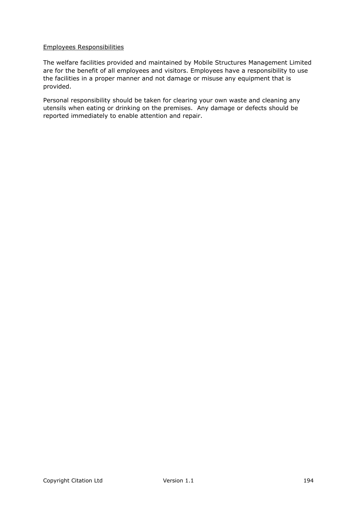### Employees Responsibilities

The welfare facilities provided and maintained by Mobile Structures Management Limited are for the benefit of all employees and visitors. Employees have a responsibility to use the facilities in a proper manner and not damage or misuse any equipment that is provided.

Personal responsibility should be taken for clearing your own waste and cleaning any utensils when eating or drinking on the premises. Any damage or defects should be reported immediately to enable attention and repair.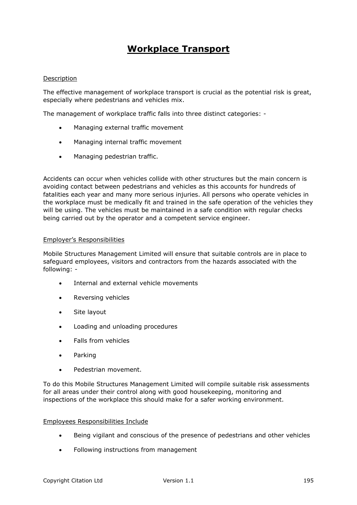# **Workplace Transport**

### Description

The effective management of workplace transport is crucial as the potential risk is great, especially where pedestrians and vehicles mix.

The management of workplace traffic falls into three distinct categories: -

- Managing external traffic movement
- Managing internal traffic movement
- Managing pedestrian traffic.

Accidents can occur when vehicles collide with other structures but the main concern is avoiding contact between pedestrians and vehicles as this accounts for hundreds of fatalities each year and many more serious injuries. All persons who operate vehicles in the workplace must be medically fit and trained in the safe operation of the vehicles they will be using. The vehicles must be maintained in a safe condition with regular checks being carried out by the operator and a competent service engineer.

### Employer's Responsibilities

Mobile Structures Management Limited will ensure that suitable controls are in place to safeguard employees, visitors and contractors from the hazards associated with the following: -

- Internal and external vehicle movements
- Reversing vehicles
- Site layout
- Loading and unloading procedures
- Falls from vehicles
- Parking
- Pedestrian movement.

To do this Mobile Structures Management Limited will compile suitable risk assessments for all areas under their control along with good housekeeping, monitoring and inspections of the workplace this should make for a safer working environment.

### Employees Responsibilities Include

- Being vigilant and conscious of the presence of pedestrians and other vehicles
- Following instructions from management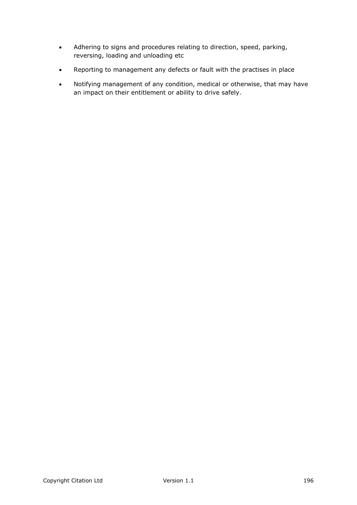- Adhering to signs and procedures relating to direction, speed, parking, reversing, loading and unloading etc
- Reporting to management any defects or fault with the practises in place
- Notifying management of any condition, medical or otherwise, that may have an impact on their entitlement or ability to drive safely.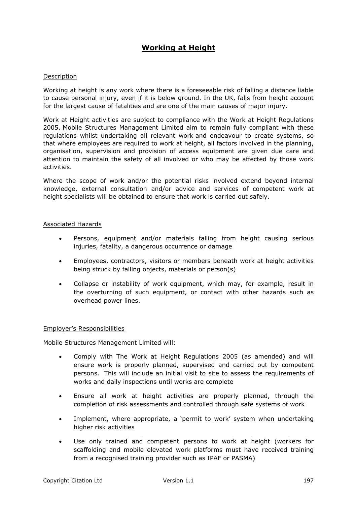# **Working at Height**

### Description

Working at height is any work where there is a foreseeable risk of falling a distance liable to cause personal injury, even if it is below ground. In the UK, falls from height account for the largest cause of fatalities and are one of the main causes of major injury.

Work at Height activities are subject to compliance with the Work at Height Regulations 2005. Mobile Structures Management Limited aim to remain fully compliant with these regulations whilst undertaking all relevant work and endeavour to create systems, so that where employees are required to work at height, all factors involved in the planning, organisation, supervision and provision of access equipment are given due care and attention to maintain the safety of all involved or who may be affected by those work activities.

Where the scope of work and/or the potential risks involved extend beyond internal knowledge, external consultation and/or advice and services of competent work at height specialists will be obtained to ensure that work is carried out safely.

### Associated Hazards

- Persons, equipment and/or materials falling from height causing serious injuries, fatality, a dangerous occurrence or damage
- Employees, contractors, visitors or members beneath work at height activities being struck by falling objects, materials or person(s)
- Collapse or instability of work equipment, which may, for example, result in the overturning of such equipment, or contact with other hazards such as overhead power lines.

### Employer's Responsibilities

Mobile Structures Management Limited will:

- Comply with The Work at Height Regulations 2005 (as amended) and will ensure work is properly planned, supervised and carried out by competent persons. This will include an initial visit to site to assess the requirements of works and daily inspections until works are complete
- Ensure all work at height activities are properly planned, through the completion of risk assessments and controlled through safe systems of work
- Implement, where appropriate, a 'permit to work' system when undertaking higher risk activities
- Use only trained and competent persons to work at height (workers for scaffolding and mobile elevated work platforms must have received training from a recognised training provider such as IPAF or PASMA)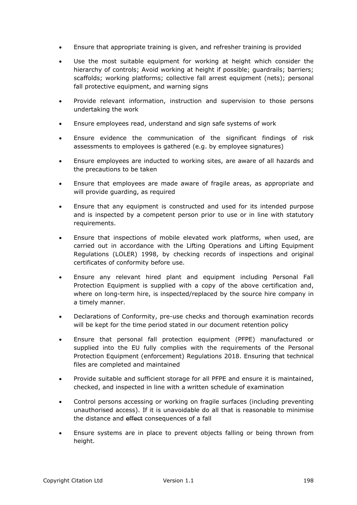- Ensure that appropriate training is given, and refresher training is provided
- Use the most suitable equipment for working at height which consider the hierarchy of controls; Avoid working at height if possible; guardrails; barriers; scaffolds; working platforms; collective fall arrest equipment (nets); personal fall protective equipment, and warning signs
- Provide relevant information, instruction and supervision to those persons undertaking the work
- Ensure employees read, understand and sign safe systems of work
- Ensure evidence the communication of the significant findings of risk assessments to employees is gathered (e.g. by employee signatures)
- Ensure employees are inducted to working sites, are aware of all hazards and the precautions to be taken
- Ensure that employees are made aware of fragile areas, as appropriate and will provide guarding, as required
- Ensure that any equipment is constructed and used for its intended purpose and is inspected by a competent person prior to use or in line with statutory requirements.
- Ensure that inspections of mobile elevated work platforms, when used, are carried out in accordance with the Lifting Operations and Lifting Equipment Regulations (LOLER) 1998, by checking records of inspections and original certificates of conformity before use.
- Ensure any relevant hired plant and equipment including Personal Fall Protection Equipment is supplied with a copy of the above certification and, where on long-term hire, is inspected/replaced by the source hire company in a timely manner.
- Declarations of Conformity, pre-use checks and thorough examination records will be kept for the time period stated in our document retention policy
- Ensure that personal fall protection equipment (PFPE) manufactured or supplied into the EU fully complies with the requirements of the Personal Protection Equipment (enforcement) Regulations 2018. Ensuring that technical files are completed and maintained
- Provide suitable and sufficient storage for all PFPE and ensure it is maintained, checked, and inspected in line with a written schedule of examination
- Control persons accessing or working on fragile surfaces (including preventing unauthorised access). If it is unavoidable do all that is reasonable to minimise the distance and effect consequences of a fall
- Ensure systems are in place to prevent objects falling or being thrown from height.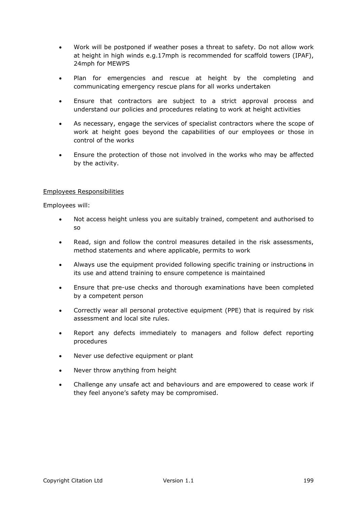- Work will be postponed if weather poses a threat to safety. Do not allow work at height in high winds e.g.17mph is recommended for scaffold towers (IPAF), 24mph for MEWPS
- Plan for emergencies and rescue at height by the completing and communicating emergency rescue plans for all works undertaken
- Ensure that contractors are subject to a strict approval process and understand our policies and procedures relating to work at height activities
- As necessary, engage the services of specialist contractors where the scope of work at height goes beyond the capabilities of our employees or those in control of the works
- Ensure the protection of those not involved in the works who may be affected by the activity.

### Employees Responsibilities

Employees will:

- Not access height unless you are suitably trained, competent and authorised to so
- Read, sign and follow the control measures detailed in the risk assessments, method statements and where applicable, permits to work
- Always use the equipment provided following specific training or instructions in its use and attend training to ensure competence is maintained
- Ensure that pre-use checks and thorough examinations have been completed by a competent person
- Correctly wear all personal protective equipment (PPE) that is required by risk assessment and local site rules.
- Report any defects immediately to managers and follow defect reporting procedures
- Never use defective equipment or plant
- Never throw anything from height
- Challenge any unsafe act and behaviours and are empowered to cease work if they feel anyone's safety may be compromised.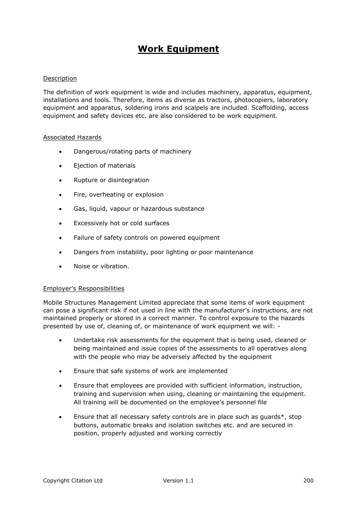# **Work Equipment**

### Description

The definition of work equipment is wide and includes machinery, apparatus, equipment, installations and tools. Therefore, items as diverse as tractors, photocopiers, laboratory equipment and apparatus, soldering irons and scalpels are included. Scaffolding, access equipment and safety devices etc. are also considered to be work equipment.

#### Associated Hazards

- Dangerous/rotating parts of machinery
- Ejection of materials
- Rupture or disintegration
- Fire, overheating or explosion
- Gas, liquid, vapour or hazardous substance
- Excessively hot or cold surfaces
- Failure of safety controls on powered equipment
- Dangers from instability, poor lighting or poor maintenance
- Noise or vibration.

### Employer's Responsibilities

Mobile Structures Management Limited appreciate that some items of work equipment can pose a significant risk if not used in line with the manufacturer's instructions, are not maintained properly or stored in a correct manner. To control exposure to the hazards presented by use of, cleaning of, or maintenance of work equipment we will: -

- Undertake risk assessments for the equipment that is being used, cleaned or being maintained and issue copies of the assessments to all operatives along with the people who may be adversely affected by the equipment
- Ensure that safe systems of work are implemented
- Ensure that employees are provided with sufficient information, instruction, training and supervision when using, cleaning or maintaining the equipment. All training will be documented on the employee's personnel file
- Ensure that all necessary safety controls are in place such as guards\*, stop buttons, automatic breaks and isolation switches etc. and are secured in position, properly adjusted and working correctly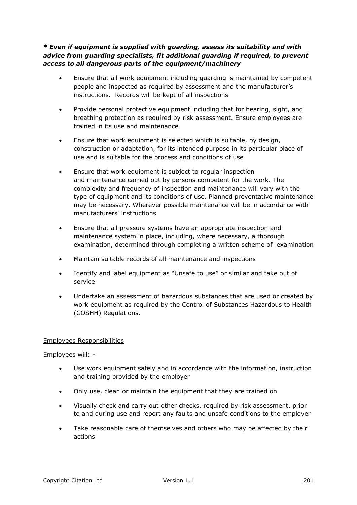*\* Even if equipment is supplied with guarding, assess its suitability and with advice from guarding specialists, fit additional guarding if required, to prevent access to all dangerous parts of the equipment/machinery*

- Ensure that all work equipment including guarding is maintained by competent people and inspected as required by assessment and the manufacturer's instructions. Records will be kept of all inspections
- Provide personal protective equipment including that for hearing, sight, and breathing protection as required by risk assessment. Ensure employees are trained in its use and maintenance
- Ensure that work equipment is selected which is suitable, by design, construction or adaptation, for its intended purpose in its particular place of use and is suitable for the process and conditions of use
- Ensure that work equipment is subject to regular inspection and maintenance carried out by persons competent for the work. The complexity and frequency of inspection and maintenance will vary with the type of equipment and its conditions of use. Planned preventative maintenance may be necessary. Wherever possible maintenance will be in accordance with manufacturers' instructions
- Ensure that all pressure systems have an appropriate inspection and maintenance system in place, including, where necessary, a thorough examination, determined through completing a written scheme of examination
- Maintain suitable records of all maintenance and inspections
- Identify and label equipment as "Unsafe to use" or similar and take out of service
- Undertake an assessment of hazardous substances that are used or created by work equipment as required by the Control of Substances Hazardous to Health (COSHH) Regulations.

# Employees Responsibilities

Employees will: -

- Use work equipment safely and in accordance with the information, instruction and training provided by the employer
- Only use, clean or maintain the equipment that they are trained on
- Visually check and carry out other checks, required by risk assessment, prior to and during use and report any faults and unsafe conditions to the employer
- Take reasonable care of themselves and others who may be affected by their actions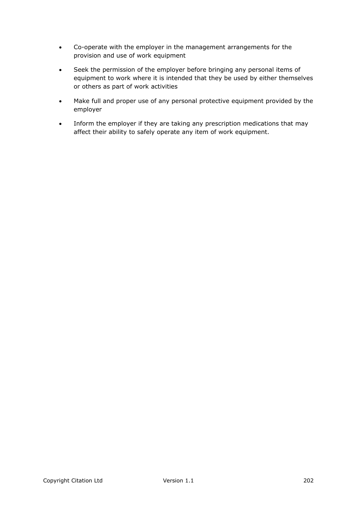- Co-operate with the employer in the management arrangements for the provision and use of work equipment
- Seek the permission of the employer before bringing any personal items of equipment to work where it is intended that they be used by either themselves or others as part of work activities
- Make full and proper use of any personal protective equipment provided by the employer
- Inform the employer if they are taking any prescription medications that may affect their ability to safely operate any item of work equipment.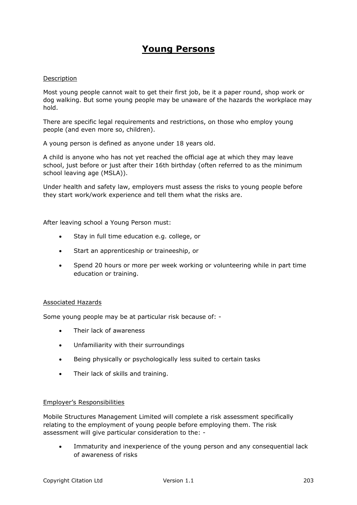# **Young Persons**

### Description

Most young people cannot wait to get their first job, be it a paper round, shop work or dog walking. But some young people may be unaware of the hazards the workplace may hold.

There are specific legal requirements and restrictions, on those who employ young people (and even more so, children).

A young person is defined as anyone under 18 years old.

A child is anyone who has not yet reached the official age at which they may leave school, just before or just after their 16th birthday (often referred to as the minimum school leaving age (MSLA)).

Under health and safety law, employers must assess the risks to young people before they start work/work experience and tell them what the risks are.

After leaving school a Young Person must:

- Stay in full time education e.g. college, or
- Start an apprenticeship or traineeship, or
- Spend 20 hours or more per week working or volunteering while in part time education or training.

### Associated Hazards

Some young people may be at particular risk because of: -

- Their lack of awareness
- Unfamiliarity with their surroundings
- Being physically or psychologically less suited to certain tasks
- Their lack of skills and training.

#### Employer's Responsibilities

Mobile Structures Management Limited will complete a risk assessment specifically relating to the employment of young people before employing them. The risk assessment will give particular consideration to the: -

 Immaturity and inexperience of the young person and any consequential lack of awareness of risks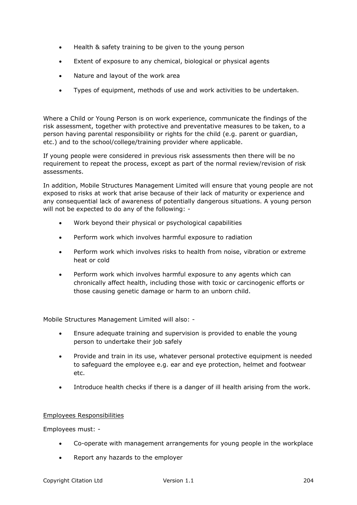- Health & safety training to be given to the young person
- Extent of exposure to any chemical, biological or physical agents
- Nature and layout of the work area
- Types of equipment, methods of use and work activities to be undertaken.

Where a Child or Young Person is on work experience, communicate the findings of the risk assessment, together with protective and preventative measures to be taken, to a person having parental responsibility or rights for the child (e.g. parent or guardian, etc.) and to the school/college/training provider where applicable.

If young people were considered in previous risk assessments then there will be no requirement to repeat the process, except as part of the normal review/revision of risk assessments.

In addition, Mobile Structures Management Limited will ensure that young people are not exposed to risks at work that arise because of their lack of maturity or experience and any consequential lack of awareness of potentially dangerous situations. A young person will not be expected to do any of the following: -

- Work beyond their physical or psychological capabilities
- Perform work which involves harmful exposure to radiation
- Perform work which involves risks to health from noise, vibration or extreme heat or cold
- Perform work which involves harmful exposure to any agents which can chronically affect health, including those with toxic or carcinogenic efforts or those causing genetic damage or harm to an unborn child.

Mobile Structures Management Limited will also: -

- Ensure adequate training and supervision is provided to enable the young person to undertake their job safely
- Provide and train in its use, whatever personal protective equipment is needed to safeguard the employee e.g. ear and eye protection, helmet and footwear etc.
- Introduce health checks if there is a danger of ill health arising from the work.

# Employees Responsibilities

Employees must: -

- Co-operate with management arrangements for young people in the workplace
- Report any hazards to the employer